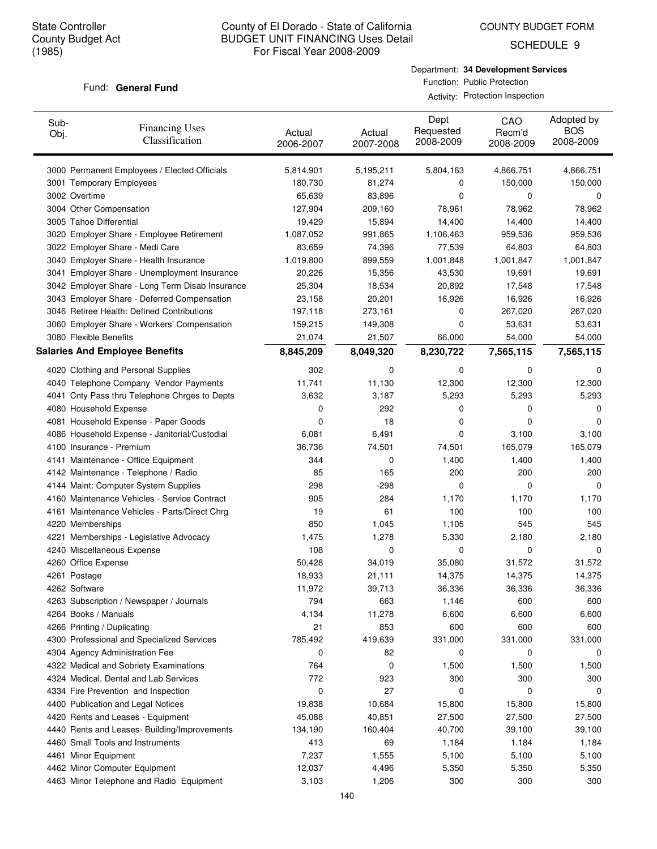COUNTY BUDGET FORM

SCHEDULE 9

#### Fund: General Fund

Department: **34 Development Services** Function: Public Protection

Activity: Protection Inspection

| Sub-<br>Obj. | <b>Financing Uses</b><br>Classification         | Actual<br>2006-2007 | Actual<br>2007-2008 | Dept<br>Requested<br>2008-2009 | CAO<br>Recm'd<br>2008-2009 | Adopted by<br><b>BOS</b><br>2008-2009 |
|--------------|-------------------------------------------------|---------------------|---------------------|--------------------------------|----------------------------|---------------------------------------|
|              | 3000 Permanent Employees / Elected Officials    | 5,814,901           | 5,195,211           | 5,804,163                      | 4,866,751                  | 4,866,751                             |
|              | 3001 Temporary Employees                        | 180,730             | 81,274              | 0                              | 150,000                    | 150,000                               |
|              | 3002 Overtime                                   | 65,639              | 83,896              | 0                              | 0                          | 0                                     |
|              | 3004 Other Compensation                         | 127,904             | 209,160             | 78,961                         | 78,962                     | 78,962                                |
|              | 3005 Tahoe Differential                         | 19,429              | 15,894              | 14,400                         | 14,400                     | 14,400                                |
|              | 3020 Employer Share - Employee Retirement       | 1,087,052           | 991,865             | 1,106,463                      | 959,536                    | 959,536                               |
|              | 3022 Employer Share - Medi Care                 | 83,659              | 74,396              | 77,539                         | 64,803                     | 64,803                                |
|              | 3040 Employer Share - Health Insurance          | 1,019,800           | 899,559             | 1,001,848                      | 1,001,847                  | 1,001,847                             |
|              | 3041 Employer Share - Unemployment Insurance    | 20,226              | 15,356              | 43,530                         | 19,691                     | 19,691                                |
|              | 3042 Employer Share - Long Term Disab Insurance | 25,304              | 18,534              | 20,892                         | 17,548                     | 17,548                                |
|              | 3043 Employer Share - Deferred Compensation     | 23,158              | 20,201              | 16,926                         | 16,926                     | 16,926                                |
|              | 3046 Retiree Health: Defined Contributions      | 197,118             | 273,161             | 0                              | 267,020                    | 267,020                               |
|              | 3060 Employer Share - Workers' Compensation     | 159,215             | 149,308             | 0                              | 53,631                     | 53,631                                |
|              | 3080 Flexible Benefits                          | 21,074              | 21,507              | 66,000                         | 54,000                     | 54,000                                |
|              | <b>Salaries And Employee Benefits</b>           | 8,845,209           | 8,049,320           | 8,230,722                      | 7,565,115                  | 7,565,115                             |
|              | 4020 Clothing and Personal Supplies             | 302                 | 0                   | 0                              | 0                          | 0                                     |
|              | 4040 Telephone Company Vendor Payments          | 11,741              | 11,130              | 12,300                         | 12,300                     | 12,300                                |
|              | 4041 Cnty Pass thru Telephone Chrges to Depts   | 3,632               | 3,187               | 5,293                          | 5,293                      | 5,293                                 |
|              | 4080 Household Expense                          | 0                   | 292                 | 0                              | 0                          | 0                                     |
|              | 4081 Household Expense - Paper Goods            | 0                   | 18                  | 0                              | 0                          | 0                                     |
|              | 4086 Household Expense - Janitorial/Custodial   | 6,081               | 6,491               | 0                              | 3,100                      | 3,100                                 |
|              | 4100 Insurance - Premium                        | 36,736              | 74,501              | 74,501                         | 165,079                    | 165,079                               |
|              | 4141 Maintenance - Office Equipment             | 344                 | 0                   | 1,400                          | 1,400                      | 1,400                                 |
|              | 4142 Maintenance - Telephone / Radio            | 85                  | 165                 | 200                            | 200                        | 200                                   |
|              | 4144 Maint: Computer System Supplies            | 298                 | $-298$              | 0                              | 0                          | 0                                     |
|              | 4160 Maintenance Vehicles - Service Contract    | 905                 | 284                 | 1,170                          | 1,170                      | 1,170                                 |
|              | 4161 Maintenance Vehicles - Parts/Direct Chrg   | 19                  | 61                  | 100                            | 100                        | 100                                   |
|              | 4220 Memberships                                | 850                 | 1,045               | 1,105                          | 545                        | 545                                   |
|              | 4221 Memberships - Legislative Advocacy         | 1,475               | 1,278               | 5,330                          | 2,180                      | 2,180                                 |
|              | 4240 Miscellaneous Expense                      | 108                 | 0                   | 0                              | 0                          | 0                                     |
|              | 4260 Office Expense                             | 50,428              | 34,019              | 35,080                         | 31,572                     | 31,572                                |
|              | 4261 Postage                                    | 18,933              | 21,111              | 14,375                         | 14,375                     | 14,375                                |
|              | 4262 Software                                   | 11,972              | 39,713              | 36,336                         | 36,336                     | 36,336                                |
|              | 4263 Subscription / Newspaper / Journals        | 794                 | 663                 | 1,146                          | 600                        | 600                                   |
|              | 4264 Books / Manuals                            | 4,134               | 11,278              | 6,600                          | 6,600                      | 6,600                                 |
|              | 4266 Printing / Duplicating                     | 21                  | 853                 | 600                            | 600                        | 600                                   |
|              | 4300 Professional and Specialized Services      | 785,492             | 419,639             | 331,000                        | 331,000                    | 331,000                               |
|              | 4304 Agency Administration Fee                  | 0                   | 82                  | 0                              | 0                          | 0                                     |
|              | 4322 Medical and Sobriety Examinations          | 764                 | 0                   | 1,500                          | 1,500                      | 1,500                                 |
|              | 4324 Medical, Dental and Lab Services           | 772                 | 923                 | 300                            | 300                        | 300                                   |
|              | 4334 Fire Prevention and Inspection             | 0                   | 27                  | 0                              | 0                          | 0                                     |
|              | 4400 Publication and Legal Notices              | 19,838              | 10,684              | 15,800                         | 15,800                     | 15,800                                |
|              | 4420 Rents and Leases - Equipment               | 45,088              | 40,851              | 27,500                         | 27,500                     | 27,500                                |
|              | 4440 Rents and Leases- Building/Improvements    | 134,190             | 160,404             | 40,700                         | 39,100                     | 39,100                                |
|              | 4460 Small Tools and Instruments                | 413                 | 69                  | 1,184                          | 1,184                      | 1,184                                 |
|              | 4461 Minor Equipment                            | 7,237               | 1,555               | 5,100                          | 5,100                      | 5,100                                 |
|              | 4462 Minor Computer Equipment                   | 12,037              | 4,496               | 5,350                          | 5,350                      | 5,350                                 |
|              | 4463 Minor Telephone and Radio Equipment        | 3,103               | 1,206               | 300                            | 300                        | 300                                   |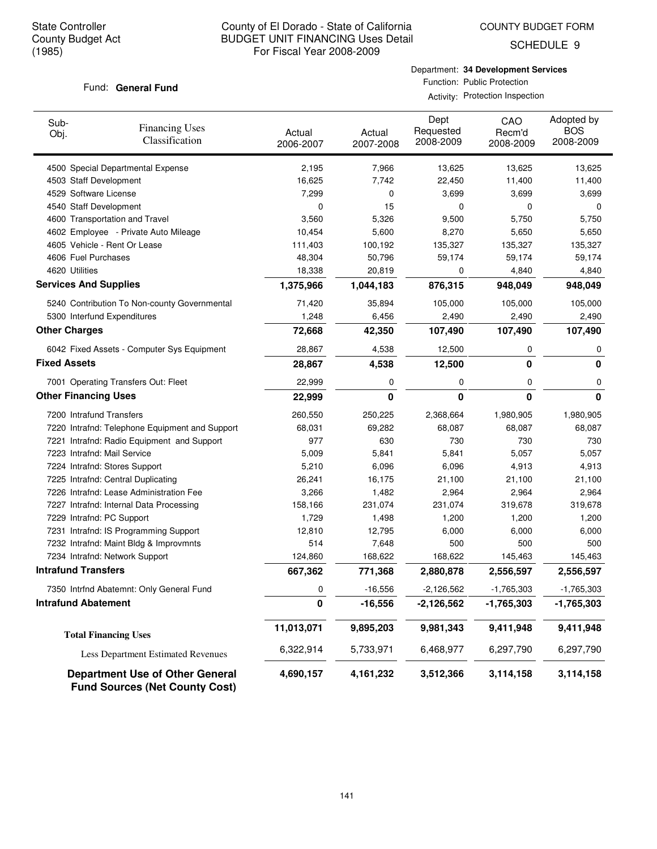COUNTY BUDGET FORM

SCHEDULE 9

#### Fund: General Fund

Department: **34 Development Services** Function: Public Protection Activity: Protection Inspection

| Sub-<br>Obj.                 | <b>Financing Uses</b><br>Classification                                         | Actual<br>2006-2007 | Actual<br>2007-2008 | Dept<br>Requested<br>2008-2009 | CAO<br>Recm'd<br>2008-2009 | Adopted by<br><b>BOS</b><br>2008-2009 |
|------------------------------|---------------------------------------------------------------------------------|---------------------|---------------------|--------------------------------|----------------------------|---------------------------------------|
|                              | 4500 Special Departmental Expense                                               | 2,195               | 7,966               | 13,625                         | 13,625                     | 13,625                                |
| 4503 Staff Development       |                                                                                 | 16,625              | 7,742               | 22,450                         | 11,400                     | 11,400                                |
| 4529 Software License        |                                                                                 | 7,299               | 0                   | 3,699                          | 3,699                      | 3,699                                 |
| 4540 Staff Development       |                                                                                 | 0                   | 15                  | 0                              | 0                          | 0                                     |
|                              | 4600 Transportation and Travel                                                  | 3,560               | 5,326               | 9,500                          | 5,750                      | 5,750                                 |
|                              | 4602 Employee - Private Auto Mileage                                            | 10,454              | 5,600               | 8,270                          | 5,650                      | 5,650                                 |
|                              | 4605 Vehicle - Rent Or Lease                                                    | 111,403             | 100,192             | 135,327                        | 135,327                    | 135,327                               |
| 4606 Fuel Purchases          |                                                                                 | 48,304              | 50,796              | 59,174                         | 59,174                     | 59,174                                |
| 4620 Utilities               |                                                                                 | 18,338              | 20,819              | 0                              | 4,840                      | 4,840                                 |
| <b>Services And Supplies</b> |                                                                                 | 1,375,966           | 1,044,183           | 876,315                        | 948,049                    | 948,049                               |
|                              | 5240 Contribution To Non-county Governmental                                    | 71,420              | 35,894              | 105,000                        | 105,000                    | 105,000                               |
| 5300 Interfund Expenditures  |                                                                                 | 1,248               | 6,456               | 2,490                          | 2,490                      | 2,490                                 |
| <b>Other Charges</b>         |                                                                                 | 72,668              | 42,350              | 107,490                        | 107,490                    | 107,490                               |
|                              | 6042 Fixed Assets - Computer Sys Equipment                                      | 28,867              | 4,538               | 12,500                         | 0                          | 0                                     |
| <b>Fixed Assets</b>          |                                                                                 | 28,867              | 4,538               | 12,500                         | 0                          | 0                                     |
|                              | 7001 Operating Transfers Out: Fleet                                             | 22,999              | 0                   | 0                              | 0                          | 0                                     |
| <b>Other Financing Uses</b>  |                                                                                 | 22,999              | 0                   | 0                              | $\bf{0}$                   | $\bf{0}$                              |
| 7200 Intrafund Transfers     |                                                                                 | 260,550             | 250,225             | 2,368,664                      | 1,980,905                  | 1,980,905                             |
|                              | 7220 Intrafnd: Telephone Equipment and Support                                  | 68,031              | 69,282              | 68,087                         | 68,087                     | 68,087                                |
|                              | 7221 Intrafnd: Radio Equipment and Support                                      | 977                 | 630                 | 730                            | 730                        | 730                                   |
| 7223 Intrafnd: Mail Service  |                                                                                 | 5,009               | 5,841               | 5,841                          | 5,057                      | 5,057                                 |
|                              | 7224 Intrafnd: Stores Support                                                   | 5,210               | 6,096               | 6,096                          | 4,913                      | 4,913                                 |
|                              | 7225 Intrafnd: Central Duplicating                                              | 26,241              | 16,175              | 21,100                         | 21,100                     | 21,100                                |
|                              | 7226 Intrafnd: Lease Administration Fee                                         | 3,266               | 1,482               | 2,964                          | 2,964                      | 2,964                                 |
|                              | 7227 Intrafnd: Internal Data Processing                                         | 158,166             | 231,074             | 231,074                        | 319,678                    | 319,678                               |
| 7229 Intrafnd: PC Support    |                                                                                 | 1,729               | 1,498               | 1,200                          | 1,200                      | 1,200                                 |
|                              | 7231 Intrafnd: IS Programming Support                                           | 12,810              | 12,795              | 6,000                          | 6,000                      | 6,000                                 |
|                              | 7232 Intrafnd: Maint Bldg & Improvmnts                                          | 514                 | 7,648               | 500                            | 500                        | 500                                   |
|                              | 7234 Intrafnd: Network Support                                                  | 124,860             | 168,622             | 168,622                        | 145,463                    | 145,463                               |
| <b>Intrafund Transfers</b>   |                                                                                 | 667,362             | 771,368             | 2,880,878                      | 2,556,597                  | 2,556,597                             |
|                              | 7350 Intrfnd Abatemnt: Only General Fund                                        | 0                   | -16,556             | -2,126,562                     | $-1,765,303$               | -1,765,303                            |
| <b>Intrafund Abatement</b>   |                                                                                 | 0                   | $-16,556$           | $-2,126,562$                   | $-1,765,303$               | $-1,765,303$                          |
|                              | <b>Total Financing Uses</b>                                                     | 11,013,071          | 9,895,203           | 9,981,343                      | 9,411,948                  | 9,411,948                             |
|                              | Less Department Estimated Revenues                                              | 6,322,914           | 5,733,971           | 6,468,977                      | 6,297,790                  | 6,297,790                             |
|                              | <b>Department Use of Other General</b><br><b>Fund Sources (Net County Cost)</b> | 4,690,157           | 4,161,232           | 3,512,366                      | 3,114,158                  | 3,114,158                             |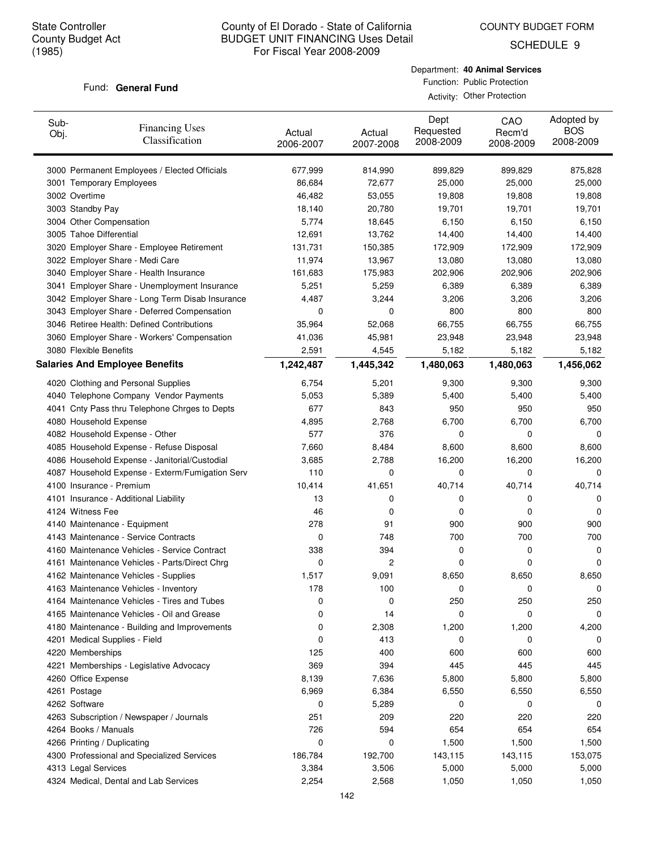COUNTY BUDGET FORM

SCHEDULE 9

#### Fund: General Fund

Department: **40 Animal Services** Function: Public Protection

Activity: Other Protection

| Sub-<br>Obj. | <b>Financing Uses</b><br>Classification         | Actual<br>2006-2007 | Actual<br>2007-2008 | Dept<br>Requested<br>2008-2009 | CAO<br>Recm'd<br>2008-2009 | Adopted by<br><b>BOS</b><br>2008-2009 |
|--------------|-------------------------------------------------|---------------------|---------------------|--------------------------------|----------------------------|---------------------------------------|
|              | 3000 Permanent Employees / Elected Officials    | 677,999             | 814,990             | 899,829                        | 899,829                    | 875,828                               |
|              | 3001 Temporary Employees                        | 86,684              | 72,677              | 25,000                         | 25,000                     | 25,000                                |
|              | 3002 Overtime                                   | 46,482              | 53,055              | 19,808                         | 19,808                     | 19,808                                |
|              | 3003 Standby Pay                                | 18,140              | 20,780              | 19,701                         | 19,701                     | 19,701                                |
|              | 3004 Other Compensation                         | 5,774               | 18,645              | 6,150                          | 6,150                      | 6,150                                 |
|              | 3005 Tahoe Differential                         | 12,691              | 13,762              | 14,400                         | 14,400                     | 14,400                                |
|              | 3020 Employer Share - Employee Retirement       | 131,731             | 150,385             | 172,909                        | 172,909                    | 172,909                               |
|              | 3022 Employer Share - Medi Care                 | 11,974              | 13,967              | 13,080                         | 13,080                     | 13,080                                |
|              | 3040 Employer Share - Health Insurance          | 161,683             | 175,983             | 202,906                        | 202,906                    | 202,906                               |
|              | 3041 Employer Share - Unemployment Insurance    | 5,251               | 5,259               | 6,389                          | 6,389                      | 6,389                                 |
|              | 3042 Employer Share - Long Term Disab Insurance | 4,487               | 3,244               | 3,206                          | 3,206                      | 3,206                                 |
|              | 3043 Employer Share - Deferred Compensation     | 0                   | 0                   | 800                            | 800                        | 800                                   |
|              | 3046 Retiree Health: Defined Contributions      | 35,964              | 52,068              | 66,755                         | 66,755                     | 66,755                                |
|              | 3060 Employer Share - Workers' Compensation     | 41,036              | 45,981              | 23,948                         | 23,948                     | 23,948                                |
|              | 3080 Flexible Benefits                          | 2,591               | 4,545               | 5,182                          | 5,182                      | 5,182                                 |
|              | <b>Salaries And Employee Benefits</b>           | 1,242,487           | 1,445,342           | 1,480,063                      | 1,480,063                  | 1,456,062                             |
|              | 4020 Clothing and Personal Supplies             | 6,754               | 5,201               | 9,300                          | 9,300                      | 9,300                                 |
|              | 4040 Telephone Company Vendor Payments          | 5,053               | 5,389               | 5,400                          | 5,400                      | 5,400                                 |
|              | 4041 Cnty Pass thru Telephone Chrges to Depts   | 677                 | 843                 | 950                            | 950                        | 950                                   |
|              | 4080 Household Expense                          | 4,895               | 2,768               | 6,700                          | 6,700                      | 6,700                                 |
|              | 4082 Household Expense - Other                  | 577                 | 376                 | 0                              | 0                          | 0                                     |
|              | 4085 Household Expense - Refuse Disposal        | 7,660               | 8,484               | 8,600                          | 8,600                      | 8,600                                 |
|              | 4086 Household Expense - Janitorial/Custodial   | 3,685               | 2,788               | 16,200                         | 16,200                     | 16,200                                |
|              | 4087 Household Expense - Exterm/Fumigation Serv | 110                 | 0                   | 0                              | 0                          | 0                                     |
|              | 4100 Insurance - Premium                        | 10,414              | 41,651              | 40,714                         | 40,714                     | 40,714                                |
|              | 4101 Insurance - Additional Liability           | 13                  | 0                   | 0                              | 0                          | 0                                     |
|              | 4124 Witness Fee                                | 46                  | 0                   | 0                              | 0                          | 0                                     |
|              | 4140 Maintenance - Equipment                    | 278                 | 91                  | 900                            | 900                        | 900                                   |
|              | 4143 Maintenance - Service Contracts            | 0                   | 748                 | 700                            | 700                        | 700                                   |
|              | 4160 Maintenance Vehicles - Service Contract    | 338                 | 394                 | 0                              | 0                          | 0                                     |
|              | 4161 Maintenance Vehicles - Parts/Direct Chrg   | 0                   | 2                   | 0                              | 0                          | 0                                     |
|              | 4162 Maintenance Vehicles - Supplies            | 1,517               | 9,091               | 8,650                          | 8,650                      | 8,650                                 |
|              | 4163 Maintenance Vehicles - Inventory           | 178                 | 100                 | 0                              | 0                          | 0                                     |
|              | 4164 Maintenance Vehicles - Tires and Tubes     | 0                   | 0                   | 250                            | 250                        | 250                                   |
|              | 4165 Maintenance Vehicles - Oil and Grease      | 0                   | 14                  | 0                              | 0                          | 0                                     |
|              | 4180 Maintenance - Building and Improvements    | 0                   | 2,308               | 1,200                          | 1,200                      | 4,200                                 |
|              | 4201 Medical Supplies - Field                   | 0                   | 413                 | 0                              | 0                          | 0                                     |
|              | 4220 Memberships                                | 125                 | 400                 | 600                            | 600                        | 600                                   |
|              | 4221 Memberships - Legislative Advocacy         | 369                 | 394                 | 445                            | 445                        | 445                                   |
|              | 4260 Office Expense                             | 8,139               | 7,636               | 5,800                          | 5,800                      | 5,800                                 |
|              | 4261 Postage                                    | 6,969               | 6,384               | 6,550                          | 6,550                      | 6,550                                 |
|              | 4262 Software                                   | 0                   | 5,289               | 0                              | 0                          | 0                                     |
|              | 4263 Subscription / Newspaper / Journals        | 251                 | 209                 | 220                            | 220                        | 220                                   |
|              | 4264 Books / Manuals                            | 726                 | 594                 | 654                            | 654                        | 654                                   |
|              | 4266 Printing / Duplicating                     | 0                   | 0                   | 1,500                          | 1,500                      | 1,500                                 |
|              | 4300 Professional and Specialized Services      | 186,784             | 192,700             | 143,115                        | 143,115                    | 153,075                               |
|              | 4313 Legal Services                             | 3,384               | 3,506               | 5,000                          | 5,000                      | 5,000                                 |
|              | 4324 Medical, Dental and Lab Services           | 2,254               | 2,568               | 1,050                          | 1,050                      | 1,050                                 |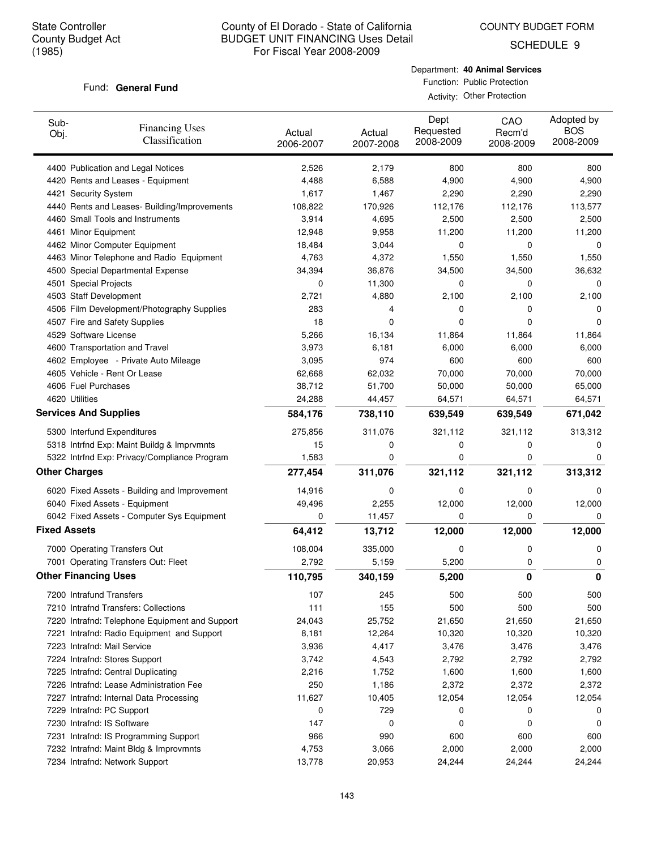SCHEDULE 9

## Fund: General Fund

Department: **40 Animal Services** Function: Public Protection

Activity: Other Protection

| Sub-<br>Obj.        | <b>Financing Uses</b><br>Classification        | Actual<br>2006-2007 | Actual<br>2007-2008 | Dept<br>Requested<br>2008-2009 | CAO<br>Recm'd<br>2008-2009 | Adopted by<br><b>BOS</b><br>2008-2009 |
|---------------------|------------------------------------------------|---------------------|---------------------|--------------------------------|----------------------------|---------------------------------------|
|                     | 4400 Publication and Legal Notices             | 2,526               | 2,179               | 800                            | 800                        | 800                                   |
|                     | 4420 Rents and Leases - Equipment              | 4,488               | 6,588               | 4,900                          | 4,900                      | 4,900                                 |
|                     | 4421 Security System                           | 1,617               | 1,467               | 2,290                          | 2,290                      | 2,290                                 |
|                     | 4440 Rents and Leases- Building/Improvements   | 108,822             | 170,926             | 112,176                        | 112,176                    | 113,577                               |
|                     | 4460 Small Tools and Instruments               | 3,914               | 4,695               | 2,500                          | 2,500                      | 2,500                                 |
|                     | 4461 Minor Equipment                           | 12,948              | 9,958               | 11,200                         | 11,200                     | 11,200                                |
|                     | 4462 Minor Computer Equipment                  | 18,484              | 3,044               | 0                              | 0                          | 0                                     |
|                     | 4463 Minor Telephone and Radio Equipment       | 4,763               | 4,372               | 1,550                          | 1,550                      | 1,550                                 |
|                     | 4500 Special Departmental Expense              | 34,394              | 36,876              | 34,500                         | 34,500                     | 36,632                                |
|                     | 4501 Special Projects                          | 0                   | 11,300              | 0                              | 0                          | 0                                     |
|                     | 4503 Staff Development                         | 2,721               | 4,880               | 2,100                          | 2,100                      | 2,100                                 |
|                     | 4506 Film Development/Photography Supplies     | 283                 | 4                   | 0                              | 0                          | 0                                     |
|                     | 4507 Fire and Safety Supplies                  | 18                  | 0                   | 0                              | 0                          | $\Omega$                              |
|                     | 4529 Software License                          | 5,266               | 16,134              | 11,864                         | 11,864                     | 11,864                                |
|                     | 4600 Transportation and Travel                 | 3,973               | 6,181               | 6,000                          | 6,000                      | 6,000                                 |
|                     | 4602 Employee - Private Auto Mileage           | 3,095               | 974                 | 600                            | 600                        | 600                                   |
|                     | 4605 Vehicle - Rent Or Lease                   | 62,668              | 62,032              | 70,000                         | 70,000                     | 70,000                                |
|                     | 4606 Fuel Purchases                            | 38,712              | 51,700              | 50,000                         | 50,000                     | 65,000                                |
|                     | 4620 Utilities                                 | 24,288              | 44,457              | 64,571                         | 64,571                     | 64,571                                |
|                     | <b>Services And Supplies</b>                   | 584,176             | 738,110             | 639,549                        | 639,549                    | 671,042                               |
|                     | 5300 Interfund Expenditures                    | 275,856             | 311,076             | 321,112                        | 321,112                    | 313,312                               |
|                     | 5318 Intrfnd Exp: Maint Buildg & Imprvmnts     | 15                  | 0                   | 0                              | 0                          | 0                                     |
|                     | 5322 Intrfnd Exp: Privacy/Compliance Program   | 1,583               | 0                   | 0                              | 0                          | 0                                     |
|                     | <b>Other Charges</b>                           | 277,454             | 311,076             | 321,112                        | 321,112                    | 313,312                               |
|                     | 6020 Fixed Assets - Building and Improvement   | 14,916              | 0                   | 0                              | 0                          | 0                                     |
|                     | 6040 Fixed Assets - Equipment                  | 49,496              | 2,255               | 12,000                         | 12,000                     | 12,000                                |
|                     | 6042 Fixed Assets - Computer Sys Equipment     | 0                   | 11,457              | 0                              | 0                          | 0                                     |
| <b>Fixed Assets</b> |                                                | 64,412              | 13,712              | 12,000                         | 12,000                     | 12,000                                |
|                     | 7000 Operating Transfers Out                   | 108,004             | 335,000             | 0                              | 0                          | 0                                     |
|                     | 7001 Operating Transfers Out: Fleet            | 2,792               | 5,159               | 5,200                          | 0                          | 0                                     |
|                     | <b>Other Financing Uses</b>                    | 110,795             | 340,159             | 5,200                          | 0                          | 0                                     |
|                     | 7200 Intrafund Transfers                       | 107                 | 245                 | 500                            | 500                        | 500                                   |
|                     | 7210 Intrafnd Transfers: Collections           | 111                 | 155                 | 500                            | 500                        | 500                                   |
|                     | 7220 Intrafnd: Telephone Equipment and Support | 24,043              | 25,752              | 21,650                         | 21,650                     | 21,650                                |
|                     | 7221 Intrafnd: Radio Equipment and Support     | 8,181               | 12,264              | 10,320                         | 10,320                     | 10,320                                |
|                     | 7223 Intrafnd: Mail Service                    | 3,936               | 4,417               | 3,476                          | 3,476                      | 3,476                                 |
|                     | 7224 Intrafnd: Stores Support                  | 3,742               | 4,543               | 2,792                          | 2,792                      | 2,792                                 |
|                     | 7225 Intrafnd: Central Duplicating             | 2,216               | 1,752               | 1,600                          | 1,600                      | 1,600                                 |
|                     | 7226 Intrafnd: Lease Administration Fee        | 250                 | 1,186               | 2,372                          | 2,372                      | 2,372                                 |
|                     | 7227 Intrafnd: Internal Data Processing        | 11,627              | 10,405              | 12,054                         | 12,054                     | 12,054                                |
|                     | 7229 Intrafnd: PC Support                      | 0                   | 729                 | 0                              | 0                          | 0                                     |
|                     | 7230 Intrafnd: IS Software                     | 147                 | 0                   | 0                              | 0                          | 0                                     |
|                     | 7231 Intrafnd: IS Programming Support          | 966                 | 990                 | 600                            | 600                        | 600                                   |
|                     | 7232 Intrafnd: Maint Bldg & Improvmnts         | 4,753               | 3,066               | 2,000                          | 2,000                      | 2,000                                 |
|                     | 7234 Intrafnd: Network Support                 | 13,778              | 20,953              | 24,244                         | 24,244                     | 24,244                                |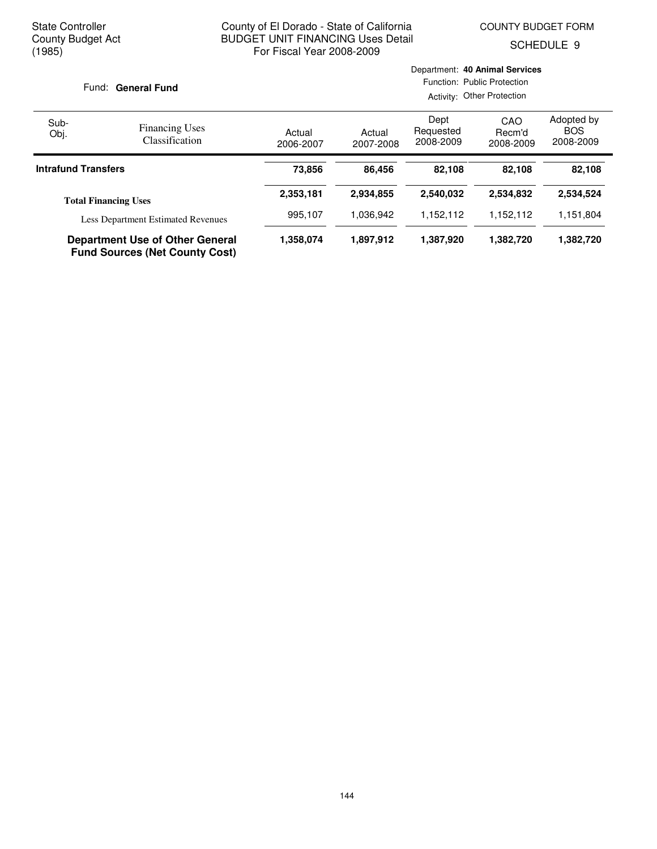Department: **40 Animal Services**

SCHEDULE 9

| Fund: General Fund                        |                                                                                 |                     | Function: Public Protection<br>Activity: Other Protection |                                       |           |           |  |
|-------------------------------------------|---------------------------------------------------------------------------------|---------------------|-----------------------------------------------------------|---------------------------------------|-----------|-----------|--|
| Sub-<br>Obj.                              | <b>Financing Uses</b><br><b>Classification</b>                                  | Actual<br>2006-2007 | Actual<br>2007-2008                                       | Adopted by<br><b>BOS</b><br>2008-2009 |           |           |  |
| <b>Intrafund Transfers</b>                |                                                                                 | 73,856              | 86.456                                                    | 82.108                                | 82.108    | 82,108    |  |
|                                           | <b>Total Financing Uses</b>                                                     | 2,353,181           | 2,934,855                                                 | 2,540,032                             | 2,534,832 | 2,534,524 |  |
| <b>Less Department Estimated Revenues</b> |                                                                                 | 995,107             | 1,036,942                                                 | 1,152,112                             | 1,152,112 | 1,151,804 |  |
|                                           | <b>Department Use of Other General</b><br><b>Fund Sources (Net County Cost)</b> | 1,358,074           | 1,897,912                                                 | 1,387,920                             | 1,382,720 | 1,382,720 |  |

#### 144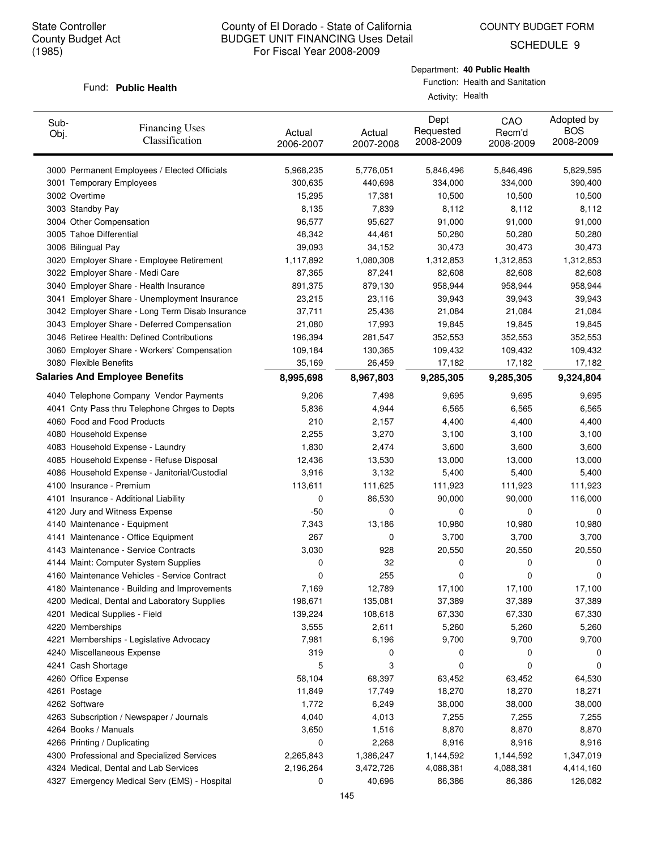COUNTY BUDGET FORM

SCHEDULE 9

#### Fund: Public Health

Department: **40 Public Health**

| Sub-<br>Obj. | <b>Financing Uses</b><br>Classification         | Actual<br>2006-2007 | Actual<br>2007-2008 | Dept<br>Requested<br>2008-2009 | CAO<br>Recm'd<br>2008-2009 | Adopted by<br><b>BOS</b><br>2008-2009 |
|--------------|-------------------------------------------------|---------------------|---------------------|--------------------------------|----------------------------|---------------------------------------|
|              | 3000 Permanent Employees / Elected Officials    | 5,968,235           | 5,776,051           | 5,846,496                      | 5,846,496                  | 5,829,595                             |
|              | 3001 Temporary Employees                        | 300,635             | 440,698             | 334,000                        | 334,000                    | 390,400                               |
|              | 3002 Overtime                                   | 15,295              | 17,381              | 10,500                         | 10,500                     | 10,500                                |
|              | 3003 Standby Pay                                | 8,135               | 7,839               | 8,112                          | 8,112                      | 8,112                                 |
|              | 3004 Other Compensation                         | 96,577              | 95,627              | 91,000                         | 91,000                     | 91,000                                |
|              | 3005 Tahoe Differential                         | 48,342              | 44,461              | 50,280                         | 50,280                     | 50,280                                |
|              | 3006 Bilingual Pay                              | 39,093              | 34,152              | 30,473                         | 30,473                     | 30,473                                |
|              | 3020 Employer Share - Employee Retirement       | 1,117,892           | 1,080,308           | 1,312,853                      | 1,312,853                  | 1,312,853                             |
|              | 3022 Employer Share - Medi Care                 | 87,365              | 87,241              | 82,608                         | 82,608                     | 82,608                                |
|              | 3040 Employer Share - Health Insurance          | 891,375             | 879,130             | 958,944                        | 958,944                    | 958,944                               |
|              | 3041 Employer Share - Unemployment Insurance    | 23,215              | 23,116              | 39,943                         | 39,943                     | 39,943                                |
|              | 3042 Employer Share - Long Term Disab Insurance | 37,711              | 25,436              | 21,084                         | 21,084                     | 21,084                                |
|              | 3043 Employer Share - Deferred Compensation     | 21,080              | 17,993              | 19,845                         | 19,845                     | 19,845                                |
|              | 3046 Retiree Health: Defined Contributions      | 196,394             | 281,547             | 352,553                        | 352,553                    | 352,553                               |
|              | 3060 Employer Share - Workers' Compensation     | 109,184             | 130,365             | 109,432                        | 109,432                    | 109,432                               |
|              | 3080 Flexible Benefits                          | 35,169              | 26,459              | 17,182                         | 17,182                     | 17,182                                |
|              | <b>Salaries And Employee Benefits</b>           | 8,995,698           | 8,967,803           | 9,285,305                      | 9,285,305                  | 9,324,804                             |
|              | 4040 Telephone Company Vendor Payments          | 9,206               | 7,498               | 9,695                          | 9,695                      | 9,695                                 |
|              | 4041 Cnty Pass thru Telephone Chrges to Depts   | 5,836               | 4,944               | 6,565                          | 6,565                      | 6,565                                 |
|              | 4060 Food and Food Products                     | 210                 | 2,157               | 4,400                          | 4,400                      | 4,400                                 |
|              | 4080 Household Expense                          | 2,255               | 3,270               | 3,100                          | 3,100                      | 3,100                                 |
|              | 4083 Household Expense - Laundry                | 1,830               | 2,474               | 3,600                          | 3,600                      | 3,600                                 |
|              | 4085 Household Expense - Refuse Disposal        | 12,436              | 13,530              | 13,000                         | 13,000                     | 13,000                                |
|              | 4086 Household Expense - Janitorial/Custodial   | 3,916               | 3,132               | 5,400                          | 5,400                      | 5,400                                 |
|              | 4100 Insurance - Premium                        | 113,611             | 111,625             | 111,923                        | 111,923                    | 111,923                               |
|              |                                                 | 0                   |                     |                                |                            |                                       |
|              | 4101 Insurance - Additional Liability           | $-50$               | 86,530<br>0         | 90,000<br>0                    | 90,000<br>0                | 116,000                               |
|              | 4120 Jury and Witness Expense                   |                     |                     |                                |                            | 0                                     |
|              | 4140 Maintenance - Equipment                    | 7,343<br>267        | 13,186              | 10,980                         | 10,980                     | 10,980                                |
|              | 4141 Maintenance - Office Equipment             |                     | 0                   | 3,700                          | 3,700                      | 3,700                                 |
|              | 4143 Maintenance - Service Contracts            | 3,030               | 928                 | 20,550                         | 20,550                     | 20,550                                |
|              | 4144 Maint: Computer System Supplies            | 0                   | 32                  | 0                              | 0                          | 0                                     |
|              | 4160 Maintenance Vehicles - Service Contract    | 0                   | 255                 | 0                              | 0                          | 0                                     |
|              | 4180 Maintenance - Building and Improvements    | 7,169               | 12,789              | 17,100                         | 17,100                     | 17,100                                |
|              | 4200 Medical, Dental and Laboratory Supplies    | 198,671             | 135,081             | 37,389                         | 37,389                     | 37,389                                |
|              | 4201 Medical Supplies - Field                   | 139,224             | 108,618             | 67,330                         | 67,330                     | 67,330                                |
|              | 4220 Memberships                                | 3,555               | 2,611               | 5,260                          | 5,260                      | 5,260                                 |
|              | 4221 Memberships - Legislative Advocacy         | 7,981               | 6,196               | 9,700                          | 9,700                      | 9,700                                 |
|              | 4240 Miscellaneous Expense                      | 319                 | 0                   | 0                              | 0                          | 0                                     |
|              | 4241 Cash Shortage                              | 5                   | 3                   | 0                              | 0                          | 0                                     |
|              | 4260 Office Expense                             | 58,104              | 68,397              | 63,452                         | 63,452                     | 64,530                                |
|              | 4261 Postage                                    | 11,849              | 17,749              | 18,270                         | 18,270                     | 18,271                                |
|              | 4262 Software                                   | 1,772               | 6,249               | 38,000                         | 38,000                     | 38,000                                |
|              | 4263 Subscription / Newspaper / Journals        | 4,040               | 4,013               | 7,255                          | 7,255                      | 7,255                                 |
|              | 4264 Books / Manuals                            | 3,650               | 1,516               | 8,870                          | 8,870                      | 8,870                                 |
|              | 4266 Printing / Duplicating                     | 0                   | 2,268               | 8,916                          | 8,916                      | 8,916                                 |
|              | 4300 Professional and Specialized Services      | 2,265,843           | 1,386,247           | 1,144,592                      | 1,144,592                  | 1,347,019                             |
|              | 4324 Medical, Dental and Lab Services           | 2,196,264           | 3,472,726           | 4,088,381                      | 4,088,381                  | 4,414,160                             |
|              | 4327 Emergency Medical Serv (EMS) - Hospital    | 0                   | 40,696              | 86,386                         | 86,386                     | 126,082                               |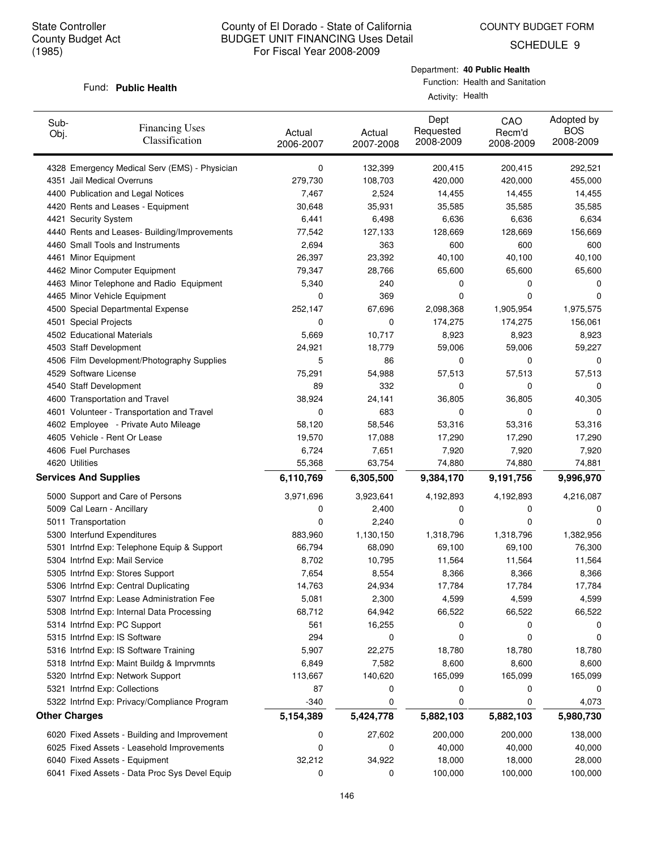SCHEDULE 9

#### Fund: Public Health

Department: **40 Public Health**

| Sub-<br>Obj.                 | <b>Financing Uses</b><br>Classification       | Actual<br>2006-2007 | Actual<br>2007-2008 | Dept<br>Requested<br>2008-2009 | CAO<br>Recm'd<br>2008-2009 | Adopted by<br><b>BOS</b><br>2008-2009 |
|------------------------------|-----------------------------------------------|---------------------|---------------------|--------------------------------|----------------------------|---------------------------------------|
|                              | 4328 Emergency Medical Serv (EMS) - Physician | 0                   | 132,399             | 200,415                        | 200,415                    | 292,521                               |
| 4351 Jail Medical Overruns   |                                               | 279,730             | 108,703             | 420,000                        | 420,000                    | 455,000                               |
|                              | 4400 Publication and Legal Notices            | 7,467               | 2,524               | 14,455                         | 14,455                     | 14,455                                |
|                              | 4420 Rents and Leases - Equipment             | 30,648              | 35,931              | 35,585                         | 35,585                     | 35,585                                |
| 4421 Security System         |                                               | 6,441               | 6,498               | 6,636                          | 6,636                      | 6,634                                 |
|                              | 4440 Rents and Leases- Building/Improvements  | 77,542              | 127,133             | 128,669                        | 128,669                    | 156,669                               |
|                              | 4460 Small Tools and Instruments              | 2,694               | 363                 | 600                            | 600                        | 600                                   |
| 4461 Minor Equipment         |                                               | 26,397              | 23,392              | 40,100                         | 40,100                     | 40,100                                |
|                              | 4462 Minor Computer Equipment                 | 79,347              | 28,766              | 65,600                         | 65,600                     | 65,600                                |
|                              | 4463 Minor Telephone and Radio Equipment      | 5,340               | 240                 | 0                              | 0                          | 0                                     |
|                              | 4465 Minor Vehicle Equipment                  | 0                   | 369                 | 0                              | 0                          | 0                                     |
|                              | 4500 Special Departmental Expense             | 252,147             | 67,696              | 2,098,368                      | 1,905,954                  | 1,975,575                             |
| 4501 Special Projects        |                                               | 0                   | 0                   | 174,275                        | 174,275                    | 156,061                               |
| 4502 Educational Materials   |                                               | 5,669               | 10,717              | 8,923                          | 8,923                      | 8,923                                 |
| 4503 Staff Development       |                                               | 24,921              | 18,779              | 59,006                         | 59,006                     | 59,227                                |
|                              | 4506 Film Development/Photography Supplies    | 5                   | 86                  | 0                              | 0                          | 0                                     |
| 4529 Software License        |                                               | 75,291              | 54,988              | 57,513                         | 57,513                     | 57,513                                |
| 4540 Staff Development       |                                               | 89                  | 332                 | 0                              | 0                          | 0                                     |
|                              | 4600 Transportation and Travel                | 38,924              | 24,141              | 36,805                         | 36,805                     | 40,305                                |
|                              | 4601 Volunteer - Transportation and Travel    | 0                   | 683                 | 0                              | 0                          | 0                                     |
|                              | 4602 Employee - Private Auto Mileage          | 58,120              | 58,546              | 53,316                         | 53,316                     | 53,316                                |
|                              | 4605 Vehicle - Rent Or Lease                  | 19,570              | 17,088              | 17,290                         | 17,290                     | 17,290                                |
| 4606 Fuel Purchases          |                                               | 6,724               | 7,651               | 7,920                          | 7,920                      | 7,920                                 |
| 4620 Utilities               |                                               | 55,368              | 63,754              | 74,880                         | 74,880                     | 74,881                                |
| <b>Services And Supplies</b> |                                               | 6,110,769           | 6,305,500           | 9,384,170                      | 9,191,756                  | 9,996,970                             |
|                              | 5000 Support and Care of Persons              | 3,971,696           | 3,923,641           | 4,192,893                      | 4,192,893                  | 4,216,087                             |
| 5009 Cal Learn - Ancillary   |                                               | 0                   | 2,400               | 0                              | 0                          | 0                                     |
| 5011 Transportation          |                                               | 0                   | 2,240               | 0                              | 0                          | $\Omega$                              |
|                              | 5300 Interfund Expenditures                   | 883,960             | 1,130,150           | 1,318,796                      | 1,318,796                  | 1,382,956                             |
|                              | 5301 Intrfnd Exp: Telephone Equip & Support   | 66,794              | 68,090              | 69,100                         | 69,100                     | 76,300                                |
|                              | 5304 Intrfnd Exp: Mail Service                | 8,702               | 10,795              | 11,564                         | 11,564                     | 11,564                                |
|                              | 5305 Intrfnd Exp: Stores Support              | 7,654               | 8,554               | 8,366                          | 8,366                      | 8,366                                 |
|                              | 5306 Intrfnd Exp: Central Duplicating         | 14,763              | 24,934              | 17,784                         | 17,784                     | 17,784                                |
|                              | 5307 Intrfnd Exp: Lease Administration Fee    | 5,081               | 2,300               | 4,599                          | 4,599                      | 4,599                                 |
|                              | 5308 Intrfnd Exp: Internal Data Processing    | 68,712              | 64,942              | 66,522                         | 66,522                     | 66,522                                |
|                              | 5314 Intrfnd Exp: PC Support                  | 561                 | 16,255              | 0                              | 0                          | 0                                     |
|                              | 5315 Intrfnd Exp: IS Software                 | 294                 | 0                   | 0                              | 0                          | 0                                     |
|                              | 5316 Intrfnd Exp: IS Software Training        | 5,907               | 22,275              | 18,780                         | 18,780                     | 18,780                                |
|                              | 5318 Intrfnd Exp: Maint Buildg & Imprvmnts    | 6,849               | 7,582               | 8,600                          | 8,600                      | 8,600                                 |
|                              | 5320 Intrfnd Exp: Network Support             | 113,667             | 140,620             | 165,099                        | 165,099                    | 165,099                               |
|                              | 5321 Intrfnd Exp: Collections                 | 87                  | 0                   | 0                              | 0                          | 0                                     |
|                              | 5322 Intrfnd Exp: Privacy/Compliance Program  | -340                | 0                   | 0                              | 0                          | 4,073                                 |
| <b>Other Charges</b>         |                                               | 5,154,389           | 5,424,778           | 5,882,103                      | 5,882,103                  | 5,980,730                             |
|                              | 6020 Fixed Assets - Building and Improvement  | 0                   | 27,602              | 200,000                        | 200,000                    | 138,000                               |
|                              | 6025 Fixed Assets - Leasehold Improvements    | 0                   | 0                   | 40,000                         | 40,000                     | 40,000                                |
|                              | 6040 Fixed Assets - Equipment                 | 32,212              | 34,922              | 18,000                         | 18,000                     | 28,000                                |
|                              | 6041 Fixed Assets - Data Proc Sys Devel Equip | 0                   | 0                   | 100,000                        | 100,000                    | 100,000                               |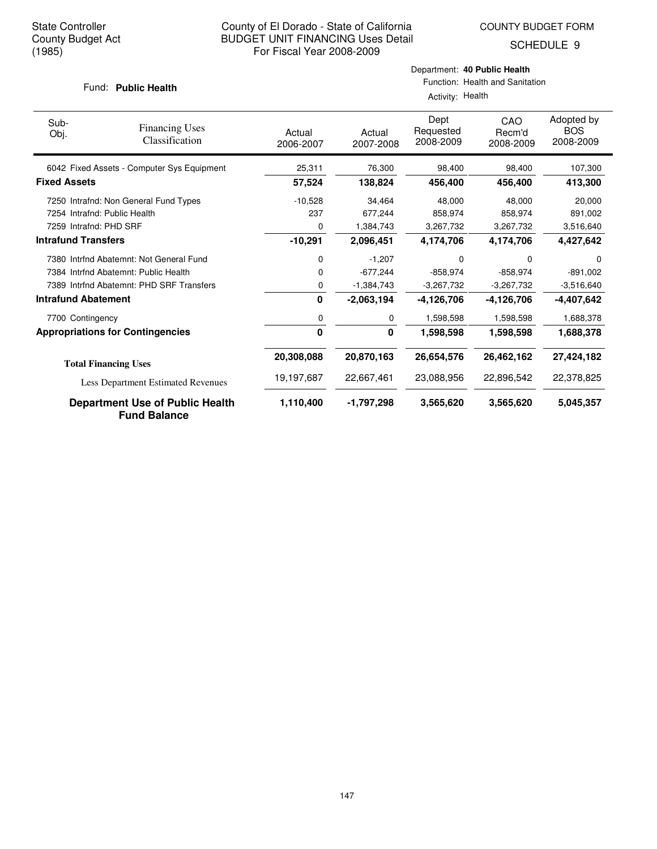SCHEDULE 9

#### Fund: Public Health

| Sub-<br>Obj.               | <b>Financing Uses</b><br>Classification                       | Actual<br>2006-2007 | Actual<br>2007-2008 | Dept<br>Requested<br>2008-2009 | CAO<br>Recm'd<br>2008-2009 | Adopted by<br><b>BOS</b><br>2008-2009 |
|----------------------------|---------------------------------------------------------------|---------------------|---------------------|--------------------------------|----------------------------|---------------------------------------|
|                            | 6042 Fixed Assets - Computer Sys Equipment                    | 25,311              | 76,300              | 98,400                         | 98,400                     | 107,300                               |
| <b>Fixed Assets</b>        |                                                               | 57,524              | 138,824             | 456,400                        | 456,400                    | 413,300                               |
|                            | 7250 Intrafnd: Non General Fund Types                         | $-10,528$           | 34,464              | 48,000                         | 48,000                     | 20,000                                |
|                            | 7254 Intrafnd: Public Health                                  | 237                 | 677,244             | 858,974                        | 858,974                    | 891,002                               |
| 7259 Intrafnd: PHD SRF     |                                                               | 0                   | 1,384,743           | 3,267,732                      | 3,267,732                  | 3,516,640                             |
| <b>Intrafund Transfers</b> |                                                               | $-10,291$           | 2,096,451           | 4,174,706                      | 4,174,706                  | 4,427,642                             |
|                            | 7380 Intrfnd Abatemnt: Not General Fund                       | 0                   | $-1,207$            | 0                              | 0                          | 0                                     |
|                            | 7384 Intrind Abatemnt: Public Health                          | 0                   | $-677,244$          | $-858,974$                     | $-858,974$                 | $-891,002$                            |
|                            | 7389 Intrind Abatemnt: PHD SRF Transfers                      | 0                   | $-1,384,743$        | $-3,267,732$                   | $-3,267,732$               | $-3,516,640$                          |
| <b>Intrafund Abatement</b> |                                                               | 0                   | $-2,063,194$        | $-4,126,706$                   | $-4,126,706$               | $-4,407,642$                          |
| 7700 Contingency           |                                                               | 0                   | 0                   | 1,598,598                      | 1,598,598                  | 1,688,378                             |
|                            | <b>Appropriations for Contingencies</b>                       | 0                   | $\mathbf{0}$        | 1,598,598                      | 1,598,598                  | 1,688,378                             |
|                            | <b>Total Financing Uses</b>                                   | 20,308,088          | 20,870,163          | 26,654,576                     | 26,462,162                 | 27,424,182                            |
|                            | Less Department Estimated Revenues                            | 19,197,687          | 22,667,461          | 23,088,956                     | 22,896,542                 | 22,378,825                            |
|                            | <b>Department Use of Public Health</b><br><b>Fund Balance</b> | 1,110,400           | -1,797,298          | 3,565,620                      | 3,565,620                  | 5,045,357                             |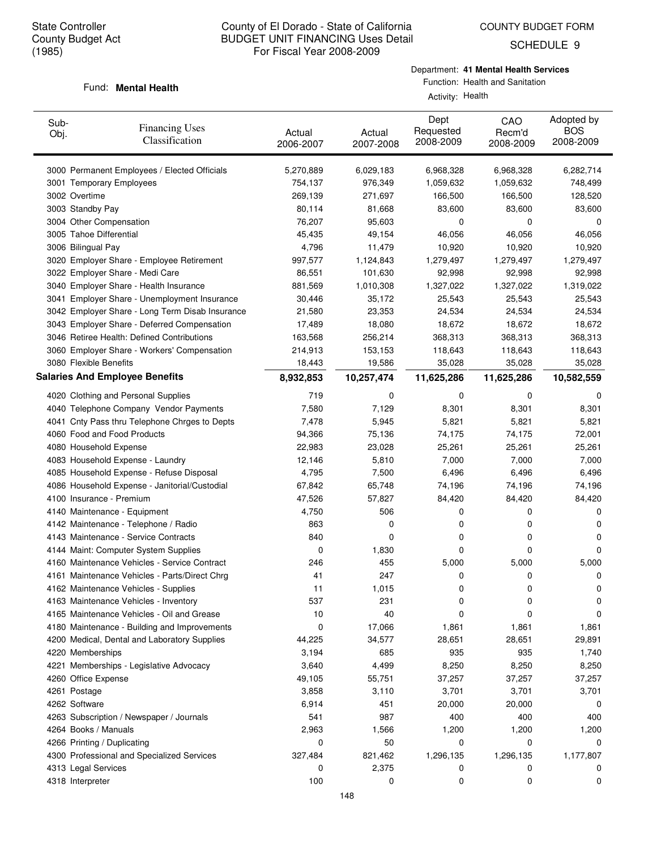SCHEDULE 9

# Department: **41 Mental Health Services**

#### Fund: **Mental Health**

| Sub-<br>Obj. | <b>Financing Uses</b><br>Classification         | Actual<br>2006-2007 | Actual<br>2007-2008 | Dept<br>Requested<br>2008-2009 | CAO<br>Recm'd<br>2008-2009 | Adopted by<br><b>BOS</b><br>2008-2009 |
|--------------|-------------------------------------------------|---------------------|---------------------|--------------------------------|----------------------------|---------------------------------------|
|              | 3000 Permanent Employees / Elected Officials    | 5,270,889           | 6,029,183           | 6,968,328                      | 6,968,328                  | 6,282,714                             |
|              | 3001 Temporary Employees                        | 754,137             | 976,349             | 1,059,632                      | 1,059,632                  | 748,499                               |
|              | 3002 Overtime                                   | 269,139             | 271,697             | 166,500                        | 166,500                    | 128,520                               |
|              | 3003 Standby Pay                                | 80,114              | 81,668              | 83,600                         | 83,600                     | 83,600                                |
|              | 3004 Other Compensation                         | 76,207              | 95,603              | 0                              | 0                          | 0                                     |
|              | 3005 Tahoe Differential                         | 45,435              | 49,154              | 46,056                         | 46,056                     | 46,056                                |
|              | 3006 Bilingual Pay                              | 4,796               | 11,479              | 10,920                         | 10,920                     | 10,920                                |
|              | 3020 Employer Share - Employee Retirement       | 997,577             | 1,124,843           | 1,279,497                      | 1,279,497                  | 1,279,497                             |
|              | 3022 Employer Share - Medi Care                 | 86,551              | 101,630             | 92,998                         | 92,998                     | 92,998                                |
|              | 3040 Employer Share - Health Insurance          | 881,569             | 1,010,308           | 1,327,022                      | 1,327,022                  | 1,319,022                             |
|              | 3041 Employer Share - Unemployment Insurance    | 30,446              | 35,172              | 25,543                         | 25,543                     | 25,543                                |
|              | 3042 Employer Share - Long Term Disab Insurance | 21,580              | 23,353              | 24,534                         | 24,534                     | 24,534                                |
|              | 3043 Employer Share - Deferred Compensation     | 17,489              | 18,080              | 18,672                         | 18,672                     | 18,672                                |
|              | 3046 Retiree Health: Defined Contributions      | 163,568             | 256,214             | 368,313                        | 368,313                    | 368,313                               |
|              | 3060 Employer Share - Workers' Compensation     | 214,913             | 153,153             | 118,643                        | 118,643                    | 118,643                               |
|              | 3080 Flexible Benefits                          | 18,443              | 19,586              | 35,028                         | 35,028                     | 35,028                                |
|              | <b>Salaries And Employee Benefits</b>           | 8,932,853           | 10,257,474          | 11,625,286                     | 11,625,286                 | 10,582,559                            |
|              | 4020 Clothing and Personal Supplies             | 719                 | 0                   | 0                              | 0                          | 0                                     |
|              | 4040 Telephone Company Vendor Payments          | 7,580               | 7,129               | 8,301                          | 8,301                      | 8,301                                 |
|              | 4041 Cnty Pass thru Telephone Chrges to Depts   | 7,478               | 5,945               | 5,821                          | 5,821                      | 5,821                                 |
|              | 4060 Food and Food Products                     | 94,366              | 75,136              | 74,175                         | 74,175                     | 72,001                                |
|              | 4080 Household Expense                          | 22,983              | 23,028              | 25,261                         | 25,261                     | 25,261                                |
|              | 4083 Household Expense - Laundry                | 12,146              | 5,810               | 7,000                          | 7,000                      | 7,000                                 |
|              | 4085 Household Expense - Refuse Disposal        | 4,795               | 7,500               | 6,496                          | 6,496                      | 6,496                                 |
|              | 4086 Household Expense - Janitorial/Custodial   | 67,842              | 65,748              | 74,196                         | 74,196                     | 74,196                                |
|              | 4100 Insurance - Premium                        | 47,526              | 57,827              | 84,420                         | 84,420                     | 84,420                                |
|              | 4140 Maintenance - Equipment                    | 4,750               | 506                 | 0                              | 0                          | 0                                     |
|              | 4142 Maintenance - Telephone / Radio            | 863                 | 0                   | 0                              | 0                          | 0                                     |
|              | 4143 Maintenance - Service Contracts            | 840                 | 0                   | 0                              | 0                          | 0                                     |
|              | 4144 Maint: Computer System Supplies            | 0                   | 1,830               | 0                              | 0                          | 0                                     |
|              | 4160 Maintenance Vehicles - Service Contract    | 246                 | 455                 | 5,000                          | 5,000                      | 5,000                                 |
|              | 4161 Maintenance Vehicles - Parts/Direct Chrg   | 41                  | 247                 | 0                              | 0                          | 0                                     |
|              | 4162 Maintenance Vehicles - Supplies            | 11                  | 1,015               | 0                              | 0                          | 0                                     |
|              | 4163 Maintenance Vehicles - Inventory           | 537                 | 231                 | 0                              | 0                          | 0                                     |
|              | 4165 Maintenance Vehicles - Oil and Grease      | 10                  | 40                  | 0                              | 0                          | 0                                     |
|              | 4180 Maintenance - Building and Improvements    | 0                   | 17,066              | 1,861                          | 1,861                      | 1,861                                 |
|              | 4200 Medical, Dental and Laboratory Supplies    | 44,225              | 34,577              | 28,651                         | 28,651                     | 29,891                                |
|              | 4220 Memberships                                | 3,194               | 685                 | 935                            | 935                        | 1,740                                 |
|              | 4221 Memberships - Legislative Advocacy         | 3,640               | 4,499               | 8,250                          | 8,250                      | 8,250                                 |
|              | 4260 Office Expense                             | 49,105              | 55,751              | 37,257                         | 37,257                     | 37,257                                |
|              | 4261 Postage                                    | 3,858               | 3,110               | 3,701                          | 3,701                      | 3,701                                 |
|              | 4262 Software                                   | 6,914               | 451                 | 20,000                         | 20,000                     | 0                                     |
|              | 4263 Subscription / Newspaper / Journals        | 541                 | 987                 | 400                            | 400                        | 400                                   |
|              | 4264 Books / Manuals                            | 2,963               | 1,566               | 1,200                          | 1,200                      | 1,200                                 |
|              | 4266 Printing / Duplicating                     | 0                   | 50                  | 0                              | 0                          | 0                                     |
|              | 4300 Professional and Specialized Services      | 327,484             | 821,462             | 1,296,135                      | 1,296,135                  | 1,177,807                             |
|              | 4313 Legal Services                             | 0                   | 2,375               | 0                              | 0                          | 0                                     |
|              | 4318 Interpreter                                | 100                 | 0                   | 0                              | 0                          | 0                                     |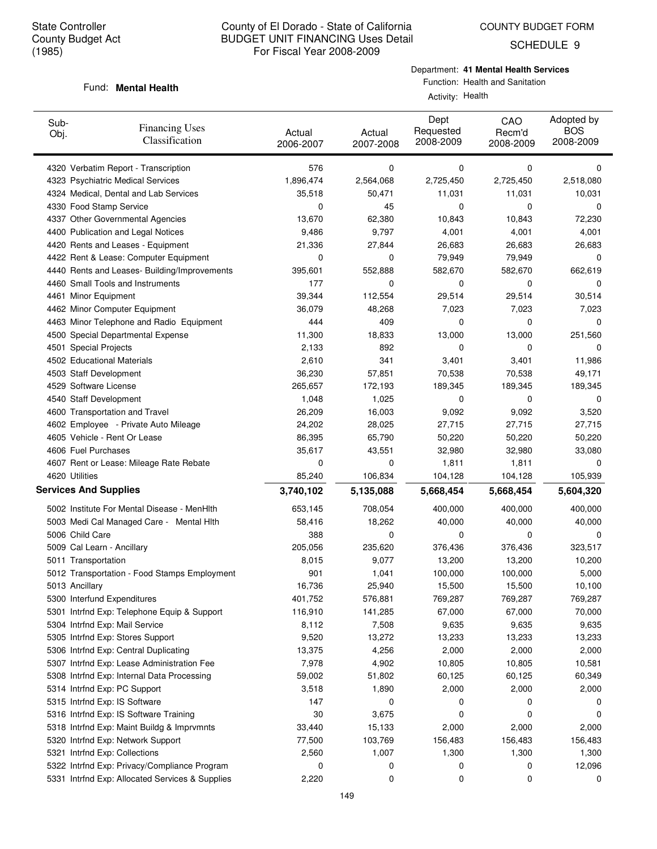SCHEDULE 9

# Department: **41 Mental Health Services**

#### Function: Health and Sanitation Activity: Health

#### Fund: **Mental Health**

| Sub-<br>Obj.                 | <b>Financing Uses</b><br>Classification         | Actual<br>2006-2007 | Actual<br>2007-2008 | Dept<br>Requested<br>2008-2009 | CAO<br>Recm'd<br>2008-2009 | Adopted by<br><b>BOS</b><br>2008-2009 |
|------------------------------|-------------------------------------------------|---------------------|---------------------|--------------------------------|----------------------------|---------------------------------------|
|                              | 4320 Verbatim Report - Transcription            | 576                 | 0                   | 0                              | 0                          | 0                                     |
|                              | 4323 Psychiatric Medical Services               | 1,896,474           | 2,564,068           | 2,725,450                      | 2,725,450                  | 2,518,080                             |
|                              | 4324 Medical, Dental and Lab Services           | 35,518              | 50,471              | 11,031                         | 11,031                     | 10,031                                |
|                              | 4330 Food Stamp Service                         | 0                   | 45                  | 0                              | 0                          | 0                                     |
|                              | 4337 Other Governmental Agencies                | 13,670              | 62,380              | 10,843                         | 10,843                     | 72,230                                |
|                              | 4400 Publication and Legal Notices              | 9,486               | 9,797               | 4,001                          | 4,001                      | 4,001                                 |
|                              | 4420 Rents and Leases - Equipment               | 21,336              | 27,844              | 26,683                         | 26,683                     | 26,683                                |
|                              | 4422 Rent & Lease: Computer Equipment           | 0                   | 0                   | 79,949                         | 79,949                     | 0                                     |
|                              | 4440 Rents and Leases- Building/Improvements    | 395,601             | 552,888             | 582,670                        | 582,670                    | 662,619                               |
|                              | 4460 Small Tools and Instruments                | 177                 | 0                   | 0                              | 0                          | 0                                     |
| 4461 Minor Equipment         |                                                 | 39,344              | 112,554             | 29,514                         | 29,514                     | 30,514                                |
|                              | 4462 Minor Computer Equipment                   | 36,079              | 48,268              | 7,023                          | 7,023                      | 7,023                                 |
|                              | 4463 Minor Telephone and Radio Equipment        | 444                 | 409                 | 0                              | 0                          | 0                                     |
|                              | 4500 Special Departmental Expense               | 11,300              | 18,833              | 13,000                         | 13,000                     | 251,560                               |
| 4501 Special Projects        |                                                 | 2,133               | 892                 | 0                              | 0                          | 0                                     |
|                              | 4502 Educational Materials                      | 2,610               | 341                 | 3,401                          | 3,401                      | 11,986                                |
| 4503 Staff Development       |                                                 | 36,230              | 57,851              | 70,538                         | 70,538                     | 49,171                                |
| 4529 Software License        |                                                 | 265,657             | 172,193             | 189,345                        | 189,345                    | 189,345                               |
| 4540 Staff Development       |                                                 | 1,048               | 1,025               | 0                              | 0                          | 0                                     |
|                              | 4600 Transportation and Travel                  | 26,209              | 16,003              | 9,092                          | 9,092                      | 3,520                                 |
|                              | 4602 Employee - Private Auto Mileage            | 24,202              | 28,025              | 27,715                         | 27,715                     | 27,715                                |
|                              | 4605 Vehicle - Rent Or Lease                    | 86,395              | 65,790              | 50,220                         | 50,220                     | 50,220                                |
| 4606 Fuel Purchases          |                                                 | 35,617              | 43,551              | 32,980                         | 32,980                     | 33,080                                |
|                              | 4607 Rent or Lease: Mileage Rate Rebate         | 0                   | 0                   | 1,811                          | 1,811                      | 0                                     |
| 4620 Utilities               |                                                 | 85,240              | 106,834             | 104,128                        | 104,128                    | 105,939                               |
| <b>Services And Supplies</b> |                                                 | 3,740,102           | 5,135,088           | 5,668,454                      | 5,668,454                  | 5,604,320                             |
|                              | 5002 Institute For Mental Disease - MenHith     | 653,145             | 708,054             | 400,000                        | 400,000                    | 400,000                               |
|                              | 5003 Medi Cal Managed Care - Mental Hith        | 58,416              | 18,262              | 40,000                         | 40,000                     | 40,000                                |
| 5006 Child Care              |                                                 | 388                 | 0                   | 0                              | 0                          | 0                                     |
|                              | 5009 Cal Learn - Ancillary                      | 205,056             | 235,620             | 376,436                        | 376,436                    | 323,517                               |
| 5011 Transportation          |                                                 | 8,015               | 9,077               | 13,200                         | 13,200                     | 10,200                                |
|                              | 5012 Transportation - Food Stamps Employment    | 901                 | 1,041               | 100,000                        | 100,000                    | 5,000                                 |
| 5013 Ancillary               |                                                 | 16,736              | 25,940              | 15,500                         | 15,500                     | 10,100                                |
|                              | 5300 Interfund Expenditures                     | 401,752             | 576,881             | 769,287                        | 769,287                    | 769,287                               |
|                              | 5301 Intrfnd Exp: Telephone Equip & Support     | 116,910             | 141,285             | 67,000                         | 67,000                     | 70,000                                |
|                              | 5304 Intrfnd Exp: Mail Service                  | 8,112               | 7,508               | 9,635                          | 9,635                      | 9,635                                 |
|                              | 5305 Intrfnd Exp: Stores Support                | 9,520               | 13,272              | 13,233                         | 13,233                     | 13,233                                |
|                              | 5306 Intrfnd Exp: Central Duplicating           | 13,375              | 4,256               | 2,000                          | 2,000                      | 2,000                                 |
|                              | 5307 Intrfnd Exp: Lease Administration Fee      | 7,978               | 4,902               | 10,805                         | 10,805                     | 10,581                                |
|                              | 5308 Intrfnd Exp: Internal Data Processing      | 59,002              | 51,802              | 60,125                         | 60,125                     | 60,349                                |
|                              | 5314 Intrfnd Exp: PC Support                    | 3,518               | 1,890               | 2,000                          | 2,000                      | 2,000                                 |
|                              | 5315 Intrfnd Exp: IS Software                   | 147                 | 0                   | 0                              | 0                          | 0                                     |
|                              | 5316 Intrfnd Exp: IS Software Training          | 30                  | 3,675               | 0                              | 0                          | 0                                     |
|                              | 5318 Intrfnd Exp: Maint Buildg & Imprymnts      | 33,440              | 15,133              | 2,000                          | 2,000                      | 2,000                                 |
|                              | 5320 Intrfnd Exp: Network Support               | 77,500              | 103,769             | 156,483                        | 156,483                    | 156,483                               |
|                              | 5321 Intrfnd Exp: Collections                   | 2,560               | 1,007               | 1,300                          | 1,300                      | 1,300                                 |
|                              | 5322 Intrfnd Exp: Privacy/Compliance Program    | 0                   | 0                   | 0                              | 0                          | 12,096                                |
|                              | 5331 Intrfnd Exp: Allocated Services & Supplies | 2,220               | 0                   | 0                              | 0                          | 0                                     |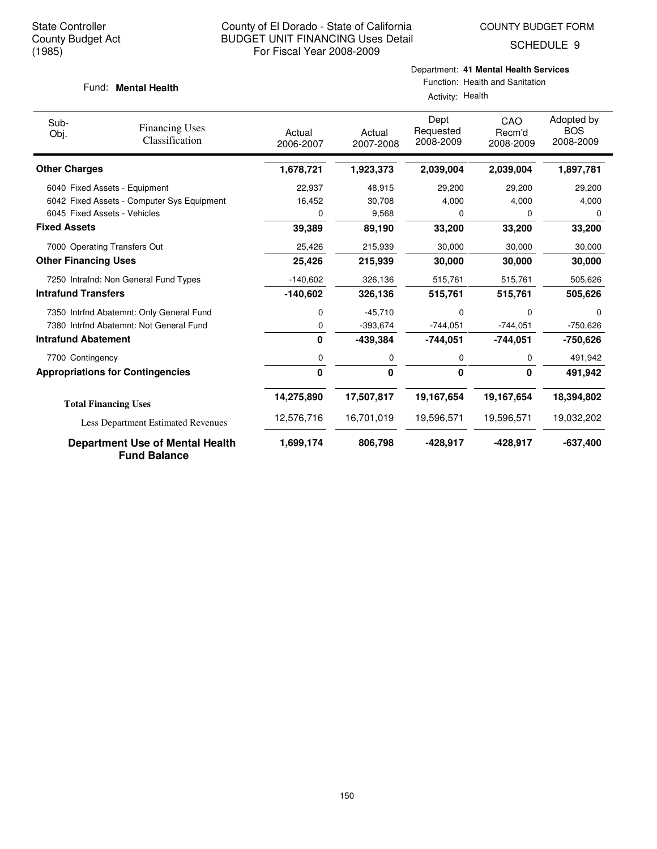SCHEDULE 9

#### Fund: **Mental Health**

Department: **41 Mental Health Services**

| Sub-<br>Obj.                | <b>Financing Uses</b>                                  | Actual       | Actual     | Dept<br>Requested | CAO<br>Recm'd | Adopted by<br><b>BOS</b> |
|-----------------------------|--------------------------------------------------------|--------------|------------|-------------------|---------------|--------------------------|
|                             | Classification                                         | 2006-2007    | 2007-2008  | 2008-2009         | 2008-2009     | 2008-2009                |
| <b>Other Charges</b>        |                                                        | 1,678,721    | 1,923,373  | 2,039,004         | 2,039,004     | 1,897,781                |
|                             | 6040 Fixed Assets - Equipment                          | 22,937       | 48,915     | 29,200            | 29,200        | 29,200                   |
|                             | 6042 Fixed Assets - Computer Sys Equipment             | 16,452       | 30,708     | 4,000             | 4,000         | 4,000                    |
|                             | 6045 Fixed Assets - Vehicles                           | 0            | 9,568      | 0                 | $\Omega$      | 0                        |
| <b>Fixed Assets</b>         |                                                        | 39,389       | 89,190     | 33,200            | 33,200        | 33,200                   |
|                             | 7000 Operating Transfers Out                           | 25,426       | 215,939    | 30,000            | 30,000        | 30,000                   |
| <b>Other Financing Uses</b> |                                                        | 25,426       | 215,939    | 30,000            | 30,000        | 30,000                   |
|                             | 7250 Intrafnd: Non General Fund Types                  | $-140,602$   | 326,136    | 515,761           | 515,761       | 505,626                  |
| <b>Intrafund Transfers</b>  |                                                        | $-140,602$   | 326,136    | 515,761           | 515,761       | 505,626                  |
|                             | 7350 Intrfnd Abatemnt: Only General Fund               | 0            | $-45,710$  | 0                 | $\Omega$      | $\Omega$                 |
|                             | 7380 Intrfnd Abatemnt: Not General Fund                | 0            | $-393.674$ | $-744,051$        | $-744,051$    | $-750,626$               |
| <b>Intrafund Abatement</b>  |                                                        | $\mathbf{0}$ | $-439,384$ | $-744,051$        | $-744,051$    | -750,626                 |
| 7700 Contingency            |                                                        | 0            | 0          | 0                 | 0             | 491,942                  |
|                             | <b>Appropriations for Contingencies</b>                | $\Omega$     | 0          | 0                 | $\Omega$      | 491,942                  |
|                             | <b>Total Financing Uses</b>                            | 14,275,890   | 17,507,817 | 19,167,654        | 19,167,654    | 18,394,802               |
|                             | Less Department Estimated Revenues                     | 12,576,716   | 16.701.019 | 19,596,571        | 19,596,571    | 19,032,202               |
|                             | Department Use of Mental Health<br><b>Fund Balance</b> | 1,699,174    | 806,798    | $-428,917$        | $-428,917$    | $-637,400$               |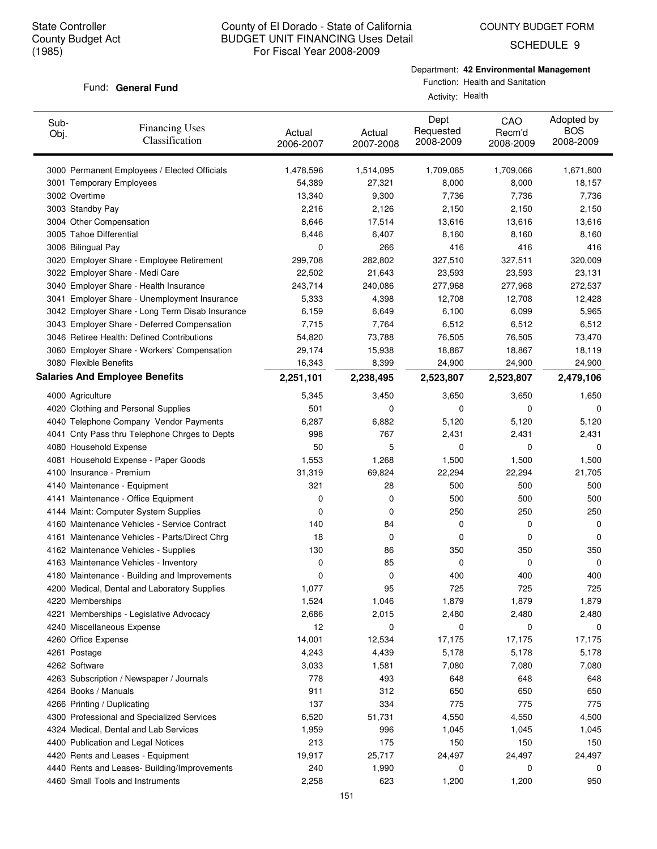COUNTY BUDGET FORM

SCHEDULE 9

# Fund: General Fund

Department: **42 Environmental Management**

Function: Health and Sanitation

Activity: Health

| Sub-<br>Obj. | <b>Financing Uses</b><br>Classification         | Actual<br>2006-2007 | Actual<br>2007-2008 | Dept<br>Requested<br>2008-2009 | CAO<br>Recm'd<br>2008-2009 | Adopted by<br><b>BOS</b><br>2008-2009 |
|--------------|-------------------------------------------------|---------------------|---------------------|--------------------------------|----------------------------|---------------------------------------|
|              | 3000 Permanent Employees / Elected Officials    | 1,478,596           | 1,514,095           | 1,709,065                      | 1,709,066                  | 1,671,800                             |
|              | 3001 Temporary Employees                        | 54,389              | 27,321              | 8,000                          | 8,000                      | 18,157                                |
|              | 3002 Overtime                                   | 13,340              | 9,300               | 7,736                          | 7,736                      | 7,736                                 |
|              | 3003 Standby Pay                                | 2,216               | 2,126               | 2,150                          | 2,150                      | 2,150                                 |
|              | 3004 Other Compensation                         | 8,646               | 17,514              | 13,616                         | 13,616                     | 13,616                                |
|              | 3005 Tahoe Differential                         | 8,446               | 6,407               | 8,160                          | 8,160                      | 8,160                                 |
|              | 3006 Bilingual Pay                              | 0                   | 266                 | 416                            | 416                        | 416                                   |
|              | 3020 Employer Share - Employee Retirement       | 299,708             | 282,802             | 327,510                        | 327,511                    | 320,009                               |
|              | 3022 Employer Share - Medi Care                 | 22,502              | 21,643              | 23,593                         | 23,593                     | 23,131                                |
|              | 3040 Employer Share - Health Insurance          | 243,714             | 240,086             | 277,968                        | 277,968                    | 272,537                               |
|              | 3041 Employer Share - Unemployment Insurance    | 5,333               | 4,398               | 12,708                         | 12,708                     | 12,428                                |
|              | 3042 Employer Share - Long Term Disab Insurance | 6,159               | 6,649               | 6,100                          | 6,099                      | 5,965                                 |
|              | 3043 Employer Share - Deferred Compensation     | 7,715               | 7,764               | 6,512                          | 6,512                      | 6,512                                 |
|              | 3046 Retiree Health: Defined Contributions      | 54,820              | 73,788              | 76,505                         | 76,505                     | 73,470                                |
|              | 3060 Employer Share - Workers' Compensation     | 29,174              | 15,938              | 18,867                         | 18,867                     | 18,119                                |
|              | 3080 Flexible Benefits                          | 16,343              | 8,399               | 24,900                         | 24,900                     | 24,900                                |
|              | <b>Salaries And Employee Benefits</b>           | 2,251,101           | 2,238,495           | 2,523,807                      | 2,523,807                  | 2,479,106                             |
|              | 4000 Agriculture                                | 5,345               | 3,450               | 3,650                          | 3,650                      | 1,650                                 |
|              | 4020 Clothing and Personal Supplies             | 501                 | 0                   | 0                              | 0                          | 0                                     |
|              | 4040 Telephone Company Vendor Payments          | 6,287               | 6,882               | 5,120                          | 5,120                      | 5,120                                 |
|              | 4041 Cnty Pass thru Telephone Chrges to Depts   | 998                 | 767                 | 2,431                          | 2,431                      | 2,431                                 |
|              | 4080 Household Expense                          | 50                  | 5                   | 0                              | 0                          | 0                                     |
|              | 4081 Household Expense - Paper Goods            | 1,553               | 1,268               | 1,500                          | 1,500                      | 1,500                                 |
|              | 4100 Insurance - Premium                        | 31,319              | 69,824              | 22,294                         | 22,294                     | 21,705                                |
|              | 4140 Maintenance - Equipment                    | 321                 | 28                  | 500                            | 500                        | 500                                   |
|              | 4141 Maintenance - Office Equipment             | 0                   | 0                   | 500                            | 500                        | 500                                   |
|              | 4144 Maint: Computer System Supplies            | 0                   | 0                   | 250                            | 250                        | 250                                   |
|              | 4160 Maintenance Vehicles - Service Contract    | 140                 | 84                  | 0                              | 0                          | 0                                     |
|              | 4161 Maintenance Vehicles - Parts/Direct Chrg   | 18                  | 0                   | 0                              | 0                          | 0                                     |
|              | 4162 Maintenance Vehicles - Supplies            | 130                 | 86                  | 350                            | 350                        | 350                                   |
|              | 4163 Maintenance Vehicles - Inventory           | 0                   | 85                  | 0                              | 0                          | 0                                     |
|              | 4180 Maintenance - Building and Improvements    | 0                   | 0                   | 400                            | 400                        | 400                                   |
|              | 4200 Medical, Dental and Laboratory Supplies    | 1,077               | 95                  | 725                            | 725                        | 725                                   |
|              | 4220 Memberships                                | 1,524               | 1,046               | 1,879                          | 1,879                      | 1,879                                 |
|              | 4221 Memberships - Legislative Advocacy         | 2,686               | 2,015               | 2,480                          | 2,480                      | 2,480                                 |
|              | 4240 Miscellaneous Expense                      | 12                  | 0                   | 0                              | 0                          | 0                                     |
|              | 4260 Office Expense                             | 14,001              | 12,534              | 17,175                         | 17,175                     | 17,175                                |
|              | 4261 Postage                                    | 4,243               | 4,439               | 5,178                          | 5,178                      | 5,178                                 |
|              | 4262 Software                                   | 3,033               | 1,581               | 7,080                          | 7,080                      | 7,080                                 |
|              | 4263 Subscription / Newspaper / Journals        | 778                 | 493                 | 648                            | 648                        | 648                                   |
|              | 4264 Books / Manuals                            | 911                 | 312                 | 650                            | 650                        | 650                                   |
|              | 4266 Printing / Duplicating                     | 137                 | 334                 | 775                            | 775                        | 775                                   |
|              | 4300 Professional and Specialized Services      | 6,520               | 51,731              | 4,550                          | 4,550                      | 4,500                                 |
|              | 4324 Medical, Dental and Lab Services           | 1,959               | 996                 | 1,045                          | 1,045                      | 1,045                                 |
|              | 4400 Publication and Legal Notices              | 213                 | 175                 | 150                            | 150                        | 150                                   |
|              | 4420 Rents and Leases - Equipment               | 19,917              | 25,717              | 24,497                         | 24,497                     | 24,497                                |
|              | 4440 Rents and Leases- Building/Improvements    | 240                 | 1,990               | 0                              | 0                          | 0                                     |
|              | 4460 Small Tools and Instruments                | 2,258               | 623                 | 1,200                          | 1,200                      | 950                                   |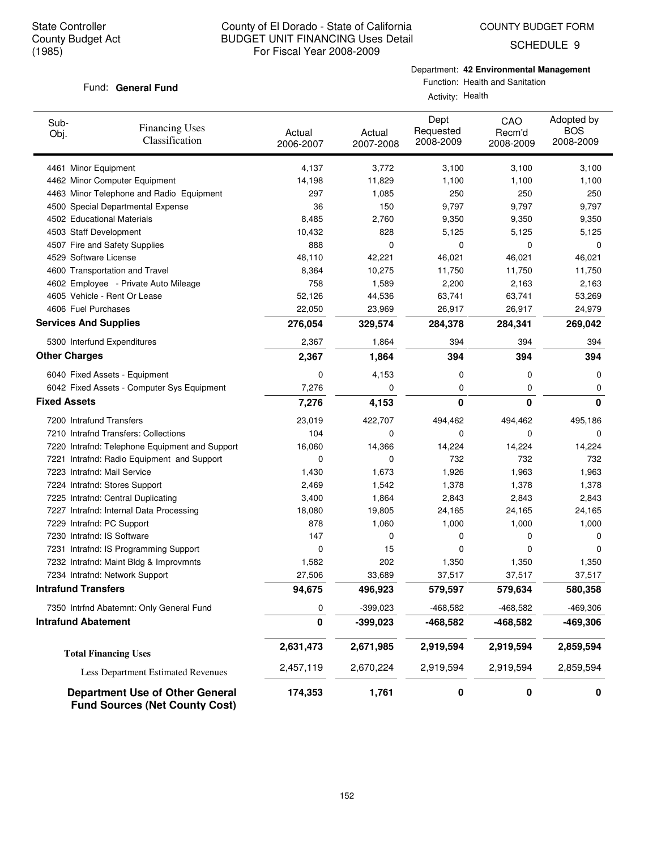Fund: General Fund

# County of El Dorado - State of California BUDGET UNIT FINANCING Uses Detail For Fiscal Year 2008-2009

SCHEDULE 9

Function: Health and Sanitation Activity: Health

Department: **42 Environmental Management**

| Sub-<br>Obj.                                        | <b>Financing Uses</b><br>Classification                                         | Actual<br>2006-2007 | Actual<br>2007-2008 | Dept<br>Requested<br>2008-2009 | CAO<br>Recm'd<br>2008-2009 | Adopted by<br><b>BOS</b><br>2008-2009 |
|-----------------------------------------------------|---------------------------------------------------------------------------------|---------------------|---------------------|--------------------------------|----------------------------|---------------------------------------|
| 4461 Minor Equipment                                |                                                                                 | 4,137               | 3,772               | 3,100                          | 3,100                      | 3,100                                 |
|                                                     | 4462 Minor Computer Equipment                                                   | 14,198              | 11,829              | 1,100                          | 1,100                      | 1,100                                 |
|                                                     | 4463 Minor Telephone and Radio Equipment                                        | 297                 | 1,085               | 250                            | 250                        | 250                                   |
|                                                     | 4500 Special Departmental Expense                                               | 36                  | 150                 | 9,797                          | 9,797                      | 9,797                                 |
| 4502 Educational Materials                          |                                                                                 | 8,485               | 2,760               | 9,350                          | 9,350                      | 9,350                                 |
| 4503 Staff Development                              |                                                                                 | 10,432              | 828                 | 5,125                          | 5,125                      | 5,125                                 |
|                                                     | 4507 Fire and Safety Supplies                                                   | 888                 | 0                   | 0                              | 0                          | 0                                     |
| 4529 Software License                               |                                                                                 | 48,110              | 42,221              | 46,021                         | 46,021                     | 46,021                                |
|                                                     | 4600 Transportation and Travel                                                  | 8,364               | 10,275              | 11,750                         | 11,750                     | 11,750                                |
|                                                     | 4602 Employee - Private Auto Mileage                                            | 758                 | 1,589               | 2,200                          | 2,163                      | 2,163                                 |
|                                                     | 4605 Vehicle - Rent Or Lease                                                    | 52,126              | 44,536              | 63,741                         | 63,741                     | 53,269                                |
| 4606 Fuel Purchases<br><b>Services And Supplies</b> |                                                                                 | 22,050              | 23,969              | 26,917                         | 26,917                     | 24,979                                |
|                                                     |                                                                                 | 276,054             | 329,574             | 284,378                        | 284,341                    | 269,042                               |
|                                                     | 5300 Interfund Expenditures                                                     | 2,367               | 1,864               | 394                            | 394                        | 394                                   |
| <b>Other Charges</b>                                |                                                                                 | 2,367               | 1,864               | 394                            | 394                        | 394                                   |
|                                                     | 6040 Fixed Assets - Equipment                                                   | 0                   | 4,153               | 0                              | 0                          | 0                                     |
| <b>Fixed Assets</b>                                 | 6042 Fixed Assets - Computer Sys Equipment                                      | 7,276               | 0                   | 0                              | 0                          | 0<br>0                                |
|                                                     |                                                                                 | 7,276               | 4,153               | 0                              | 0                          |                                       |
| 7200 Intrafund Transfers                            |                                                                                 | 23,019              | 422,707             | 494,462                        | 494,462                    | 495,186                               |
|                                                     | 7210 Intrafnd Transfers: Collections                                            | 104                 | 0                   | 0                              | 0                          | 0                                     |
|                                                     | 7220 Intrafnd: Telephone Equipment and Support                                  | 16,060              | 14,366              | 14,224                         | 14,224                     | 14,224                                |
|                                                     | 7221 Intrafnd: Radio Equipment and Support                                      | 0                   | 0                   | 732                            | 732                        | 732                                   |
| 7223 Intrafnd: Mail Service                         |                                                                                 | 1,430               | 1,673               | 1,926                          | 1,963                      | 1,963                                 |
|                                                     | 7224 Intrafnd: Stores Support                                                   | 2,469               | 1,542               | 1,378                          | 1,378                      | 1,378                                 |
|                                                     | 7225 Intrafnd: Central Duplicating                                              | 3,400               | 1,864               | 2,843                          | 2,843                      | 2,843                                 |
|                                                     | 7227 Intrafnd: Internal Data Processing                                         | 18,080              | 19,805              | 24,165                         | 24,165                     | 24,165                                |
| 7229 Intrafnd: PC Support                           |                                                                                 | 878                 | 1,060               | 1,000                          | 1,000                      | 1,000                                 |
| 7230 Intrafnd: IS Software                          | 7231 Intrafnd: IS Programming Support                                           | 147<br>0            | 0<br>15             | 0<br>0                         | 0<br>0                     | 0<br>0                                |
|                                                     | 7232 Intrafnd: Maint Bldg & Improvmnts                                          | 1,582               | 202                 | 1,350                          | 1,350                      | 1,350                                 |
|                                                     | 7234 Intrafnd: Network Support                                                  | 27,506              | 33,689              | 37,517                         | 37,517                     | 37,517                                |
| <b>Intrafund Transfers</b>                          |                                                                                 | 94,675              | 496,923             | 579,597                        | 579,634                    | 580,358                               |
|                                                     | 7350 Intrfnd Abatemnt: Only General Fund                                        | 0                   | $-399,023$          | -468,582                       | -468,582                   | $-469,306$                            |
| <b>Intrafund Abatement</b>                          |                                                                                 | 0                   | $-399,023$          |                                | -468,582                   | $-469,306$                            |
|                                                     |                                                                                 |                     |                     | -468,582                       |                            |                                       |
|                                                     | <b>Total Financing Uses</b>                                                     | 2,631,473           | 2,671,985           | 2,919,594                      | 2,919,594                  | 2,859,594                             |
|                                                     | Less Department Estimated Revenues                                              | 2,457,119           | 2,670,224           | 2,919,594                      | 2,919,594                  | 2,859,594                             |
|                                                     | <b>Department Use of Other General</b><br><b>Fund Sources (Net County Cost)</b> | 174,353             | 1,761               | 0                              | 0                          | 0                                     |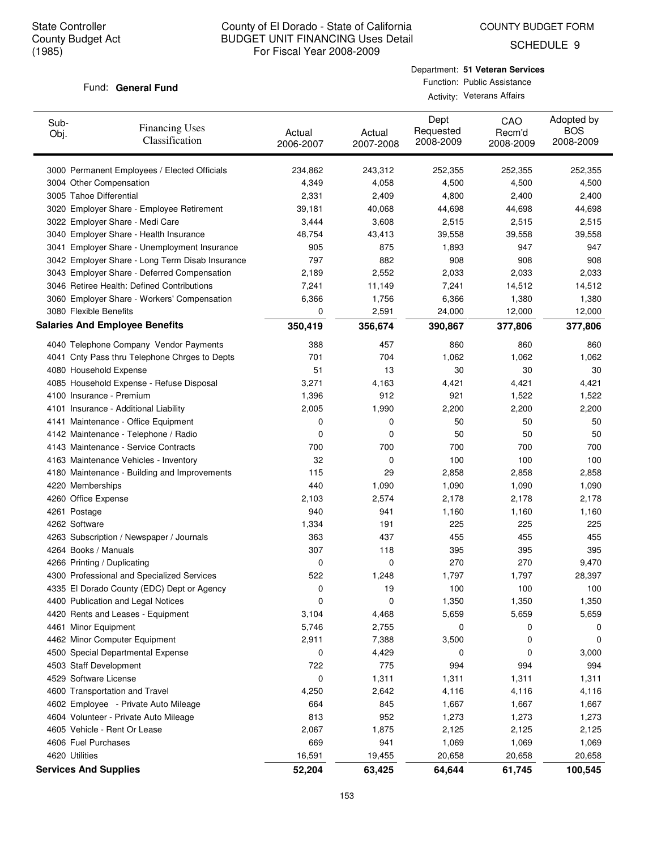COUNTY BUDGET FORM

SCHEDULE 9

#### Fund: General Fund

Department: **51 Veteran Services** Function: Public Assistance Activity: Veterans Affairs

| Sub-<br><b>Financing Uses</b><br>Obj.<br>Classification   | Actual<br>2006-2007 | Actual<br>2007-2008 | Dept<br>Requested<br>2008-2009 | CAO<br>Recm'd<br>2008-2009 | Adopted by<br><b>BOS</b><br>2008-2009 |
|-----------------------------------------------------------|---------------------|---------------------|--------------------------------|----------------------------|---------------------------------------|
| 3000 Permanent Employees / Elected Officials              | 234,862             | 243,312             | 252,355                        | 252,355                    | 252,355                               |
| 3004 Other Compensation                                   | 4,349               | 4,058               | 4,500                          | 4,500                      | 4,500                                 |
| 3005 Tahoe Differential                                   | 2,331               | 2,409               | 4,800                          | 2,400                      | 2,400                                 |
| 3020 Employer Share - Employee Retirement                 | 39,181              | 40,068              | 44,698                         | 44,698                     | 44,698                                |
| 3022 Employer Share - Medi Care                           | 3,444               | 3,608               | 2,515                          | 2,515                      | 2,515                                 |
| 3040 Employer Share - Health Insurance                    | 48,754              | 43,413              | 39,558                         | 39,558                     | 39,558                                |
| 3041 Employer Share - Unemployment Insurance              | 905                 | 875                 | 1,893                          | 947                        | 947                                   |
| 3042 Employer Share - Long Term Disab Insurance           | 797                 | 882                 | 908                            | 908                        | 908                                   |
| 3043 Employer Share - Deferred Compensation               | 2,189               | 2,552               | 2,033                          | 2,033                      | 2,033                                 |
| 3046 Retiree Health: Defined Contributions                | 7,241               | 11,149              | 7,241                          | 14,512                     | 14,512                                |
| 3060 Employer Share - Workers' Compensation               | 6,366               | 1,756               | 6,366                          | 1,380                      | 1,380                                 |
| 3080 Flexible Benefits                                    | 0                   | 2,591               | 24,000                         | 12,000                     | 12,000                                |
| <b>Salaries And Employee Benefits</b>                     | 350,419             | 356,674             | 390,867                        | 377,806                    | 377,806                               |
| 4040 Telephone Company Vendor Payments                    | 388                 | 457                 | 860                            | 860                        | 860                                   |
| 4041 Cnty Pass thru Telephone Chrges to Depts             | 701                 | 704                 | 1,062                          | 1,062                      | 1,062                                 |
| 4080 Household Expense                                    | 51                  | 13                  | 30                             | 30                         | 30                                    |
| 4085 Household Expense - Refuse Disposal                  | 3,271               | 4,163               | 4,421                          | 4,421                      | 4,421                                 |
| 4100 Insurance - Premium                                  | 1,396               | 912                 | 921                            | 1,522                      | 1,522                                 |
| 4101 Insurance - Additional Liability                     | 2,005               | 1,990               | 2,200                          | 2,200                      | 2,200                                 |
| 4141 Maintenance - Office Equipment                       | 0                   | 0                   | 50                             | 50                         | 50                                    |
| 4142 Maintenance - Telephone / Radio                      | 0                   | 0                   | 50                             | 50                         | 50                                    |
| 4143 Maintenance - Service Contracts                      | 700                 | 700                 | 700                            | 700                        | 700                                   |
| 4163 Maintenance Vehicles - Inventory                     | 32                  | 0                   | 100                            | 100                        | 100                                   |
| 4180 Maintenance - Building and Improvements              | 115                 | 29                  | 2,858                          | 2,858                      | 2,858                                 |
| 4220 Memberships                                          | 440                 | 1,090               | 1,090                          | 1,090                      | 1,090                                 |
| 4260 Office Expense                                       | 2,103               | 2,574               | 2,178                          | 2,178                      | 2,178                                 |
| 4261 Postage                                              | 940                 | 941                 | 1,160                          | 1,160                      | 1,160                                 |
| 4262 Software                                             | 1,334               | 191                 | 225                            | 225                        | 225                                   |
| 4263 Subscription / Newspaper / Journals                  | 363                 | 437                 | 455                            | 455                        | 455                                   |
| 4264 Books / Manuals                                      | 307                 | 118                 | 395                            | 395                        | 395                                   |
| 4266 Printing / Duplicating                               | 0                   | 0                   | 270                            | 270                        | 9,470                                 |
| 4300 Professional and Specialized Services                | 522                 | 1,248               | 1,797                          | 1,797                      | 28,397                                |
| 4335 El Dorado County (EDC) Dept or Agency                | 0                   | 19                  | 100                            | 100                        | 100                                   |
| 4400 Publication and Legal Notices                        | 0                   | 0                   | 1,350                          | 1,350                      | 1,350                                 |
| 4420 Rents and Leases - Equipment<br>4461 Minor Equipment | 3,104<br>5,746      | 4,468<br>2,755      | 5,659<br>0                     | 5,659<br>0                 | 5,659<br>0                            |
| 4462 Minor Computer Equipment                             | 2,911               | 7,388               | 3,500                          | 0                          | 0                                     |
| 4500 Special Departmental Expense                         | 0                   | 4,429               | 0                              | 0                          | 3,000                                 |
| 4503 Staff Development                                    | 722                 | 775                 | 994                            | 994                        | 994                                   |
| 4529 Software License                                     | 0                   | 1,311               | 1,311                          | 1,311                      | 1,311                                 |
| 4600 Transportation and Travel                            | 4,250               | 2,642               | 4,116                          | 4,116                      | 4,116                                 |
| 4602 Employee - Private Auto Mileage                      | 664                 | 845                 | 1,667                          | 1,667                      | 1,667                                 |
| 4604 Volunteer - Private Auto Mileage                     | 813                 | 952                 | 1,273                          | 1,273                      | 1,273                                 |
| 4605 Vehicle - Rent Or Lease                              | 2,067               | 1,875               | 2,125                          | 2,125                      | 2,125                                 |
| 4606 Fuel Purchases                                       | 669                 | 941                 | 1,069                          | 1,069                      | 1,069                                 |
| 4620 Utilities                                            | 16,591              | 19,455              | 20,658                         | 20,658                     | 20,658                                |
| <b>Services And Supplies</b>                              | 52,204              | 63,425              | 64,644                         | 61,745                     | 100,545                               |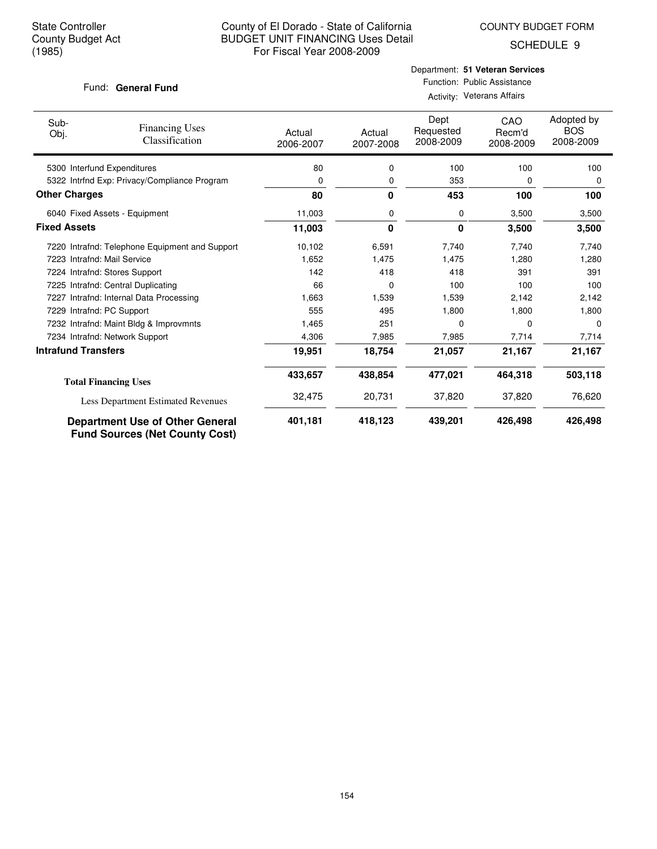COUNTY BUDGET FORM

SCHEDULE 9

#### Fund: General Fund

# Department: **51 Veteran Services** Function: Public Assistance Activity: Veterans Affairs

| Sub-<br>Obj.               | <b>Financing Uses</b><br>Classification                                         | Actual<br>2006-2007 | Actual<br>2007-2008 | Dept<br>Requested<br>2008-2009 | CAO<br>Recm'd<br>2008-2009 | Adopted by<br><b>BOS</b><br>2008-2009 |
|----------------------------|---------------------------------------------------------------------------------|---------------------|---------------------|--------------------------------|----------------------------|---------------------------------------|
|                            | 5300 Interfund Expenditures                                                     | 80                  | 0                   | 100                            | 100                        | 100                                   |
|                            | 5322 Intrfnd Exp: Privacy/Compliance Program                                    | 0                   | 0                   | 353                            | 0                          | 0                                     |
| <b>Other Charges</b>       |                                                                                 | 80                  | 0                   | 453                            | 100                        | 100                                   |
|                            | 6040 Fixed Assets - Equipment                                                   | 11,003              | 0                   | 0                              | 3,500                      | 3,500                                 |
| <b>Fixed Assets</b>        |                                                                                 | 11,003              | 0                   | 0                              | 3,500                      | 3,500                                 |
|                            | 7220 Intrafnd: Telephone Equipment and Support                                  | 10,102              | 6,591               | 7,740                          | 7,740                      | 7,740                                 |
|                            | 7223 Intrafnd: Mail Service                                                     | 1,652               | 1,475               | 1,475                          | 1,280                      | 1,280                                 |
|                            | 7224 Intrafnd: Stores Support                                                   | 142                 | 418                 | 418                            | 391                        | 391                                   |
|                            | 7225 Intrafnd: Central Duplicating                                              | 66                  | 0                   | 100                            | 100                        | 100                                   |
|                            | 7227 Intrafnd: Internal Data Processing                                         | 1,663               | 1,539               | 1,539                          | 2,142                      | 2,142                                 |
|                            | 7229 Intrafnd: PC Support                                                       | 555                 | 495                 | 1,800                          | 1,800                      | 1,800                                 |
|                            | 7232 Intrafnd: Maint Bldg & Improvmnts                                          | 1,465               | 251                 | 0                              | $\Omega$                   | $\Omega$                              |
|                            | 7234 Intrafnd: Network Support                                                  | 4,306               | 7,985               | 7,985                          | 7,714                      | 7,714                                 |
| <b>Intrafund Transfers</b> |                                                                                 | 19,951              | 18,754              | 21,057                         | 21,167                     | 21,167                                |
|                            | <b>Total Financing Uses</b>                                                     | 433,657             | 438,854             | 477,021                        | 464,318                    | 503,118                               |
|                            | Less Department Estimated Revenues                                              | 32,475              | 20,731              | 37,820                         | 37,820                     | 76,620                                |
|                            | <b>Department Use of Other General</b><br><b>Fund Sources (Net County Cost)</b> | 401,181             | 418,123             | 439,201                        | 426,498                    | 426,498                               |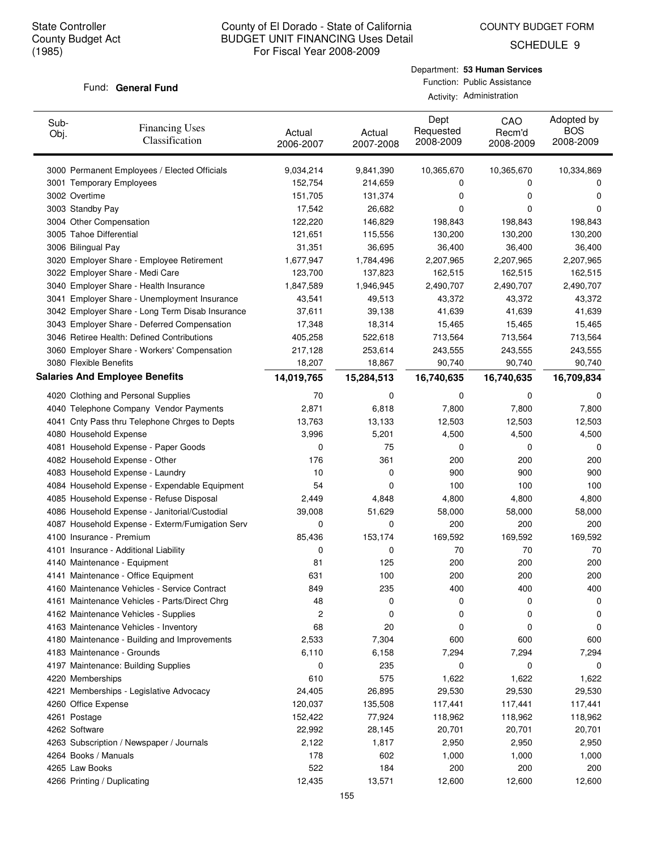COUNTY BUDGET FORM

SCHEDULE 9

#### Fund: General Fund

| Sub-<br>Obj. | <b>Financing Uses</b><br>Classification         | Actual<br>2006-2007 | Actual<br>2007-2008 | Dept<br>Requested<br>2008-2009 | CAO<br>Recm'd<br>2008-2009 | Adopted by<br><b>BOS</b><br>2008-2009 |
|--------------|-------------------------------------------------|---------------------|---------------------|--------------------------------|----------------------------|---------------------------------------|
|              | 3000 Permanent Employees / Elected Officials    | 9,034,214           | 9,841,390           | 10,365,670                     | 10,365,670                 | 10,334,869                            |
|              | 3001 Temporary Employees                        | 152,754             | 214,659             | 0                              | 0                          | 0                                     |
|              | 3002 Overtime                                   | 151,705             | 131,374             | 0                              | $\mathbf 0$                | 0                                     |
|              | 3003 Standby Pay                                | 17,542              | 26,682              | 0                              | 0                          | 0                                     |
|              | 3004 Other Compensation                         | 122,220             | 146,829             | 198,843                        | 198,843                    | 198,843                               |
|              | 3005 Tahoe Differential                         | 121,651             | 115,556             | 130,200                        | 130,200                    | 130,200                               |
|              | 3006 Bilingual Pay                              | 31,351              | 36,695              | 36,400                         | 36,400                     | 36,400                                |
|              | 3020 Employer Share - Employee Retirement       | 1,677,947           | 1,784,496           | 2,207,965                      | 2,207,965                  | 2,207,965                             |
|              | 3022 Employer Share - Medi Care                 | 123,700             | 137,823             | 162,515                        | 162,515                    | 162,515                               |
|              | 3040 Employer Share - Health Insurance          | 1,847,589           | 1,946,945           | 2,490,707                      | 2,490,707                  | 2,490,707                             |
|              | 3041 Employer Share - Unemployment Insurance    | 43,541              | 49,513              | 43,372                         | 43,372                     | 43,372                                |
|              | 3042 Employer Share - Long Term Disab Insurance | 37,611              | 39,138              | 41,639                         | 41,639                     | 41,639                                |
|              | 3043 Employer Share - Deferred Compensation     | 17,348              | 18,314              | 15,465                         | 15,465                     | 15,465                                |
|              | 3046 Retiree Health: Defined Contributions      | 405,258             | 522,618             | 713,564                        | 713,564                    | 713,564                               |
|              | 3060 Employer Share - Workers' Compensation     | 217,128             | 253,614             | 243,555                        | 243,555                    | 243,555                               |
|              | 3080 Flexible Benefits                          | 18,207              | 18,867              | 90,740                         | 90,740                     | 90,740                                |
|              | <b>Salaries And Employee Benefits</b>           | 14,019,765          | 15,284,513          | 16,740,635                     | 16,740,635                 | 16,709,834                            |
|              | 4020 Clothing and Personal Supplies             | 70                  | 0                   | 0                              | 0                          | 0                                     |
|              | 4040 Telephone Company Vendor Payments          | 2,871               | 6,818               | 7,800                          | 7,800                      | 7,800                                 |
|              | 4041 Cnty Pass thru Telephone Chrges to Depts   | 13,763              | 13,133              | 12,503                         | 12,503                     | 12,503                                |
|              | 4080 Household Expense                          | 3,996               | 5,201               | 4,500                          | 4,500                      | 4,500                                 |
|              | 4081 Household Expense - Paper Goods            | 0                   | 75                  | 0                              | 0                          | 0                                     |
|              | 4082 Household Expense - Other                  | 176                 | 361                 | 200                            | 200                        | 200                                   |
|              | 4083 Household Expense - Laundry                | 10                  | 0                   | 900                            | 900                        | 900                                   |
|              | 4084 Household Expense - Expendable Equipment   | 54                  | 0                   | 100                            | 100                        | 100                                   |
|              | 4085 Household Expense - Refuse Disposal        | 2,449               | 4,848               | 4,800                          | 4,800                      | 4,800                                 |
|              | 4086 Household Expense - Janitorial/Custodial   | 39,008              | 51,629              | 58,000                         | 58,000                     | 58,000                                |
|              | 4087 Household Expense - Exterm/Fumigation Serv | 0                   | 0                   | 200                            | 200                        | 200                                   |
|              | 4100 Insurance - Premium                        | 85,436              | 153,174             | 169,592                        | 169,592                    | 169,592                               |
|              | 4101 Insurance - Additional Liability           | 0                   | 0                   | 70                             | 70                         | 70                                    |
|              | 4140 Maintenance - Equipment                    | 81                  | 125                 | 200                            | 200                        | 200                                   |
|              | 4141 Maintenance - Office Equipment             | 631                 | 100                 | 200                            | 200                        | 200                                   |
|              | 4160 Maintenance Vehicles - Service Contract    | 849                 | 235                 | 400                            | 400                        | 400                                   |
|              | 4161 Maintenance Vehicles - Parts/Direct Chrg   | 48                  | 0                   | 0                              | 0                          | 0                                     |
|              | 4162 Maintenance Vehicles - Supplies            | 2                   | 0                   | 0                              | 0                          | 0                                     |
|              | 4163 Maintenance Vehicles - Inventory           | 68                  | 20                  | 0                              | 0                          | 0                                     |
|              | 4180 Maintenance - Building and Improvements    | 2,533               | 7,304               | 600                            | 600                        | 600                                   |
|              | 4183 Maintenance - Grounds                      | 6,110               | 6,158               | 7,294                          | 7,294                      | 7,294                                 |
|              | 4197 Maintenance: Building Supplies             | 0                   | 235                 | 0                              | 0                          | 0                                     |
|              | 4220 Memberships                                | 610                 | 575                 | 1,622                          | 1,622                      | 1,622                                 |
|              | 4221 Memberships - Legislative Advocacy         | 24,405              | 26,895              | 29,530                         | 29,530                     | 29,530                                |
|              | 4260 Office Expense                             | 120,037             | 135,508             | 117,441                        | 117,441                    | 117,441                               |
|              | 4261 Postage                                    | 152,422             | 77,924              | 118,962                        | 118,962                    | 118,962                               |
|              | 4262 Software                                   | 22,992              | 28,145              | 20,701                         | 20,701                     | 20,701                                |
|              | 4263 Subscription / Newspaper / Journals        | 2,122               | 1,817               | 2,950                          | 2,950                      | 2,950                                 |
|              | 4264 Books / Manuals                            | 178                 | 602                 | 1,000                          | 1,000                      | 1,000                                 |
|              | 4265 Law Books                                  | 522                 | 184                 | 200                            | 200                        | 200                                   |
|              | 4266 Printing / Duplicating                     | 12,435              | 13,571              | 12,600                         | 12,600                     | 12,600                                |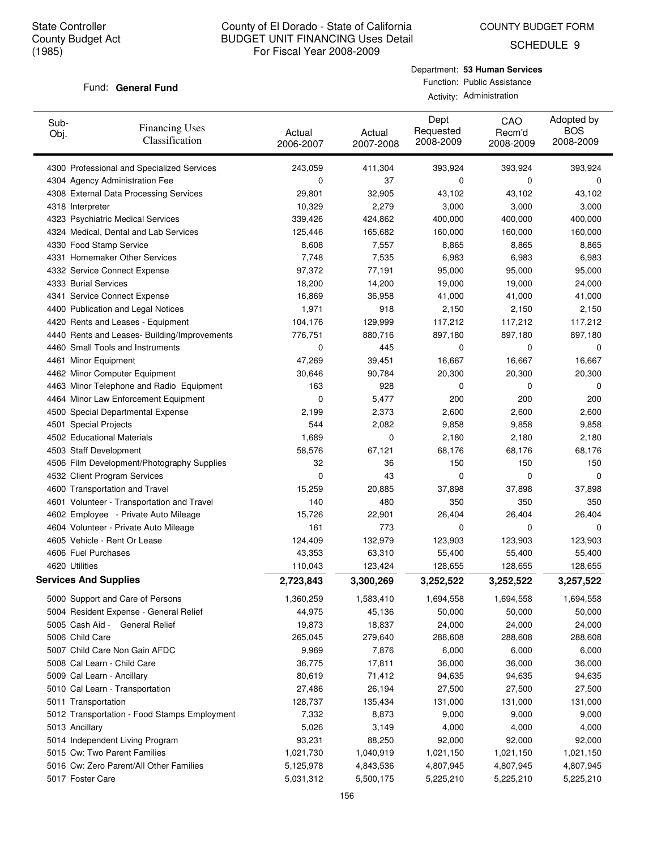COUNTY BUDGET FORM

SCHEDULE 9

#### Fund: General Fund

Department: **53 Human Services** Function: Public Assistance Activity: Administration

| Sub-<br>Obj.     | <b>Financing Uses</b><br>Classification      | Actual<br>2006-2007 | Actual<br>2007-2008 | Dept<br>Requested<br>2008-2009 | CAO<br>Recm'd<br>2008-2009 | Adopted by<br><b>BOS</b><br>2008-2009 |
|------------------|----------------------------------------------|---------------------|---------------------|--------------------------------|----------------------------|---------------------------------------|
|                  | 4300 Professional and Specialized Services   | 243,059             | 411,304             | 393,924                        | 393,924                    | 393,924                               |
|                  | 4304 Agency Administration Fee               | 0                   | 37                  | 0                              | 0                          | 0                                     |
|                  | 4308 External Data Processing Services       | 29,801              | 32,905              | 43,102                         | 43,102                     | 43,102                                |
| 4318 Interpreter |                                              | 10,329              | 2,279               | 3,000                          | 3,000                      | 3,000                                 |
|                  | 4323 Psychiatric Medical Services            | 339,426             | 424,862             | 400,000                        | 400,000                    | 400,000                               |
|                  | 4324 Medical, Dental and Lab Services        | 125,446             | 165,682             | 160,000                        | 160,000                    | 160,000                               |
|                  | 4330 Food Stamp Service                      | 8,608               | 7,557               | 8,865                          | 8,865                      | 8,865                                 |
|                  | 4331 Homemaker Other Services                | 7,748               | 7,535               | 6,983                          | 6,983                      | 6,983                                 |
|                  | 4332 Service Connect Expense                 | 97,372              | 77,191              | 95,000                         | 95,000                     | 95,000                                |
|                  | 4333 Burial Services                         | 18,200              | 14,200              | 19,000                         | 19,000                     | 24,000                                |
|                  | 4341 Service Connect Expense                 | 16,869              | 36,958              | 41,000                         | 41,000                     | 41,000                                |
|                  | 4400 Publication and Legal Notices           | 1,971               | 918                 | 2,150                          | 2,150                      | 2,150                                 |
|                  | 4420 Rents and Leases - Equipment            | 104,176             | 129,999             | 117,212                        | 117,212                    | 117,212                               |
|                  | 4440 Rents and Leases- Building/Improvements | 776,751             | 880,716             | 897,180                        | 897,180                    | 897,180                               |
|                  | 4460 Small Tools and Instruments             | 0                   | 445                 | 0                              | 0                          | 0                                     |
|                  | 4461 Minor Equipment                         | 47,269              | 39,451              | 16,667                         | 16,667                     | 16,667                                |
|                  | 4462 Minor Computer Equipment                | 30,646              | 90,784              | 20,300                         | 20,300                     | 20,300                                |
|                  | 4463 Minor Telephone and Radio Equipment     | 163                 | 928                 | 0                              | 0                          | 0                                     |
|                  | 4464 Minor Law Enforcement Equipment         | 0                   | 5,477               | 200                            | 200                        | 200                                   |
|                  | 4500 Special Departmental Expense            | 2,199               | 2,373               | 2,600                          | 2,600                      | 2,600                                 |
|                  | 4501 Special Projects                        | 544                 | 2,082               | 9,858                          | 9,858                      | 9,858                                 |
|                  | 4502 Educational Materials                   | 1,689               | 0                   | 2,180                          | 2,180                      | 2,180                                 |
|                  | 4503 Staff Development                       | 58,576              | 67,121              | 68,176                         | 68,176                     | 68,176                                |
|                  | 4506 Film Development/Photography Supplies   | 32                  | 36                  | 150                            | 150                        | 150                                   |
|                  | 4532 Client Program Services                 | 0                   | 43                  | 0                              | 0                          | 0                                     |
|                  | 4600 Transportation and Travel               | 15,259              | 20,885              | 37,898                         | 37,898                     | 37,898                                |
|                  | 4601 Volunteer - Transportation and Travel   | 140                 | 480                 | 350                            | 350                        | 350                                   |
|                  | 4602 Employee - Private Auto Mileage         | 15,726              | 22,901              | 26,404                         | 26,404                     | 26,404                                |
|                  | 4604 Volunteer - Private Auto Mileage        | 161                 | 773                 | 0                              | 0                          | 0                                     |
|                  | 4605 Vehicle - Rent Or Lease                 | 124,409             | 132,979             | 123,903                        | 123,903                    | 123,903                               |
|                  | 4606 Fuel Purchases                          | 43,353              | 63,310              | 55,400                         | 55,400                     | 55,400                                |
| 4620 Utilities   |                                              | 110,043             | 123,424             | 128,655                        | 128,655                    | 128,655                               |
|                  | <b>Services And Supplies</b>                 | 2,723,843           | 3,300,269           | 3,252,522                      | 3,252,522                  | 3,257,522                             |
|                  | 5000 Support and Care of Persons             | 1,360,259           | 1,583,410           | 1,694,558                      | 1,694,558                  | 1,694,558                             |
|                  | 5004 Resident Expense - General Relief       | 44,975              | 45,136              | 50,000                         | 50,000                     | 50,000                                |
|                  | 5005 Cash Aid - General Relief               | 19,873              | 18,837              | 24,000                         | 24,000                     | 24,000                                |
| 5006 Child Care  |                                              | 265,045             | 279,640             | 288,608                        | 288,608                    | 288,608                               |
|                  | 5007 Child Care Non Gain AFDC                | 9,969               | 7,876               | 6,000                          | 6,000                      | 6,000                                 |
|                  | 5008 Cal Learn - Child Care                  | 36,775              | 17,811              | 36,000                         | 36,000                     | 36,000                                |
|                  | 5009 Cal Learn - Ancillary                   | 80,619              | 71,412              | 94,635                         | 94,635                     | 94,635                                |
|                  | 5010 Cal Learn - Transportation              | 27,486              | 26,194              | 27,500                         | 27,500                     | 27,500                                |
|                  | 5011 Transportation                          | 128,737             | 135,434             | 131,000                        | 131,000                    | 131,000                               |
|                  | 5012 Transportation - Food Stamps Employment | 7,332               | 8,873               | 9,000                          | 9,000                      | 9,000                                 |
| 5013 Ancillary   |                                              | 5,026               | 3,149               | 4,000                          | 4,000                      | 4,000                                 |
|                  | 5014 Independent Living Program              | 93,231              | 88,250              | 92,000                         | 92,000                     | 92,000                                |
|                  | 5015 Cw: Two Parent Families                 | 1,021,730           | 1,040,919           | 1,021,150                      | 1,021,150                  | 1,021,150                             |
|                  | 5016 Cw: Zero Parent/All Other Families      | 5,125,978           | 4,843,536           | 4,807,945                      | 4,807,945                  | 4,807,945                             |
| 5017 Foster Care |                                              | 5,031,312           | 5,500,175           | 5,225,210                      | 5,225,210                  | 5,225,210                             |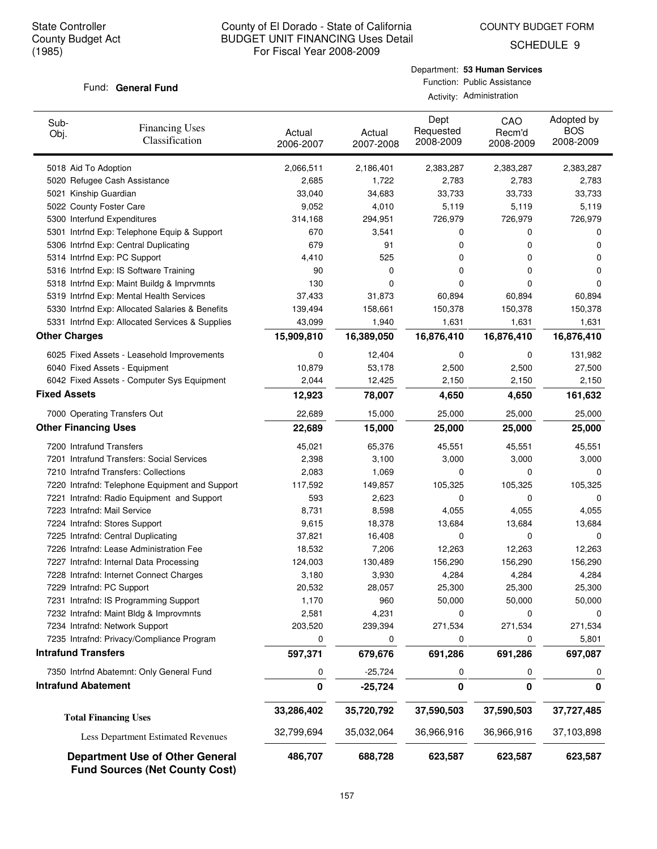COUNTY BUDGET FORM

SCHEDULE 9

#### Fund: General Fund

| Sub-<br>Obj.        | <b>Financing Uses</b><br>Classification                                         | Actual<br>2006-2007 | Actual<br>2007-2008 | Dept<br>Requested<br>2008-2009 | CAO<br>Recm'd<br>2008-2009 | Adopted by<br><b>BOS</b><br>2008-2009 |
|---------------------|---------------------------------------------------------------------------------|---------------------|---------------------|--------------------------------|----------------------------|---------------------------------------|
|                     | 5018 Aid To Adoption                                                            | 2,066,511           | 2,186,401           | 2,383,287                      | 2,383,287                  | 2,383,287                             |
|                     | 5020 Refugee Cash Assistance                                                    | 2,685               | 1,722               | 2,783                          | 2,783                      | 2,783                                 |
|                     | 5021 Kinship Guardian                                                           | 33,040              | 34,683              | 33,733                         | 33,733                     | 33,733                                |
|                     | 5022 County Foster Care                                                         | 9,052               | 4,010               | 5,119                          | 5,119                      | 5,119                                 |
|                     | 5300 Interfund Expenditures                                                     | 314,168             | 294,951             | 726,979                        | 726,979                    | 726,979                               |
|                     | 5301 Intrfnd Exp: Telephone Equip & Support                                     | 670                 | 3,541               | 0                              | 0                          | 0                                     |
|                     | 5306 Intrfnd Exp: Central Duplicating                                           | 679                 | 91                  | 0                              | 0                          | 0                                     |
|                     | 5314 Intrfnd Exp: PC Support                                                    | 4,410               | 525                 | 0                              | 0                          | 0                                     |
|                     | 5316 Intrfnd Exp: IS Software Training                                          | 90                  | 0                   | 0                              | 0                          | 0                                     |
|                     | 5318 Intrfnd Exp: Maint Buildg & Imprvmnts                                      | 130                 | 0                   | 0                              | 0                          | $\Omega$                              |
|                     | 5319 Intrfnd Exp: Mental Health Services                                        | 37,433              | 31,873              | 60,894                         | 60,894                     | 60,894                                |
|                     | 5330 Intrfnd Exp: Allocated Salaries & Benefits                                 | 139,494             | 158,661             | 150,378                        | 150,378                    | 150,378                               |
|                     | 5331 Intrfnd Exp: Allocated Services & Supplies                                 | 43,099              | 1,940               | 1,631                          | 1,631                      | 1,631                                 |
|                     | <b>Other Charges</b>                                                            | 15,909,810          | 16,389,050          | 16,876,410                     | 16,876,410                 | 16,876,410                            |
|                     | 6025 Fixed Assets - Leasehold Improvements                                      | 0                   | 12,404              | 0                              | 0                          | 131,982                               |
|                     | 6040 Fixed Assets - Equipment                                                   | 10,879              | 53,178              | 2,500                          | 2,500                      | 27,500                                |
|                     | 6042 Fixed Assets - Computer Sys Equipment                                      | 2,044               | 12,425              | 2,150                          | 2,150                      | 2,150                                 |
| <b>Fixed Assets</b> |                                                                                 | 12,923              | 78,007              | 4,650                          | 4,650                      | 161,632                               |
|                     | 7000 Operating Transfers Out                                                    | 22,689              | 15,000              | 25,000                         | 25,000                     | 25,000                                |
|                     | <b>Other Financing Uses</b>                                                     | 22,689              | 15,000              | 25,000                         | 25,000                     | 25,000                                |
|                     | 7200 Intrafund Transfers                                                        | 45,021              | 65,376              | 45,551                         | 45,551                     | 45,551                                |
|                     | 7201 Intrafund Transfers: Social Services                                       | 2,398               | 3,100               | 3,000                          | 3,000                      | 3,000                                 |
|                     | 7210 Intrafnd Transfers: Collections                                            | 2,083               | 1,069               | 0                              | 0                          | 0                                     |
|                     | 7220 Intrafnd: Telephone Equipment and Support                                  | 117,592             | 149,857             | 105,325                        | 105,325                    | 105,325                               |
|                     | 7221 Intrafnd: Radio Equipment and Support                                      | 593                 | 2,623               | 0                              | 0                          | 0                                     |
|                     | 7223 Intrafnd: Mail Service                                                     | 8,731               | 8,598               | 4,055                          | 4,055                      | 4,055                                 |
|                     | 7224 Intrafnd: Stores Support                                                   | 9,615               | 18,378              | 13,684                         | 13,684                     | 13,684                                |
|                     | 7225 Intrafnd: Central Duplicating                                              | 37,821              | 16,408              | 0                              | 0                          | 0                                     |
|                     | 7226 Intrafnd: Lease Administration Fee                                         | 18,532              | 7,206               | 12,263                         | 12,263                     | 12,263                                |
|                     | 7227 Intrafnd: Internal Data Processing                                         | 124,003             | 130,489             | 156,290                        | 156,290                    | 156,290                               |
|                     | 7228 Intrafnd: Internet Connect Charges                                         | 3,180               | 3,930               | 4,284                          | 4,284                      | 4,284                                 |
|                     | 7229 Intrafnd: PC Support                                                       | 20,532              | 28,057              | 25,300                         | 25,300                     | 25,300                                |
|                     | 7231 Intrafnd: IS Programming Support                                           | 1,170               | 960                 | 50,000                         | 50,000                     | 50,000                                |
|                     | 7232 Intrafnd: Maint Bldg & Improvmnts                                          | 2,581               | 4,231               | 0                              | 0                          | 0                                     |
|                     | 7234 Intrafnd: Network Support                                                  | 203,520             | 239,394             | 271,534                        | 271,534                    | 271,534                               |
|                     | 7235 Intrafnd: Privacy/Compliance Program                                       | 0                   | 0                   | 0                              | 0                          | 5,801                                 |
|                     | <b>Intrafund Transfers</b>                                                      | 597,371             | 679,676             | 691,286                        | 691,286                    | 697,087                               |
|                     | 7350 Intrfnd Abatemnt: Only General Fund                                        | 0                   | $-25,724$           | 0                              | 0                          | 0                                     |
|                     | <b>Intrafund Abatement</b>                                                      | 0                   | $-25,724$           | 0                              | 0                          | 0                                     |
|                     | <b>Total Financing Uses</b>                                                     | 33,286,402          | 35,720,792          | 37,590,503                     | 37,590,503                 | 37,727,485                            |
|                     | Less Department Estimated Revenues                                              | 32,799,694          | 35,032,064          | 36,966,916                     | 36,966,916                 | 37,103,898                            |
|                     | <b>Department Use of Other General</b><br><b>Fund Sources (Net County Cost)</b> | 486,707             | 688,728             | 623,587                        | 623,587                    | 623,587                               |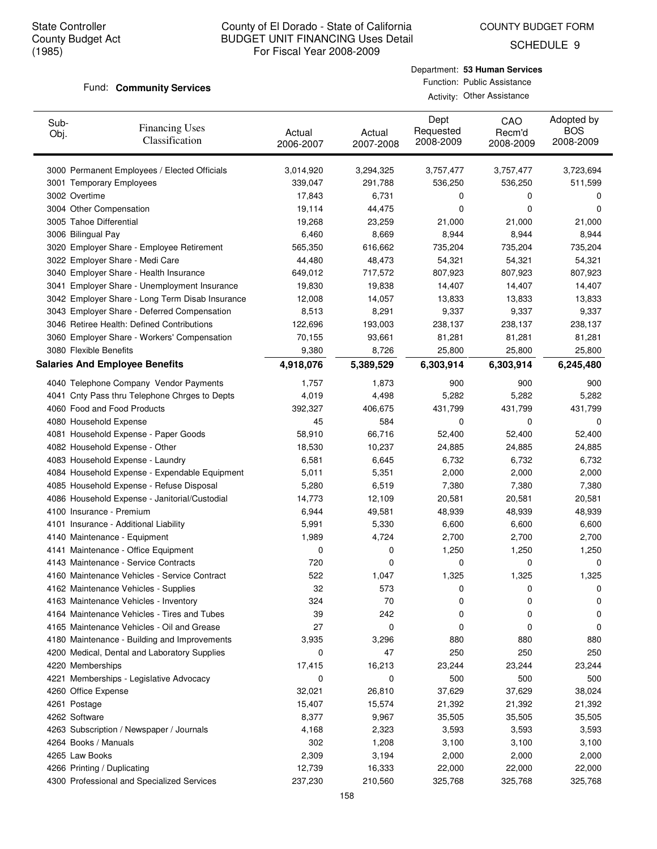COUNTY BUDGET FORM

SCHEDULE 9

#### Fund: **Community Services**

| Department: 53 Human Services |
|-------------------------------|
| Function: Public Assistance   |
| Activity: Other Assistance    |

| Sub-<br>Obj. | <b>Financing Uses</b><br>Classification         | Actual<br>2006-2007 | Actual<br>2007-2008 | Dept<br>Requested<br>2008-2009 | CAO<br>Recm'd<br>2008-2009 | Adopted by<br><b>BOS</b><br>2008-2009 |
|--------------|-------------------------------------------------|---------------------|---------------------|--------------------------------|----------------------------|---------------------------------------|
|              | 3000 Permanent Employees / Elected Officials    | 3,014,920           | 3,294,325           | 3,757,477                      | 3,757,477                  | 3,723,694                             |
|              | 3001 Temporary Employees                        | 339,047             | 291,788             | 536,250                        | 536,250                    | 511,599                               |
|              | 3002 Overtime                                   | 17,843              | 6,731               | 0                              | 0                          | 0                                     |
|              | 3004 Other Compensation                         | 19,114              | 44,475              | 0                              | 0                          | 0                                     |
|              | 3005 Tahoe Differential                         | 19,268              | 23,259              | 21,000                         | 21,000                     | 21,000                                |
|              | 3006 Bilingual Pay                              | 6,460               | 8,669               | 8,944                          | 8,944                      | 8,944                                 |
|              | 3020 Employer Share - Employee Retirement       | 565,350             | 616,662             | 735,204                        | 735,204                    | 735,204                               |
|              | 3022 Employer Share - Medi Care                 | 44,480              | 48,473              | 54,321                         | 54,321                     | 54,321                                |
|              | 3040 Employer Share - Health Insurance          | 649,012             | 717,572             | 807,923                        | 807,923                    | 807,923                               |
|              | 3041 Employer Share - Unemployment Insurance    | 19,830              | 19,838              | 14,407                         | 14,407                     | 14,407                                |
|              | 3042 Employer Share - Long Term Disab Insurance | 12,008              | 14,057              | 13,833                         | 13,833                     | 13,833                                |
|              | 3043 Employer Share - Deferred Compensation     | 8,513               | 8,291               | 9,337                          | 9,337                      | 9,337                                 |
|              | 3046 Retiree Health: Defined Contributions      | 122,696             | 193,003             | 238,137                        | 238,137                    | 238,137                               |
|              | 3060 Employer Share - Workers' Compensation     | 70,155              | 93,661              | 81,281                         | 81,281                     | 81,281                                |
|              | 3080 Flexible Benefits                          | 9,380               | 8,726               | 25,800                         | 25,800                     | 25,800                                |
|              | <b>Salaries And Employee Benefits</b>           | 4,918,076           | 5,389,529           | 6,303,914                      | 6,303,914                  | 6,245,480                             |
|              | 4040 Telephone Company Vendor Payments          | 1,757               | 1,873               | 900                            | 900                        | 900                                   |
|              | 4041 Cnty Pass thru Telephone Chrges to Depts   | 4,019               | 4,498               | 5,282                          | 5,282                      | 5,282                                 |
|              | 4060 Food and Food Products                     | 392,327             | 406,675             | 431,799                        | 431,799                    | 431,799                               |
|              | 4080 Household Expense                          | 45                  | 584                 | 0                              | 0                          | 0                                     |
|              | 4081 Household Expense - Paper Goods            | 58,910              | 66,716              | 52,400                         | 52,400                     | 52,400                                |
|              | 4082 Household Expense - Other                  | 18,530              | 10,237              | 24,885                         | 24,885                     | 24,885                                |
|              | 4083 Household Expense - Laundry                | 6,581               | 6,645               | 6,732                          | 6,732                      | 6,732                                 |
|              | 4084 Household Expense - Expendable Equipment   | 5,011               | 5,351               | 2,000                          | 2,000                      | 2,000                                 |
|              | 4085 Household Expense - Refuse Disposal        | 5,280               | 6,519               | 7,380                          | 7,380                      | 7,380                                 |
|              | 4086 Household Expense - Janitorial/Custodial   | 14,773              | 12,109              | 20,581                         | 20,581                     | 20,581                                |
|              | 4100 Insurance - Premium                        | 6,944               | 49,581              | 48,939                         | 48,939                     | 48,939                                |
|              | 4101 Insurance - Additional Liability           | 5,991               | 5,330               | 6,600                          | 6,600                      | 6,600                                 |
|              | 4140 Maintenance - Equipment                    | 1,989               | 4,724               | 2,700                          | 2,700                      | 2,700                                 |
|              | 4141 Maintenance - Office Equipment             | 0                   | 0                   | 1,250                          | 1,250                      | 1,250                                 |
|              | 4143 Maintenance - Service Contracts            | 720                 | 0                   | 0                              | 0                          | 0                                     |
|              | 4160 Maintenance Vehicles - Service Contract    | 522                 | 1,047               | 1,325                          | 1,325                      | 1,325                                 |
|              | 4162 Maintenance Vehicles - Supplies            | 32                  | 573                 | 0                              | 0                          | U                                     |
|              | 4163 Maintenance Vehicles - Inventory           | 324                 | 70                  | 0                              | 0                          | 0                                     |
|              | 4164 Maintenance Vehicles - Tires and Tubes     | 39                  | 242                 | 0                              | 0                          | 0                                     |
|              | 4165 Maintenance Vehicles - Oil and Grease      | 27                  | 0                   | 0                              | 0                          | 0                                     |
|              | 4180 Maintenance - Building and Improvements    | 3,935               | 3,296               | 880                            | 880                        | 880                                   |
|              | 4200 Medical, Dental and Laboratory Supplies    | 0                   | 47                  | 250                            | 250                        | 250                                   |
|              | 4220 Memberships                                | 17,415              | 16,213              | 23,244                         | 23,244                     | 23,244                                |
|              | 4221 Memberships - Legislative Advocacy         | 0                   | 0                   | 500                            | 500                        | 500                                   |
|              | 4260 Office Expense                             | 32,021              | 26,810              | 37,629                         | 37,629                     | 38,024                                |
|              | 4261 Postage                                    | 15,407              | 15,574              | 21,392                         | 21,392                     | 21,392                                |
|              | 4262 Software                                   | 8,377               | 9,967               | 35,505                         | 35,505                     | 35,505                                |
|              | 4263 Subscription / Newspaper / Journals        | 4,168               | 2,323               | 3,593                          | 3,593                      | 3,593                                 |
|              | 4264 Books / Manuals                            | 302                 | 1,208               | 3,100                          | 3,100                      | 3,100                                 |
|              | 4265 Law Books                                  | 2,309               | 3,194               | 2,000                          | 2,000                      | 2,000                                 |
|              | 4266 Printing / Duplicating                     | 12,739              | 16,333              | 22,000                         | 22,000                     | 22,000                                |
|              | 4300 Professional and Specialized Services      | 237,230             | 210,560             | 325,768                        | 325,768                    | 325,768                               |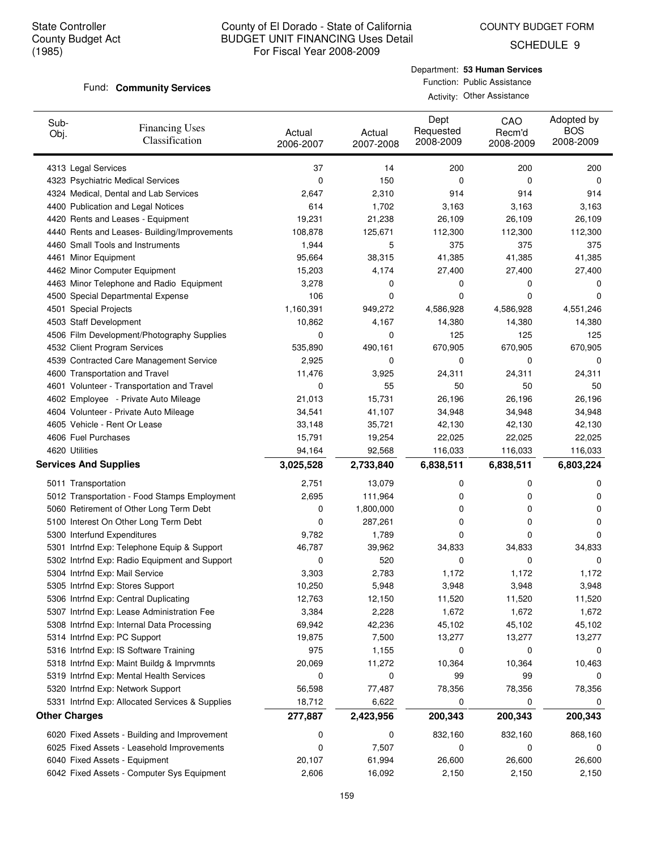COUNTY BUDGET FORM

SCHEDULE 9

#### Fund: **Community Services**

Department: **53 Human Services** Function: Public Assistance Activity: Other Assistance

| Sub-<br>Obj.                 | <b>Financing Uses</b><br>Classification         | Actual<br>2006-2007 | Actual<br>2007-2008 | Dept<br>Requested<br>2008-2009 | CAO<br>Recm'd<br>2008-2009 | Adopted by<br><b>BOS</b><br>2008-2009 |
|------------------------------|-------------------------------------------------|---------------------|---------------------|--------------------------------|----------------------------|---------------------------------------|
| 4313 Legal Services          |                                                 | 37                  | 14                  | 200                            | 200                        | 200                                   |
|                              | 4323 Psychiatric Medical Services               | 0                   | 150                 | 0                              | 0                          | 0                                     |
|                              | 4324 Medical, Dental and Lab Services           | 2,647               | 2,310               | 914                            | 914                        | 914                                   |
|                              | 4400 Publication and Legal Notices              | 614                 | 1,702               | 3,163                          | 3,163                      | 3,163                                 |
|                              | 4420 Rents and Leases - Equipment               | 19,231              | 21,238              | 26,109                         | 26,109                     | 26,109                                |
|                              | 4440 Rents and Leases- Building/Improvements    | 108,878             | 125,671             | 112,300                        | 112,300                    | 112,300                               |
|                              | 4460 Small Tools and Instruments                | 1,944               | 5                   | 375                            | 375                        | 375                                   |
| 4461 Minor Equipment         |                                                 | 95,664              | 38,315              | 41,385                         | 41,385                     | 41,385                                |
|                              | 4462 Minor Computer Equipment                   | 15,203              | 4,174               | 27,400                         | 27,400                     | 27,400                                |
|                              | 4463 Minor Telephone and Radio Equipment        | 3,278               | 0                   | 0                              | 0                          | 0                                     |
|                              | 4500 Special Departmental Expense               | 106                 | 0                   | 0                              | 0                          | 0                                     |
| 4501 Special Projects        |                                                 | 1,160,391           | 949,272             | 4,586,928                      | 4,586,928                  | 4,551,246                             |
| 4503 Staff Development       |                                                 | 10,862              | 4,167               | 14,380                         | 14,380                     | 14,380                                |
|                              | 4506 Film Development/Photography Supplies      | 0                   | 0                   | 125                            | 125                        | 125                                   |
|                              | 4532 Client Program Services                    | 535,890             | 490,161             | 670,905                        | 670,905                    | 670,905                               |
|                              | 4539 Contracted Care Management Service         | 2,925               | 0                   | 0                              | 0                          | 0                                     |
|                              | 4600 Transportation and Travel                  | 11,476              | 3,925               | 24,311                         | 24,311                     | 24,311                                |
|                              | 4601 Volunteer - Transportation and Travel      | 0                   | 55                  | 50                             | 50                         | 50                                    |
|                              | 4602 Employee - Private Auto Mileage            | 21,013              | 15,731              | 26,196                         | 26,196                     | 26,196                                |
|                              | 4604 Volunteer - Private Auto Mileage           | 34,541              | 41,107              | 34,948                         | 34,948                     | 34,948                                |
|                              | 4605 Vehicle - Rent Or Lease                    | 33,148              | 35,721              | 42,130                         | 42,130                     | 42,130                                |
| 4606 Fuel Purchases          |                                                 | 15,791              | 19,254              | 22,025                         | 22,025                     | 22,025                                |
| 4620 Utilities               |                                                 | 94,164              | 92,568              | 116,033                        | 116,033                    | 116,033                               |
| <b>Services And Supplies</b> |                                                 | 3,025,528           | 2,733,840           | 6,838,511                      | 6,838,511                  | 6,803,224                             |
| 5011 Transportation          |                                                 | 2,751               | 13,079              | 0                              | 0                          | 0                                     |
|                              | 5012 Transportation - Food Stamps Employment    | 2,695               | 111,964             | 0                              | 0                          | 0                                     |
|                              | 5060 Retirement of Other Long Term Debt         | 0                   | 1,800,000           | 0                              | 0                          | 0                                     |
|                              | 5100 Interest On Other Long Term Debt           | 0                   | 287,261             | 0                              | 0                          | 0                                     |
|                              | 5300 Interfund Expenditures                     | 9,782               | 1,789               | 0                              | 0                          | $\Omega$                              |
|                              | 5301 Intrfnd Exp: Telephone Equip & Support     | 46,787              | 39,962              | 34,833                         | 34,833                     | 34,833                                |
|                              | 5302 Intrfnd Exp: Radio Equipment and Support   | 0                   | 520                 | 0                              | 0                          | $\Omega$                              |
|                              | 5304 Intrfnd Exp: Mail Service                  | 3,303               | 2,783               | 1,172                          | 1,172                      | 1,172                                 |
|                              | 5305 Intrfnd Exp: Stores Support                | 10,250              | 5,948               | 3,948                          | 3,948                      | 3,948                                 |
|                              | 5306 Intrfnd Exp: Central Duplicating           | 12,763              | 12,150              | 11,520                         | 11,520                     | 11,520                                |
|                              | 5307 Intrfnd Exp: Lease Administration Fee      | 3,384               | 2,228               | 1,672                          | 1,672                      | 1,672                                 |
|                              | 5308 Intrfnd Exp: Internal Data Processing      | 69,942              | 42,236              | 45,102                         | 45,102                     | 45,102                                |
|                              | 5314 Intrfnd Exp: PC Support                    | 19,875              | 7,500               | 13,277                         | 13,277                     | 13,277                                |
|                              | 5316 Intrfnd Exp: IS Software Training          | 975                 | 1,155               | 0                              | 0                          | 0                                     |
|                              | 5318 Intrfnd Exp: Maint Buildg & Imprvmnts      | 20,069              | 11,272              | 10,364                         | 10,364                     | 10,463                                |
|                              | 5319 Intrfnd Exp: Mental Health Services        | 0                   | 0                   | 99                             | 99                         | 0                                     |
|                              | 5320 Intrfnd Exp: Network Support               | 56,598              | 77,487              | 78,356                         | 78,356                     | 78,356                                |
|                              | 5331 Intrfnd Exp: Allocated Services & Supplies | 18,712              | 6,622               | 0                              | 0                          | 0                                     |
| <b>Other Charges</b>         |                                                 | 277,887             | 2,423,956           | 200,343                        | 200,343                    | 200,343                               |
|                              | 6020 Fixed Assets - Building and Improvement    | 0                   | 0                   | 832,160                        | 832,160                    | 868,160                               |
|                              | 6025 Fixed Assets - Leasehold Improvements      | 0                   | 7,507               | 0                              | 0                          | 0                                     |
|                              | 6040 Fixed Assets - Equipment                   | 20,107              | 61,994              | 26,600                         | 26,600                     | 26,600                                |
|                              | 6042 Fixed Assets - Computer Sys Equipment      | 2,606               | 16,092              | 2,150                          | 2,150                      | 2,150                                 |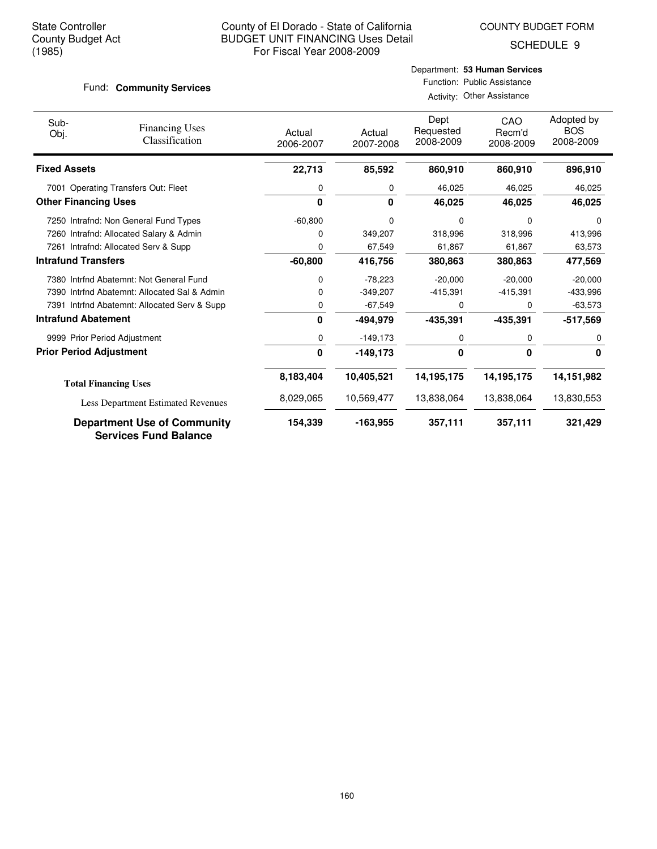COUNTY BUDGET FORM

SCHEDULE 9

#### Fund: **Community Services**

# Department: **53 Human Services** Function: Public Assistance

| Activity: Other Assistance |
|----------------------------|

| Sub-<br>Obj.                | <b>Financing Uses</b><br>Classification                            | Actual<br>2006-2007 | Actual<br>2007-2008 | Dept<br>Requested<br>2008-2009 | CAO<br>Recm'd<br>2008-2009 | Adopted by<br><b>BOS</b><br>2008-2009 |
|-----------------------------|--------------------------------------------------------------------|---------------------|---------------------|--------------------------------|----------------------------|---------------------------------------|
| <b>Fixed Assets</b>         |                                                                    | 22,713              | 85,592              | 860,910                        | 860,910                    | 896,910                               |
|                             | 7001 Operating Transfers Out: Fleet                                | 0                   | 0                   | 46,025                         | 46,025                     | 46,025                                |
| <b>Other Financing Uses</b> |                                                                    | 0                   | 0                   | 46,025                         | 46,025                     | 46,025                                |
|                             | 7250 Intrafnd: Non General Fund Types                              | $-60,800$           | 0                   | 0                              | 0                          | $\Omega$                              |
|                             | 7260 Intrafnd: Allocated Salary & Admin                            | 0                   | 349,207             | 318,996                        | 318,996                    | 413,996                               |
|                             | 7261 Intrafnd: Allocated Serv & Supp                               | 0                   | 67,549              | 61,867                         | 61,867                     | 63,573                                |
| <b>Intrafund Transfers</b>  |                                                                    | $-60,800$           | 416,756             | 380,863                        | 380,863                    | 477,569                               |
|                             | 7380 Intrfnd Abatemnt: Not General Fund                            | 0                   | $-78,223$           | $-20,000$                      | $-20,000$                  | $-20,000$                             |
|                             | 7390 Intrfnd Abatemnt: Allocated Sal & Admin                       | 0                   | $-349,207$          | $-415,391$                     | $-415,391$                 | $-433,996$                            |
|                             | 7391 Intrfnd Abatemnt: Allocated Serv & Supp                       | 0                   | $-67,549$           | 0                              | 0                          | $-63,573$                             |
| <b>Intrafund Abatement</b>  |                                                                    | 0                   | -494,979            | -435,391                       | $-435,391$                 | $-517,569$                            |
|                             | 9999 Prior Period Adjustment                                       | 0                   | $-149,173$          | 0                              | 0                          | 0                                     |
|                             | <b>Prior Period Adjustment</b>                                     | 0                   | -149,173            | 0                              | 0                          | 0                                     |
|                             | <b>Total Financing Uses</b>                                        | 8,183,404           | 10,405,521          | 14,195,175                     | 14, 195, 175               | 14,151,982                            |
|                             | Less Department Estimated Revenues                                 | 8,029,065           | 10,569,477          | 13,838,064                     | 13,838,064                 | 13,830,553                            |
|                             | <b>Department Use of Community</b><br><b>Services Fund Balance</b> | 154,339             | -163,955            | 357,111                        | 357,111                    | 321,429                               |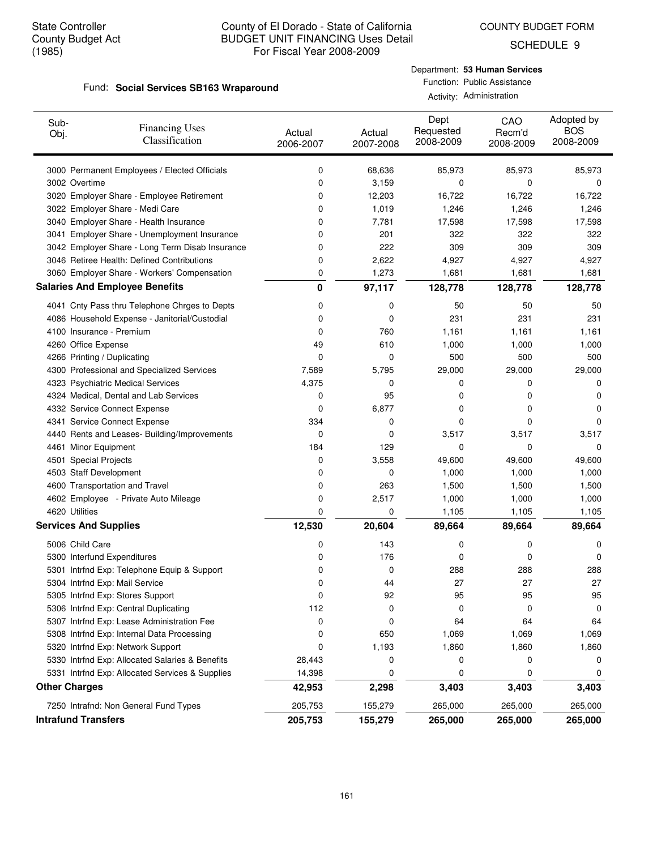SCHEDULE 9

#### Fund: Social Services SB163 Wraparound

# Department: **53 Human Services** Function: Public Assistance

Activity: Administration

| Sub-<br>Obj.                 | <b>Financing Uses</b><br>Classification         | Actual<br>2006-2007 | Actual<br>2007-2008 | Dept<br>Requested<br>2008-2009 | CAO<br>Recm'd<br>2008-2009 | Adopted by<br><b>BOS</b><br>2008-2009 |
|------------------------------|-------------------------------------------------|---------------------|---------------------|--------------------------------|----------------------------|---------------------------------------|
|                              | 3000 Permanent Employees / Elected Officials    | 0                   | 68,636              | 85,973                         | 85,973                     | 85,973                                |
| 3002 Overtime                |                                                 | 0                   | 3,159               | 0                              | 0                          | 0                                     |
|                              | 3020 Employer Share - Employee Retirement       | 0                   | 12,203              | 16,722                         | 16,722                     | 16,722                                |
|                              | 3022 Employer Share - Medi Care                 | 0                   | 1,019               | 1,246                          | 1,246                      | 1,246                                 |
|                              | 3040 Employer Share - Health Insurance          | 0                   | 7,781               | 17,598                         | 17,598                     | 17,598                                |
|                              | 3041 Employer Share - Unemployment Insurance    | 0                   | 201                 | 322                            | 322                        | 322                                   |
|                              | 3042 Employer Share - Long Term Disab Insurance | 0                   | 222                 | 309                            | 309                        | 309                                   |
|                              | 3046 Retiree Health: Defined Contributions      | 0                   | 2,622               | 4,927                          | 4,927                      | 4,927                                 |
|                              | 3060 Employer Share - Workers' Compensation     | 0                   | 1,273               | 1,681                          | 1,681                      | 1,681                                 |
|                              | <b>Salaries And Employee Benefits</b>           | 0                   | 97,117              | 128,778                        | 128,778                    | 128,778                               |
|                              | 4041 Cnty Pass thru Telephone Chrges to Depts   | 0                   | 0                   | 50                             | 50                         | 50                                    |
|                              | 4086 Household Expense - Janitorial/Custodial   | 0                   | 0                   | 231                            | 231                        | 231                                   |
| 4100 Insurance - Premium     |                                                 | 0                   | 760                 | 1,161                          | 1,161                      | 1,161                                 |
| 4260 Office Expense          |                                                 | 49                  | 610                 | 1,000                          | 1,000                      | 1,000                                 |
| 4266 Printing / Duplicating  |                                                 | 0                   | 0                   | 500                            | 500                        | 500                                   |
|                              | 4300 Professional and Specialized Services      | 7,589               | 5,795               | 29,000                         | 29,000                     | 29,000                                |
|                              | 4323 Psychiatric Medical Services               | 4,375               | 0                   | 0                              | 0                          | 0                                     |
|                              | 4324 Medical, Dental and Lab Services           | 0                   | 95                  | 0                              | 0                          | 0                                     |
|                              | 4332 Service Connect Expense                    | 0                   | 6,877               | 0                              | 0                          | 0                                     |
|                              | 4341 Service Connect Expense                    | 334                 | 0                   | 0                              | 0                          | 0                                     |
|                              | 4440 Rents and Leases- Building/Improvements    | 0                   | 0                   | 3,517                          | 3,517                      | 3,517                                 |
| 4461 Minor Equipment         |                                                 | 184                 | 129                 | 0                              | 0                          | 0                                     |
| 4501 Special Projects        |                                                 | 0                   | 3,558               | 49,600                         | 49,600                     | 49,600                                |
| 4503 Staff Development       |                                                 | 0                   | 0                   | 1,000                          | 1,000                      | 1,000                                 |
|                              | 4600 Transportation and Travel                  | 0                   | 263                 | 1,500                          | 1,500                      | 1,500                                 |
|                              | 4602 Employee - Private Auto Mileage            | 0                   | 2,517               | 1,000                          | 1,000                      | 1,000                                 |
| 4620 Utilities               |                                                 | 0                   | 0                   | 1,105                          | 1,105                      | 1,105                                 |
| <b>Services And Supplies</b> |                                                 | 12,530              | 20,604              | 89,664                         | 89,664                     | 89,664                                |
| 5006 Child Care              |                                                 | 0                   | 143                 | 0                              | 0                          | 0                                     |
| 5300 Interfund Expenditures  |                                                 | 0                   | 176                 | 0                              | 0                          | 0                                     |
|                              | 5301 Intrfnd Exp: Telephone Equip & Support     | 0                   | 0                   | 288                            | 288                        | 288                                   |
|                              | 5304 Intrfnd Exp: Mail Service                  | 0                   | 44                  | 27                             | 27                         | 27                                    |
|                              | 5305 Intrfnd Exp: Stores Support                | 0                   | 92                  | 95                             | 95                         | 95                                    |
|                              | 5306 Intrfnd Exp: Central Duplicating           | 112                 | 0                   | 0                              | 0                          | 0                                     |
|                              | 5307 Intrfnd Exp: Lease Administration Fee      | 0                   | 0                   | 64                             | 64                         | 64                                    |
|                              | 5308 Intrfnd Exp: Internal Data Processing      | 0                   | 650                 | 1,069                          | 1,069                      | 1,069                                 |
|                              | 5320 Intrfnd Exp: Network Support               | 0                   | 1,193               | 1,860                          | 1,860                      | 1,860                                 |
|                              | 5330 Intrfnd Exp: Allocated Salaries & Benefits | 28,443              | 0                   | 0                              | 0                          | 0                                     |
|                              | 5331 Intrfnd Exp: Allocated Services & Supplies | 14,398              | 0                   | 0                              | 0                          | 0                                     |
| <b>Other Charges</b>         |                                                 | 42,953              | 2,298               | 3,403                          | 3,403                      | 3,403                                 |
|                              | 7250 Intrafnd: Non General Fund Types           | 205,753             | 155,279             | 265,000                        | 265,000                    | 265,000                               |
| <b>Intrafund Transfers</b>   |                                                 | 205,753             | 155,279             | 265,000                        | 265,000                    | 265,000                               |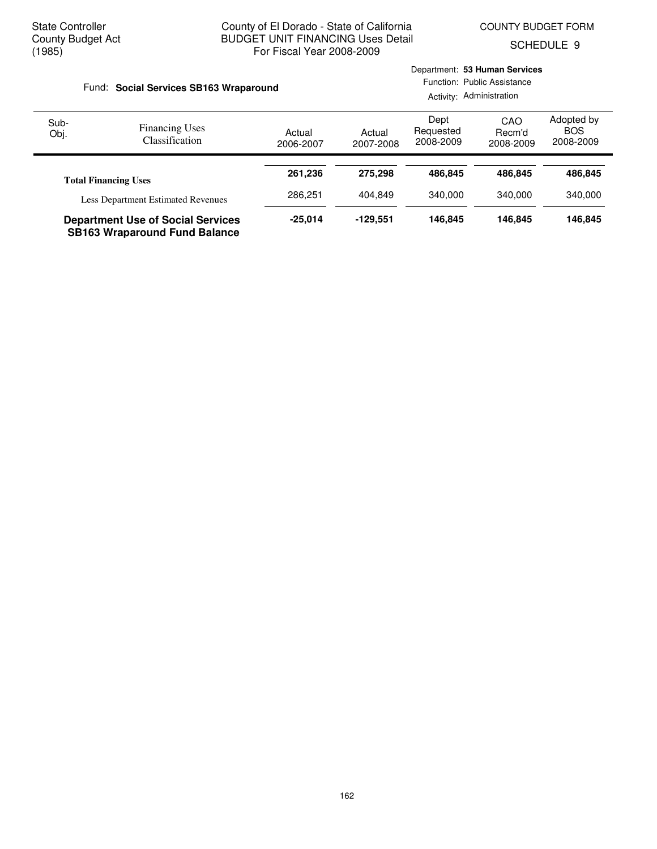Department: **53 Human Services**

SCHEDULE 9

|              | Fund: Social Services SB163 Wraparound                                           |                     |                     | Function: Public Assistance<br>Activity: Administration |                            |                                       |  |
|--------------|----------------------------------------------------------------------------------|---------------------|---------------------|---------------------------------------------------------|----------------------------|---------------------------------------|--|
| Sub-<br>Obj. | <b>Financing Uses</b><br><b>Classification</b>                                   | Actual<br>2006-2007 | Actual<br>2007-2008 | Dept<br>Requested<br>2008-2009                          | CAO<br>Recm'd<br>2008-2009 | Adopted by<br><b>BOS</b><br>2008-2009 |  |
|              | <b>Total Financing Uses</b>                                                      | 261.236<br>286.251  | 275.298             | 486.845                                                 | 486.845                    | 486,845                               |  |
|              | <b>Less Department Estimated Revenues</b>                                        |                     | 404.849             | 340,000                                                 | 340,000                    | 340.000                               |  |
|              | <b>Department Use of Social Services</b><br><b>SB163 Wraparound Fund Balance</b> | $-25.014$           | $-129.551$          | 146.845                                                 | 146.845                    | 146,845                               |  |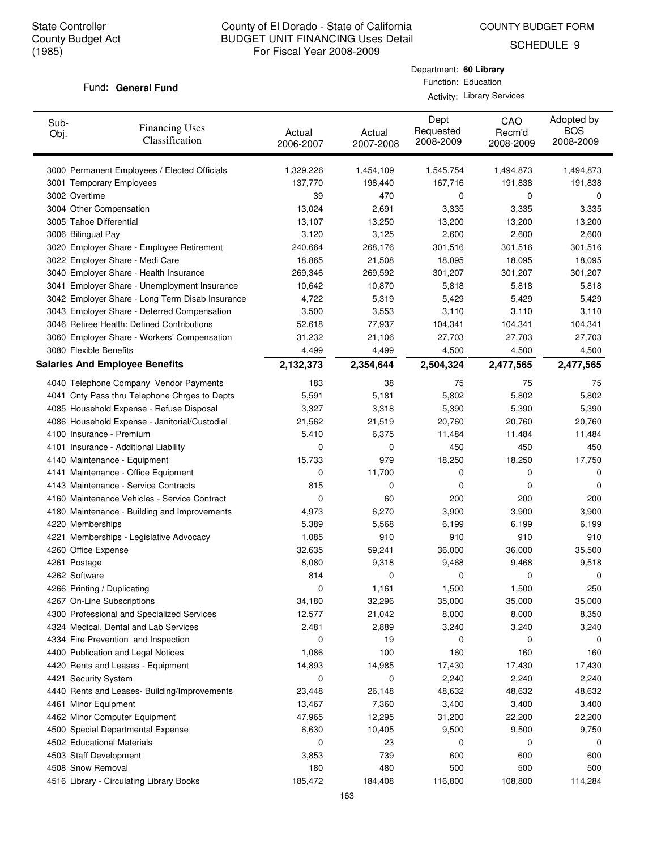COUNTY BUDGET FORM

Department: **60 Library** Function: Education Activity: Library Services

SCHEDULE 9

#### Fund: General Fund

| Sub-<br><b>Financing Uses</b><br>Obj.<br>Classification | Actual<br>2006-2007 | Actual<br>2007-2008 | Dept<br>Requested<br>2008-2009 | CAO<br>Recm'd<br>2008-2009 | Adopted by<br><b>BOS</b><br>2008-2009 |
|---------------------------------------------------------|---------------------|---------------------|--------------------------------|----------------------------|---------------------------------------|
| 3000 Permanent Employees / Elected Officials            | 1,329,226           | 1,454,109           | 1,545,754                      | 1,494,873                  | 1,494,873                             |
| 3001 Temporary Employees                                | 137,770             | 198,440             | 167,716                        | 191,838                    | 191,838                               |
| 3002 Overtime                                           | 39                  | 470                 | 0                              | 0                          | 0                                     |
| 3004 Other Compensation                                 | 13,024              | 2,691               | 3,335                          | 3,335                      | 3,335                                 |
| 3005 Tahoe Differential                                 | 13,107              | 13,250              | 13,200                         | 13,200                     | 13,200                                |
| 3006 Bilingual Pay                                      | 3,120               | 3,125               | 2,600                          | 2,600                      | 2,600                                 |
| 3020 Employer Share - Employee Retirement               | 240,664             | 268,176             | 301,516                        | 301,516                    | 301,516                               |
| 3022 Employer Share - Medi Care                         | 18,865              | 21,508              | 18,095                         | 18,095                     | 18,095                                |
| 3040 Employer Share - Health Insurance                  | 269,346             | 269,592             | 301,207                        | 301,207                    | 301,207                               |
| 3041 Employer Share - Unemployment Insurance            | 10,642              | 10,870              | 5,818                          | 5,818                      | 5,818                                 |
| 3042 Employer Share - Long Term Disab Insurance         | 4,722               | 5,319               | 5,429                          | 5,429                      | 5,429                                 |
| 3043 Employer Share - Deferred Compensation             | 3,500               | 3,553               | 3,110                          | 3,110                      | 3,110                                 |
| 3046 Retiree Health: Defined Contributions              | 52,618              | 77,937              | 104,341                        | 104,341                    | 104,341                               |
| 3060 Employer Share - Workers' Compensation             | 31,232              | 21,106              | 27,703                         | 27,703                     | 27,703                                |
| 3080 Flexible Benefits                                  | 4,499               | 4,499               | 4,500                          | 4,500                      | 4,500                                 |
| <b>Salaries And Employee Benefits</b>                   | 2,132,373           | 2,354,644           | 2,504,324                      | 2,477,565                  | 2,477,565                             |
| 4040 Telephone Company Vendor Payments                  | 183                 | 38                  | 75                             | 75                         | 75                                    |
| 4041 Cnty Pass thru Telephone Chrges to Depts           | 5,591               | 5,181               | 5,802                          | 5,802                      | 5,802                                 |
| 4085 Household Expense - Refuse Disposal                | 3,327               | 3,318               | 5,390                          | 5,390                      | 5,390                                 |
| 4086 Household Expense - Janitorial/Custodial           | 21,562              | 21,519              | 20,760                         | 20,760                     | 20,760                                |
| 4100 Insurance - Premium                                | 5,410               | 6,375               | 11,484                         | 11,484                     | 11,484                                |
| 4101 Insurance - Additional Liability                   | 0                   | 0                   | 450                            | 450                        | 450                                   |
| 4140 Maintenance - Equipment                            | 15,733              | 979                 | 18,250                         | 18,250                     | 17,750                                |
| 4141 Maintenance - Office Equipment                     | 0                   | 11,700              | 0                              | 0                          | 0                                     |
| 4143 Maintenance - Service Contracts                    | 815                 | 0                   | 0                              | 0                          | 0                                     |
| 4160 Maintenance Vehicles - Service Contract            | 0                   | 60                  | 200                            | 200                        | 200                                   |
| 4180 Maintenance - Building and Improvements            | 4,973               | 6,270               | 3,900                          | 3,900                      | 3,900                                 |
| 4220 Memberships                                        | 5,389               | 5,568               | 6,199                          | 6,199                      | 6,199                                 |
| 4221 Memberships - Legislative Advocacy                 | 1,085               | 910                 | 910                            | 910                        | 910                                   |
| 4260 Office Expense                                     | 32,635              | 59,241              | 36,000                         | 36,000                     | 35,500                                |
| 4261 Postage                                            | 8,080               | 9,318               | 9,468                          | 9,468                      | 9,518                                 |
| 4262 Software                                           | 814                 | 0                   | 0                              | 0                          | 0                                     |
| 4266 Printing / Duplicating                             | 0                   | 1,161               | 1,500                          | 1,500                      | 250                                   |
| 4267 On-Line Subscriptions                              | 34,180              | 32,296              | 35,000                         | 35,000                     | 35,000                                |
| 4300 Professional and Specialized Services              | 12,577              | 21,042              | 8,000                          | 8,000                      | 8,350                                 |
| 4324 Medical, Dental and Lab Services                   | 2,481               | 2,889               | 3,240                          | 3,240                      | 3,240                                 |
| 4334 Fire Prevention and Inspection                     | 0                   | 19                  | 0                              | 0                          | 0                                     |
| 4400 Publication and Legal Notices                      | 1,086               | 100                 | 160                            | 160                        | 160                                   |
| 4420 Rents and Leases - Equipment                       | 14,893              | 14,985              | 17,430                         | 17,430                     | 17,430                                |
| 4421 Security System                                    | 0                   | 0                   | 2,240                          | 2,240                      | 2,240                                 |
| 4440 Rents and Leases- Building/Improvements            | 23,448              | 26,148              | 48,632                         | 48,632                     | 48,632                                |
| 4461 Minor Equipment                                    | 13,467              | 7,360               | 3,400                          | 3,400                      | 3,400                                 |
| 4462 Minor Computer Equipment                           | 47,965              | 12,295              | 31,200                         | 22,200                     | 22,200                                |
| 4500 Special Departmental Expense                       | 6,630               | 10,405              | 9,500                          | 9,500                      | 9,750                                 |
| 4502 Educational Materials                              | 0                   | 23                  | 0                              | 0                          | 0                                     |
| 4503 Staff Development                                  | 3,853               | 739                 | 600                            | 600                        | 600                                   |
| 4508 Snow Removal                                       | 180                 | 480                 | 500                            | 500                        | 500                                   |
| 4516 Library - Circulating Library Books                | 185,472             | 184,408             | 116,800                        | 108,800                    | 114,284                               |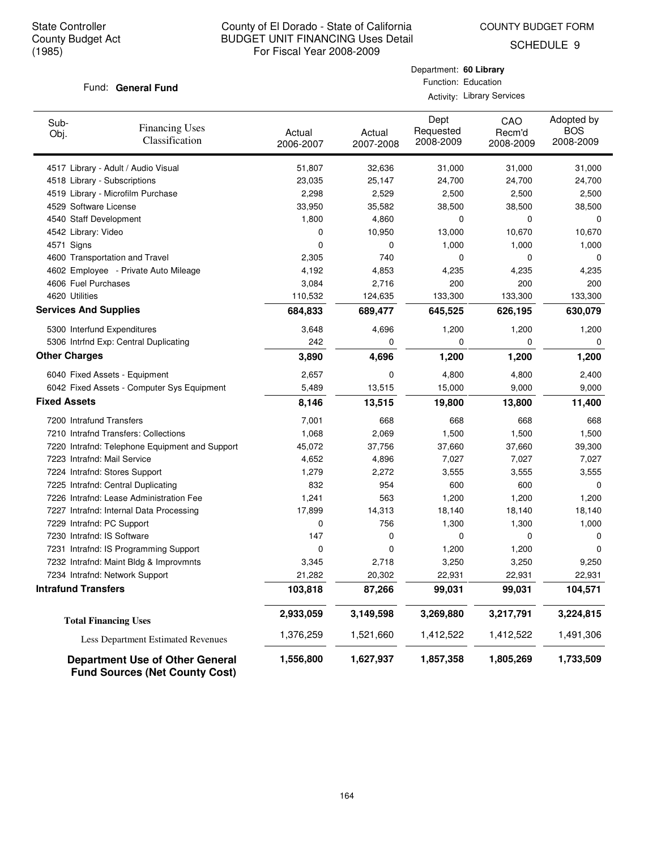COUNTY BUDGET FORM

Department: **60 Library** Function: Education Activity: Library Services

SCHEDULE 9

#### Fund: General Fund

| Sub-<br>Obj.                 | <b>Financing Uses</b><br>Classification        | Actual<br>2006-2007 | Actual<br>2007-2008 | Dept<br>Requested<br>2008-2009 | CAO<br>Recm'd<br>2008-2009 | Adopted by<br><b>BOS</b><br>2008-2009 |
|------------------------------|------------------------------------------------|---------------------|---------------------|--------------------------------|----------------------------|---------------------------------------|
|                              | 4517 Library - Adult / Audio Visual            | 51,807              | 32,636              | 31,000                         | 31,000                     | 31,000                                |
|                              | 4518 Library - Subscriptions                   | 23,035              | 25,147              | 24,700                         | 24,700                     | 24,700                                |
|                              | 4519 Library - Microfilm Purchase              | 2,298               | 2,529               | 2,500                          | 2,500                      | 2,500                                 |
| 4529 Software License        |                                                | 33,950              | 35,582              | 38,500                         | 38,500                     | 38,500                                |
| 4540 Staff Development       |                                                | 1,800               | 4,860               | $\mathbf 0$                    | 0                          | 0                                     |
| 4542 Library: Video          |                                                | 0                   | 10,950              | 13,000                         | 10,670                     | 10,670                                |
| 4571 Signs                   |                                                | $\mathbf 0$         | $\mathbf 0$         | 1,000                          | 1,000                      | 1,000                                 |
|                              | 4600 Transportation and Travel                 | 2,305               | 740                 | 0                              | 0                          | 0                                     |
|                              | 4602 Employee - Private Auto Mileage           | 4,192               | 4,853               | 4,235                          | 4,235                      | 4,235                                 |
| 4606 Fuel Purchases          |                                                | 3,084               | 2,716               | 200                            | 200                        | 200                                   |
| 4620 Utilities               |                                                | 110,532             | 124,635             | 133,300                        | 133,300                    | 133,300                               |
| <b>Services And Supplies</b> |                                                | 684,833             | 689,477             | 645,525                        | 626,195                    | 630,079                               |
|                              | 5300 Interfund Expenditures                    | 3,648               | 4,696               | 1,200                          | 1,200                      | 1,200                                 |
|                              | 5306 Intrfnd Exp: Central Duplicating          | 242                 | $\mathbf 0$         | $\mathbf 0$                    | 0                          | $\mathbf 0$                           |
| <b>Other Charges</b>         |                                                | 3,890               | 4,696               | 1,200                          | 1,200                      | 1,200                                 |
|                              | 6040 Fixed Assets - Equipment                  | 2,657               | 0                   | 4,800                          | 4,800                      | 2,400                                 |
|                              | 6042 Fixed Assets - Computer Sys Equipment     | 5,489               | 13,515              | 15,000                         | 9,000                      | 9,000                                 |
| <b>Fixed Assets</b>          |                                                | 8,146               | 13,515              | 19,800                         | 13,800                     | 11,400                                |
| 7200 Intrafund Transfers     |                                                | 7,001               | 668                 | 668                            | 668                        | 668                                   |
|                              | 7210 Intrafnd Transfers: Collections           | 1,068               | 2,069               | 1,500                          | 1,500                      | 1,500                                 |
|                              | 7220 Intrafnd: Telephone Equipment and Support | 45,072              | 37,756              | 37,660                         | 37,660                     | 39,300                                |
| 7223 Intrafnd: Mail Service  |                                                | 4,652               | 4,896               | 7,027                          | 7,027                      | 7,027                                 |
|                              | 7224 Intrafnd: Stores Support                  | 1,279               | 2,272               | 3,555                          | 3,555                      | 3,555                                 |
|                              | 7225 Intrafnd: Central Duplicating             | 832                 | 954                 | 600                            | 600                        | 0                                     |
|                              | 7226 Intrafnd: Lease Administration Fee        | 1,241               | 563                 | 1,200                          | 1,200                      | 1,200                                 |
|                              | 7227 Intrafnd: Internal Data Processing        | 17,899              | 14,313              | 18,140                         | 18,140                     | 18,140                                |
| 7229 Intrafnd: PC Support    |                                                | 0                   | 756                 | 1,300                          | 1,300                      | 1,000                                 |
| 7230 Intrafnd: IS Software   |                                                | 147                 | 0                   | 0                              | 0                          | 0                                     |
|                              | 7231 Intrafnd: IS Programming Support          | 0                   | $\mathbf 0$         | 1,200                          | 1,200                      | 0                                     |
|                              | 7232 Intrafnd: Maint Bldg & Improvmnts         | 3,345               | 2,718               | 3,250                          | 3,250                      | 9,250                                 |
|                              | 7234 Intrafnd: Network Support                 | 21,282              | 20,302              | 22,931                         | 22,931                     | 22,931                                |
| <b>Intrafund Transfers</b>   |                                                | 103,818             | 87,266              | 99,031                         | 99,031                     | 104,571                               |
|                              | <b>Total Financing Uses</b>                    | 2,933,059           | 3,149,598           | 3,269,880                      | 3,217,791                  | 3,224,815                             |
|                              | <b>Less Department Estimated Revenues</b>      | 1,376,259           | 1,521,660           | 1,412,522                      | 1,412,522                  | 1,491,306                             |

**Department Use of Other General 1,556,800 1,627,937 1,857,358 1,733,509 1,805,269 Fund Sources (Net County Cost)**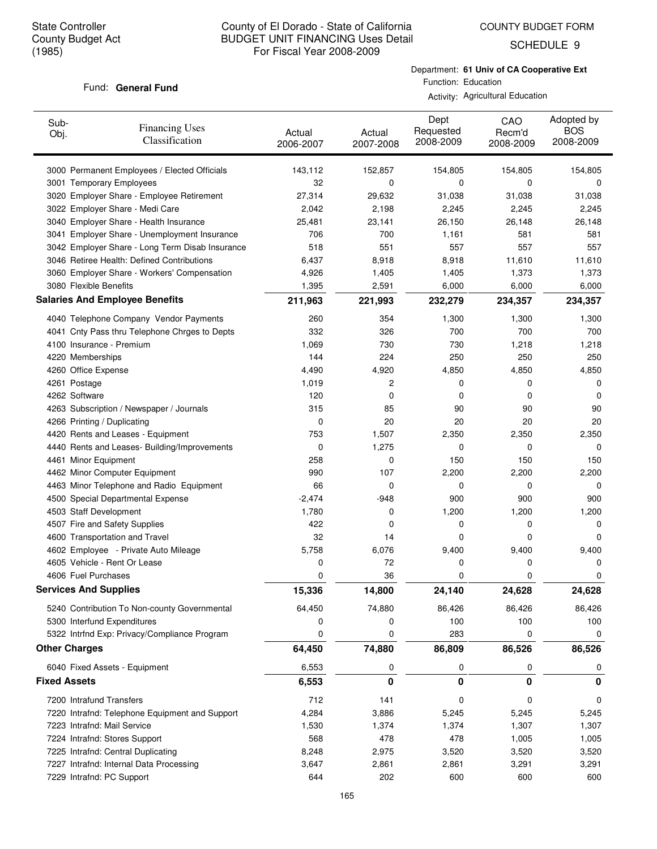SCHEDULE 9

#### Fund: General Fund

Department: **61 Univ of CA Cooperative Ext** Function: Education

Activity: Agricultural Education

| Sub-<br><b>Financing Uses</b><br>Obj.<br>Classification                       | Actual<br>2006-2007 | Actual<br>2007-2008 | Dept<br>Requested<br>2008-2009 | CAO<br>Recm'd<br>2008-2009 | Adopted by<br><b>BOS</b><br>2008-2009 |
|-------------------------------------------------------------------------------|---------------------|---------------------|--------------------------------|----------------------------|---------------------------------------|
| 3000 Permanent Employees / Elected Officials                                  | 143,112             | 152,857             | 154,805                        | 154,805                    | 154,805                               |
| 3001 Temporary Employees                                                      | 32                  | 0                   | 0                              | 0                          | 0                                     |
| 3020 Employer Share - Employee Retirement                                     | 27,314              | 29,632              | 31,038                         | 31,038                     | 31,038                                |
| 3022 Employer Share - Medi Care                                               | 2,042               | 2,198               | 2,245                          | 2,245                      | 2,245                                 |
| 3040 Employer Share - Health Insurance                                        | 25,481              | 23,141              | 26,150                         | 26,148                     | 26,148                                |
| 3041 Employer Share - Unemployment Insurance                                  | 706                 | 700                 | 1,161                          | 581                        | 581                                   |
| 3042 Employer Share - Long Term Disab Insurance                               | 518                 | 551                 | 557                            | 557                        | 557                                   |
| 3046 Retiree Health: Defined Contributions                                    | 6,437               | 8,918               | 8,918                          | 11,610                     | 11,610                                |
| 3060 Employer Share - Workers' Compensation                                   | 4,926               | 1,405               | 1,405                          | 1,373                      | 1,373                                 |
| 3080 Flexible Benefits                                                        | 1,395               | 2,591               | 6,000                          | 6,000                      | 6,000                                 |
| <b>Salaries And Employee Benefits</b>                                         | 211,963             | 221,993             | 232,279                        | 234,357                    | 234,357                               |
| 4040 Telephone Company Vendor Payments                                        | 260                 | 354                 | 1,300                          | 1,300                      | 1,300                                 |
| 4041 Cnty Pass thru Telephone Chrges to Depts                                 | 332                 | 326                 | 700                            | 700                        | 700                                   |
| 4100 Insurance - Premium                                                      | 1,069               | 730                 | 730                            | 1,218                      | 1,218                                 |
| 4220 Memberships                                                              | 144                 | 224                 | 250                            | 250                        | 250                                   |
| 4260 Office Expense                                                           | 4,490               | 4,920               | 4,850                          | 4,850                      | 4,850                                 |
| 4261 Postage                                                                  | 1,019               | 2                   | 0                              | 0                          | 0                                     |
| 4262 Software                                                                 | 120                 | 0                   | 0                              | 0                          | 0                                     |
| 4263 Subscription / Newspaper / Journals                                      | 315                 | 85                  | 90                             | 90                         | 90                                    |
| 4266 Printing / Duplicating                                                   | 0                   | 20                  | 20                             | 20                         | 20                                    |
| 4420 Rents and Leases - Equipment                                             | 753                 | 1,507               | 2,350                          | 2,350                      | 2,350                                 |
| 4440 Rents and Leases- Building/Improvements                                  | 0                   | 1,275               | 0                              | 0                          | 0                                     |
| 4461 Minor Equipment                                                          | 258                 | 0                   | 150                            | 150                        | 150                                   |
| 4462 Minor Computer Equipment                                                 | 990<br>66           | 107<br>0            | 2,200<br>0                     | 2,200<br>0                 | 2,200                                 |
| 4463 Minor Telephone and Radio Equipment<br>4500 Special Departmental Expense | $-2,474$            | -948                | 900                            | 900                        | 0<br>900                              |
| 4503 Staff Development                                                        | 1,780               | 0                   | 1,200                          | 1,200                      | 1,200                                 |
| 4507 Fire and Safety Supplies                                                 | 422                 | 0                   | 0                              | 0                          | 0                                     |
| 4600 Transportation and Travel                                                | 32                  | 14                  | 0                              | 0                          | 0                                     |
| 4602 Employee - Private Auto Mileage                                          | 5,758               | 6,076               | 9,400                          | 9,400                      | 9,400                                 |
| 4605 Vehicle - Rent Or Lease                                                  | 0                   | 72                  | 0                              | 0                          | 0                                     |
| 4606 Fuel Purchases                                                           | 0                   | 36                  | 0                              | 0                          | 0                                     |
| <b>Services And Supplies</b>                                                  | 15,336              | 14,800              | 24,140                         | 24,628                     | 24,628                                |
| 5240 Contribution To Non-county Governmental                                  | 64,450              | 74,880              | 86,426                         | 86,426                     | 86,426                                |
| 5300 Interfund Expenditures                                                   | 0                   | 0                   | 100                            | 100                        | 100                                   |
| 5322 Intrfnd Exp: Privacy/Compliance Program                                  | 0                   | 0                   | 283                            | 0                          | 0                                     |
| <b>Other Charges</b>                                                          | 64,450              | 74,880              | 86,809                         | 86,526                     | 86,526                                |
| 6040 Fixed Assets - Equipment                                                 | 6,553               | 0                   | 0                              | 0                          | 0                                     |
| <b>Fixed Assets</b>                                                           | 6,553               | 0                   | 0                              | 0                          | 0                                     |
| 7200 Intrafund Transfers                                                      | 712                 | 141                 | 0                              | 0                          | 0                                     |
| 7220 Intrafnd: Telephone Equipment and Support                                | 4,284               | 3,886               | 5,245                          | 5,245                      | 5,245                                 |
| 7223 Intrafnd: Mail Service                                                   | 1,530               | 1,374               | 1,374                          | 1,307                      | 1,307                                 |
| 7224 Intrafnd: Stores Support                                                 | 568                 | 478                 | 478                            | 1,005                      | 1,005                                 |
| 7225 Intrafnd: Central Duplicating                                            | 8,248               | 2,975               | 3,520                          | 3,520                      | 3,520                                 |
| 7227 Intrafnd: Internal Data Processing                                       | 3,647               | 2,861               | 2,861                          | 3,291                      | 3,291                                 |
| 7229 Intrafnd: PC Support                                                     | 644                 | 202                 | 600                            | 600                        | 600                                   |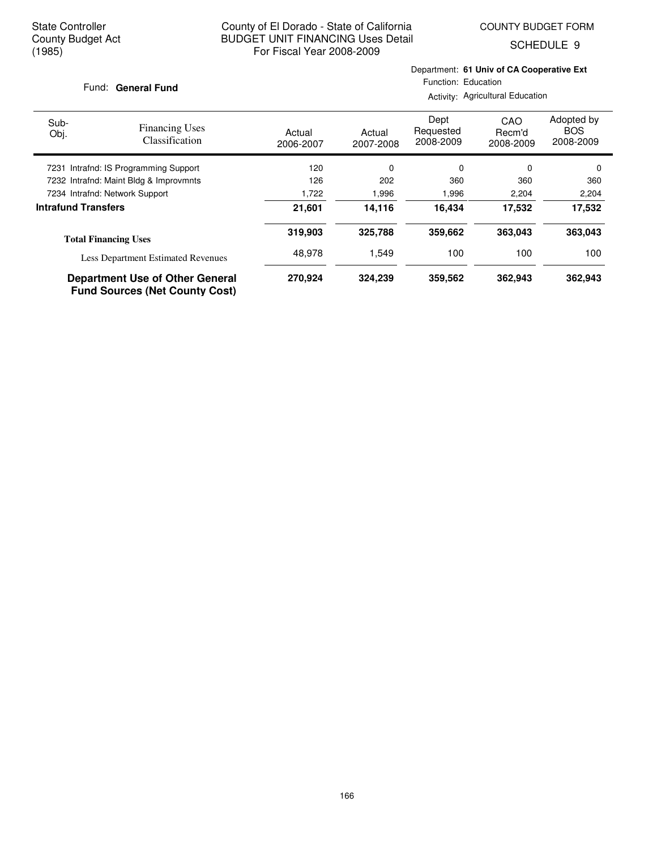COUNTY BUDGET FORM

SCHEDULE 9

#### Fund: General Fund

Department: **61 Univ of CA Cooperative Ext** Function: Education

Activity: Agricultural Education

| Sub-<br>Obj.                           | <b>Financing Uses</b><br><b>Classification</b>                                  | Actual<br>2006-2007 | Actual<br>2007-2008 | Dept<br>Requested<br>2008-2009 | CAO<br>Recm'd<br>2008-2009 | Adopted by<br><b>BOS</b><br>2008-2009 |
|----------------------------------------|---------------------------------------------------------------------------------|---------------------|---------------------|--------------------------------|----------------------------|---------------------------------------|
| 7231 Intrafnd: IS Programming Support  |                                                                                 | 120                 | 0                   | 0                              | $\Omega$                   | 0                                     |
| 7232 Intrafnd: Maint Bldg & Improvmnts |                                                                                 | 126                 | 202                 | 360                            | 360                        | 360                                   |
| 7234 Intrafnd: Network Support         |                                                                                 | 1,722               | 1,996               | 1,996                          | 2,204                      | 2,204                                 |
| <b>Intrafund Transfers</b>             |                                                                                 | 21,601              | 14.116              | 16.434                         | 17,532                     | 17,532                                |
|                                        | <b>Total Financing Uses</b>                                                     | 319,903             | 325,788             | 359.662                        | 363.043                    | 363,043                               |
|                                        | <b>Less Department Estimated Revenues</b>                                       | 48.978              | 1,549               | 100                            | 100                        | 100                                   |
|                                        | <b>Department Use of Other General</b><br><b>Fund Sources (Net County Cost)</b> | 270,924             | 324,239             | 359,562                        | 362,943                    | 362,943                               |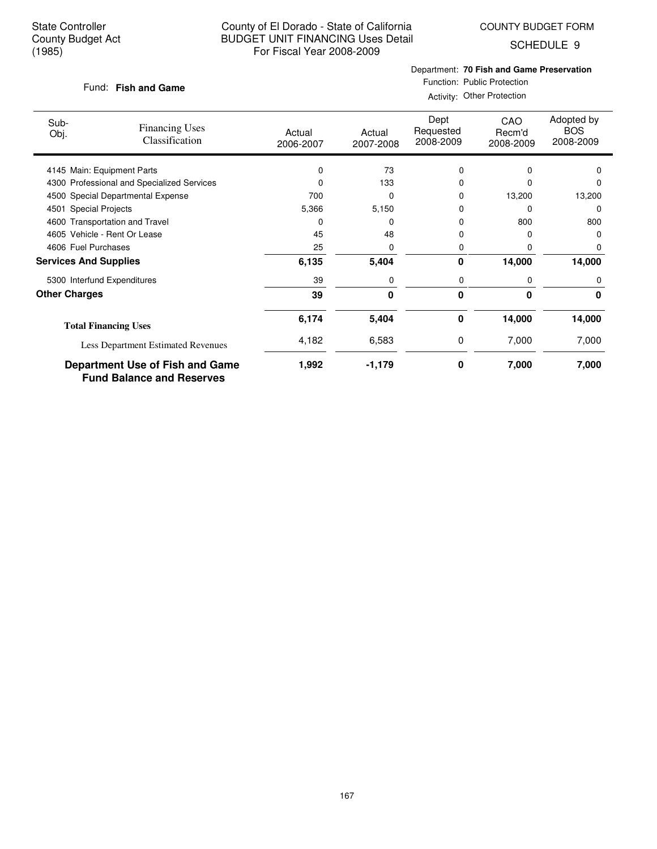COUNTY BUDGET FORM

SCHEDULE 9

#### **Fish and Game** Fund:

# Department: **70 Fish and Game Preservation**

Function: Public Protection Activity: Other Protection

| Sub-<br>Obj.                 | <b>Financing Uses</b><br><b>Classification</b>                      | Actual<br>2006-2007 | Actual<br>2007-2008 | Dept<br>Requested<br>2008-2009 | CAO<br>Recm'd<br>2008-2009 | Adopted by<br><b>BOS</b><br>2008-2009 |
|------------------------------|---------------------------------------------------------------------|---------------------|---------------------|--------------------------------|----------------------------|---------------------------------------|
|                              | 4145 Main: Equipment Parts                                          | 0                   | 73                  | 0                              | 0                          | $\Omega$                              |
|                              | 4300 Professional and Specialized Services                          |                     | 133                 | 0                              |                            | 0                                     |
|                              | 4500 Special Departmental Expense                                   | 700                 | $\Omega$            | 0                              | 13,200                     | 13,200                                |
| 4501 Special Projects        |                                                                     | 5,366               | 5,150               | 0                              | $\Omega$                   | 0                                     |
|                              | 4600 Transportation and Travel                                      | 0                   | $\Omega$            | 0                              | 800                        | 800                                   |
|                              | 4605 Vehicle - Rent Or Lease                                        | 45                  | 48                  | 0                              | O                          | 0                                     |
| 4606 Fuel Purchases          |                                                                     | 25                  | 0                   | 0                              | O                          | 0                                     |
| <b>Services And Supplies</b> |                                                                     | 6,135               | 5,404               | 0                              | 14,000                     | 14,000                                |
|                              | 5300 Interfund Expenditures                                         | 39                  | 0                   | 0                              | 0                          | 0                                     |
| <b>Other Charges</b>         |                                                                     | 39                  | 0                   | 0                              | 0                          | 0                                     |
|                              | <b>Total Financing Uses</b>                                         | 6,174               | 5,404               | 0                              | 14,000                     | 14,000                                |
|                              | <b>Less Department Estimated Revenues</b>                           | 4,182               | 6,583               | 0                              | 7,000                      | 7,000                                 |
|                              | Department Use of Fish and Game<br><b>Fund Balance and Reserves</b> | 1,992               | $-1,179$            | 0                              | 7,000                      | 7,000                                 |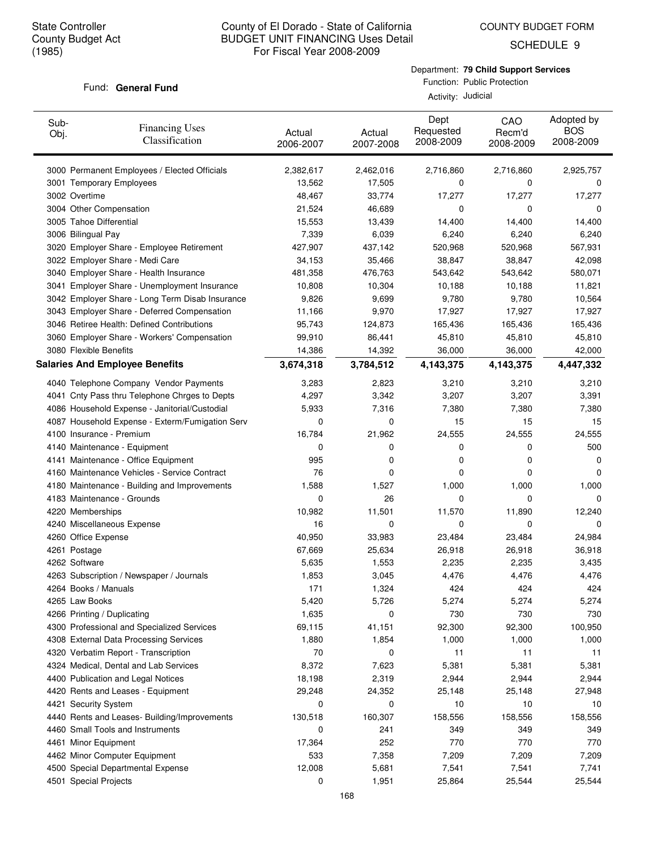COUNTY BUDGET FORM

SCHEDULE 9

#### Department: **79 Child Support Services**

#### Fund: General Fund

Function: Public Protection Activity: Judicial

| Sub-<br>Obj.  | <b>Financing Uses</b><br>Classification         | Actual<br>2006-2007 | Actual<br>2007-2008 | Dept<br>Requested<br>2008-2009 | CAO<br>Recm'd<br>2008-2009 | Adopted by<br><b>BOS</b><br>2008-2009 |
|---------------|-------------------------------------------------|---------------------|---------------------|--------------------------------|----------------------------|---------------------------------------|
|               | 3000 Permanent Employees / Elected Officials    | 2,382,617           | 2,462,016           | 2,716,860                      | 2,716,860                  | 2,925,757                             |
|               | 3001 Temporary Employees                        | 13,562              | 17,505              | 0                              | 0                          | 0                                     |
| 3002 Overtime |                                                 | 48,467              | 33,774              | 17,277                         | 17,277                     | 17,277                                |
|               | 3004 Other Compensation                         | 21,524              | 46,689              | 0                              | 0                          | 0                                     |
|               | 3005 Tahoe Differential                         | 15,553              | 13,439              | 14,400                         | 14,400                     | 14,400                                |
|               | 3006 Bilingual Pay                              | 7,339               | 6,039               | 6,240                          | 6,240                      | 6,240                                 |
|               | 3020 Employer Share - Employee Retirement       | 427,907             | 437,142             | 520,968                        | 520,968                    | 567,931                               |
|               | 3022 Employer Share - Medi Care                 | 34,153              | 35,466              | 38,847                         | 38,847                     | 42,098                                |
|               | 3040 Employer Share - Health Insurance          | 481,358             | 476,763             | 543,642                        | 543,642                    | 580,071                               |
|               | 3041 Employer Share - Unemployment Insurance    | 10,808              | 10,304              | 10,188                         | 10,188                     | 11,821                                |
|               | 3042 Employer Share - Long Term Disab Insurance | 9,826               | 9,699               | 9,780                          | 9,780                      | 10,564                                |
|               | 3043 Employer Share - Deferred Compensation     | 11,166              | 9,970               | 17,927                         | 17,927                     | 17,927                                |
|               | 3046 Retiree Health: Defined Contributions      | 95,743              | 124,873             | 165,436                        | 165,436                    | 165,436                               |
|               | 3060 Employer Share - Workers' Compensation     | 99,910              | 86,441              | 45,810                         | 45,810                     | 45,810                                |
|               | 3080 Flexible Benefits                          | 14,386              | 14,392              | 36,000                         | 36,000                     | 42,000                                |
|               | <b>Salaries And Employee Benefits</b>           | 3,674,318           | 3,784,512           | 4,143,375                      | 4,143,375                  | 4,447,332                             |
|               | 4040 Telephone Company Vendor Payments          | 3,283               | 2,823               | 3,210                          | 3,210                      | 3,210                                 |
|               | 4041 Cnty Pass thru Telephone Chrges to Depts   | 4,297               | 3,342               | 3,207                          | 3,207                      | 3,391                                 |
|               | 4086 Household Expense - Janitorial/Custodial   | 5,933               | 7,316               | 7,380                          | 7,380                      | 7,380                                 |
|               | 4087 Household Expense - Exterm/Fumigation Serv | 0                   | 0                   | 15                             | 15                         | 15                                    |
|               | 4100 Insurance - Premium                        | 16,784              | 21,962              | 24,555                         | 24,555                     | 24,555                                |
|               | 4140 Maintenance - Equipment                    | 0                   | 0                   | 0                              | 0                          | 500                                   |
|               | 4141 Maintenance - Office Equipment             | 995                 | 0                   | 0                              | 0                          | 0                                     |
|               | 4160 Maintenance Vehicles - Service Contract    | 76                  | 0                   | 0                              | 0                          | 0                                     |
|               | 4180 Maintenance - Building and Improvements    | 1,588               | 1,527               | 1,000                          | 1,000                      | 1,000                                 |
|               | 4183 Maintenance - Grounds                      | 0                   | 26                  | 0                              | $\Omega$                   | 0                                     |
|               | 4220 Memberships                                | 10,982              | 11,501              | 11,570                         | 11,890                     | 12,240                                |
|               | 4240 Miscellaneous Expense                      | 16                  | 0                   | 0                              | 0                          | 0                                     |
|               | 4260 Office Expense                             | 40,950              | 33,983              | 23,484                         | 23,484                     | 24,984                                |
| 4261 Postage  |                                                 | 67,669              | 25,634              | 26,918                         | 26,918                     | 36,918                                |
| 4262 Software |                                                 | 5,635               | 1,553               | 2,235                          | 2,235                      | 3,435                                 |
|               | 4263 Subscription / Newspaper / Journals        | 1,853               | 3,045               | 4,476                          | 4,476                      | 4,476                                 |
|               | 4264 Books / Manuals                            | 171                 | 1,324               | 424                            | 424                        | 424                                   |
|               | 4265 Law Books                                  | 5,420               | 5,726               | 5,274                          | 5,274                      | 5,274                                 |
|               | 4266 Printing / Duplicating                     | 1,635               | 0                   | 730                            | 730                        | 730                                   |
|               | 4300 Professional and Specialized Services      | 69,115              | 41,151              | 92,300                         | 92,300                     | 100,950                               |
|               | 4308 External Data Processing Services          | 1,880               | 1,854               | 1,000                          | 1,000                      | 1,000                                 |
|               | 4320 Verbatim Report - Transcription            | 70                  | 0                   | 11                             | 11                         | 11                                    |
|               | 4324 Medical, Dental and Lab Services           | 8,372               | 7,623               | 5,381                          | 5,381                      | 5,381                                 |
|               | 4400 Publication and Legal Notices              | 18,198              | 2,319               | 2,944                          | 2,944                      | 2,944                                 |
|               | 4420 Rents and Leases - Equipment               | 29,248              | 24,352              | 25,148                         | 25,148                     | 27,948                                |
|               | 4421 Security System                            | 0                   | 0                   | 10                             | 10                         | 10                                    |
|               | 4440 Rents and Leases- Building/Improvements    | 130,518             | 160,307             | 158,556                        | 158,556                    | 158,556                               |
|               | 4460 Small Tools and Instruments                | 0                   | 241                 | 349                            | 349                        | 349                                   |
|               | 4461 Minor Equipment                            | 17,364              | 252                 | 770                            | 770                        | 770                                   |
|               | 4462 Minor Computer Equipment                   | 533                 | 7,358               | 7,209                          | 7,209                      | 7,209                                 |
|               | 4500 Special Departmental Expense               | 12,008              | 5,681               | 7,541                          | 7,541                      | 7,741                                 |
|               | 4501 Special Projects                           | 0                   | 1,951               | 25,864                         | 25,544                     | 25,544                                |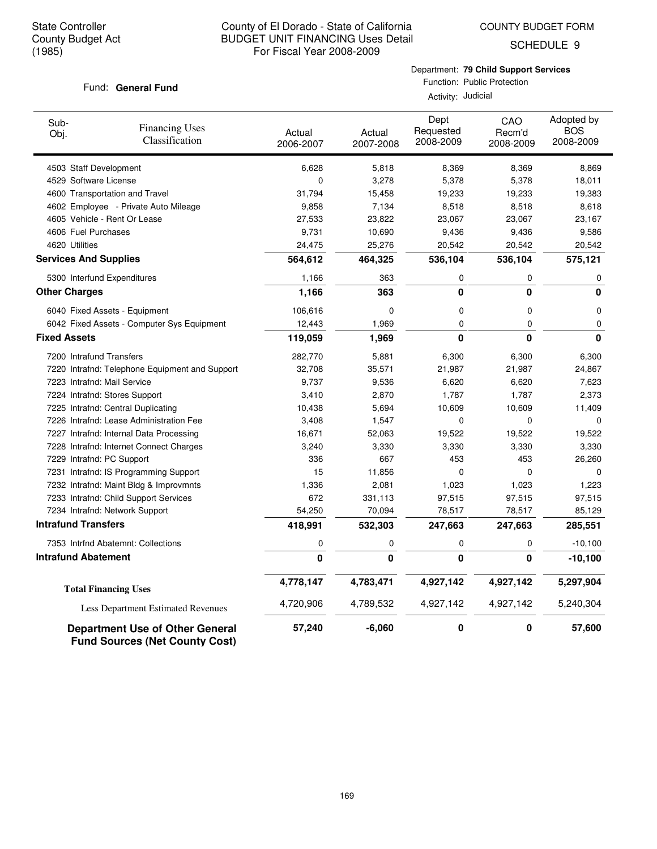COUNTY BUDGET FORM

SCHEDULE 9

# Fund: General Fund

Department: **79 Child Support Services**

Function: Public Protection Activity: Judicial

| Sub-<br>Obj.                 | <b>Financing Uses</b><br>Classification                                         | Actual<br>2006-2007 | Actual<br>2007-2008 | Dept<br>Requested<br>2008-2009 | CAO<br>Recm'd<br>2008-2009 | Adopted by<br><b>BOS</b><br>2008-2009 |
|------------------------------|---------------------------------------------------------------------------------|---------------------|---------------------|--------------------------------|----------------------------|---------------------------------------|
| 4503 Staff Development       |                                                                                 | 6,628               | 5,818               | 8,369                          | 8,369                      | 8,869                                 |
| 4529 Software License        |                                                                                 | 0                   | 3,278               | 5,378                          | 5,378                      | 18,011                                |
|                              | 4600 Transportation and Travel                                                  | 31,794              | 15,458              | 19,233                         | 19,233                     | 19,383                                |
|                              | 4602 Employee - Private Auto Mileage                                            | 9,858               | 7,134               | 8,518                          | 8,518                      | 8,618                                 |
|                              | 4605 Vehicle - Rent Or Lease                                                    | 27,533              | 23,822              | 23,067                         | 23,067                     | 23,167                                |
| 4606 Fuel Purchases          |                                                                                 | 9,731               | 10,690              | 9,436                          | 9,436                      | 9,586                                 |
| 4620 Utilities               |                                                                                 | 24,475              | 25,276              | 20,542                         | 20,542                     | 20,542                                |
| <b>Services And Supplies</b> |                                                                                 | 564,612             | 464,325             | 536,104                        | 536,104                    | 575,121                               |
|                              | 5300 Interfund Expenditures                                                     | 1,166               | 363                 | 0                              | 0                          | 0                                     |
| <b>Other Charges</b>         |                                                                                 | 1,166               | 363                 | $\bf{0}$                       | $\bf{0}$                   | 0                                     |
|                              | 6040 Fixed Assets - Equipment                                                   | 106,616             | 0                   | 0                              | 0                          | 0                                     |
|                              | 6042 Fixed Assets - Computer Sys Equipment                                      | 12,443              | 1,969               | $\mathbf 0$                    | 0                          | 0                                     |
| <b>Fixed Assets</b>          |                                                                                 | 119,059             | 1,969               | 0                              | 0                          | 0                                     |
| 7200 Intrafund Transfers     |                                                                                 | 282,770             | 5,881               | 6,300                          | 6,300                      | 6,300                                 |
|                              | 7220 Intrafnd: Telephone Equipment and Support                                  | 32,708              | 35,571              | 21,987                         | 21,987                     | 24,867                                |
|                              | 7223 Intrafnd: Mail Service                                                     | 9,737               | 9,536               | 6,620                          | 6,620                      | 7,623                                 |
|                              | 7224 Intrafnd: Stores Support                                                   | 3,410               | 2,870               | 1,787                          | 1,787                      | 2,373                                 |
|                              | 7225 Intrafnd: Central Duplicating                                              | 10,438              | 5,694               | 10,609                         | 10,609                     | 11,409                                |
|                              | 7226 Intrafnd: Lease Administration Fee                                         | 3,408               | 1,547               | $\mathbf 0$                    | 0                          | $\mathbf 0$                           |
|                              | 7227 Intrafnd: Internal Data Processing                                         | 16,671              | 52,063              | 19,522                         | 19,522                     | 19,522                                |
|                              | 7228 Intrafnd: Internet Connect Charges                                         | 3,240               | 3,330               | 3,330                          | 3,330                      | 3,330                                 |
| 7229 Intrafnd: PC Support    |                                                                                 | 336                 | 667                 | 453                            | 453                        | 26,260                                |
|                              | 7231 Intrafnd: IS Programming Support                                           | 15                  | 11,856              | 0                              | 0                          | $\mathbf 0$                           |
|                              | 7232 Intrafnd: Maint Bldg & Improvmnts                                          | 1,336               | 2,081               | 1,023                          | 1,023                      | 1,223                                 |
|                              | 7233 Intrafnd: Child Support Services                                           | 672                 | 331,113             | 97,515                         | 97,515                     | 97,515                                |
|                              | 7234 Intrafnd: Network Support                                                  | 54,250              | 70,094              | 78,517                         | 78,517                     | 85,129                                |
| <b>Intrafund Transfers</b>   |                                                                                 | 418,991             | 532,303             | 247,663                        | 247,663                    | 285,551                               |
|                              | 7353 Intrfnd Abatemnt: Collections                                              | 0                   | 0                   | 0                              | 0                          | $-10,100$                             |
| <b>Intrafund Abatement</b>   |                                                                                 | $\mathbf 0$         | 0                   | 0                              | 0                          | $-10,100$                             |
|                              | <b>Total Financing Uses</b>                                                     | 4,778,147           | 4,783,471           | 4,927,142                      | 4,927,142                  | 5,297,904                             |
|                              | Less Department Estimated Revenues                                              | 4,720,906           | 4,789,532           | 4,927,142                      | 4,927,142                  | 5,240,304                             |
|                              | <b>Department Use of Other General</b><br><b>Fund Sources (Net County Cost)</b> | 57,240              | $-6,060$            | 0                              | 0                          | 57,600                                |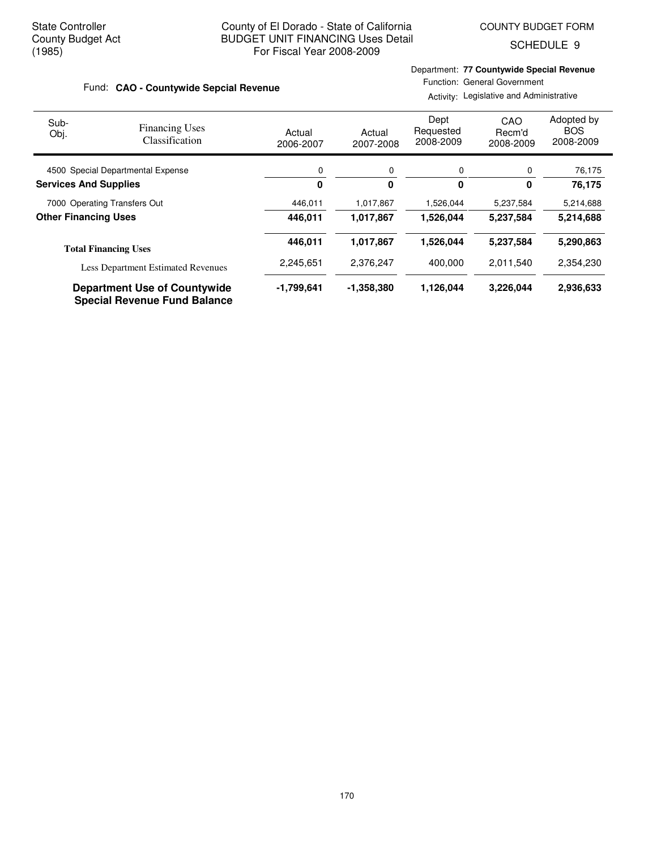SCHEDULE 9

#### **CAO - Countywide Sepcial Revenue** Fund:

Department: **77 Countywide Special Revenue** Function: General Government

Activity: Legislative and Administrative

| Sub-<br>Obj.                      | <b>Financing Uses</b><br>Classification                                    | Actual<br>2006-2007 | Actual<br>2007-2008 | Dept<br>Requested<br>2008-2009 | CAO<br>Recm'd<br>2008-2009 | Adopted by<br><b>BOS</b><br>2008-2009 |
|-----------------------------------|----------------------------------------------------------------------------|---------------------|---------------------|--------------------------------|----------------------------|---------------------------------------|
| 4500 Special Departmental Expense |                                                                            | 0                   | 0                   | 0                              | 0                          | 76,175                                |
| <b>Services And Supplies</b>      |                                                                            | 0                   | 0                   | 0                              | 0                          | 76,175                                |
| 7000 Operating Transfers Out      |                                                                            | 446,011             | 1,017,867           | 1,526,044                      | 5,237,584                  | 5,214,688                             |
| <b>Other Financing Uses</b>       |                                                                            | 446.011             | 1,017,867           | 1,526,044                      | 5,237,584                  | 5,214,688                             |
|                                   | <b>Total Financing Uses</b>                                                | 446.011             | 1,017,867           | 1.526.044                      | 5,237,584                  | 5,290,863                             |
|                                   | <b>Less Department Estimated Revenues</b>                                  | 2,245,651           | 2,376,247           | 400,000                        | 2,011,540                  | 2,354,230                             |
|                                   | <b>Department Use of Countywide</b><br><b>Special Revenue Fund Balance</b> | -1,799,641          | $-1,358,380$        | 1,126,044                      | 3,226,044                  | 2,936,633                             |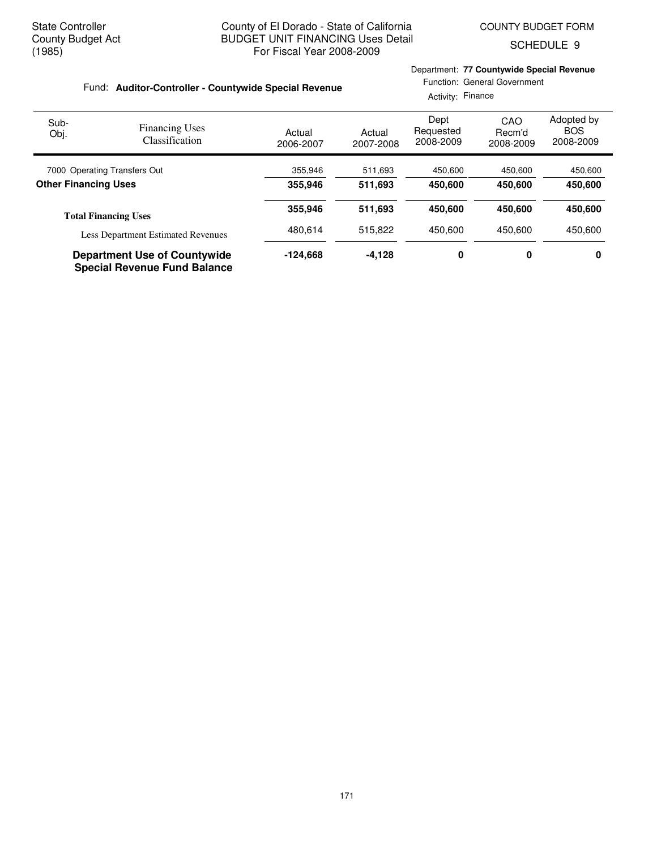SCHEDULE 9

|                                                                            | Fund: Auditor-Controller - Countywide Special Revenue |                     | Department: 77 Countywide Special Revenue<br>Function: General Government<br>Activity: Finance |                                |                            |                                       |
|----------------------------------------------------------------------------|-------------------------------------------------------|---------------------|------------------------------------------------------------------------------------------------|--------------------------------|----------------------------|---------------------------------------|
| Sub-<br>Obj.                                                               | <b>Financing Uses</b><br>Classification               | Actual<br>2006-2007 | Actual<br>2007-2008                                                                            | Dept<br>Requested<br>2008-2009 | CAO<br>Recm'd<br>2008-2009 | Adopted by<br><b>BOS</b><br>2008-2009 |
| 7000 Operating Transfers Out                                               |                                                       | 355,946             | 511,693                                                                                        | 450,600                        | 450,600                    | 450,600                               |
| <b>Other Financing Uses</b>                                                |                                                       | 355,946             | 511,693                                                                                        | 450,600                        | 450,600                    | 450,600                               |
|                                                                            | <b>Total Financing Uses</b>                           | 355,946             | 511,693                                                                                        | 450,600                        | 450,600                    | 450,600                               |
| <b>Less Department Estimated Revenues</b>                                  |                                                       | 480.614             | 515,822                                                                                        | 450.600                        | 450.600                    | 450.600                               |
| <b>Department Use of Countywide</b><br><b>Special Revenue Fund Balance</b> |                                                       | -124,668            | $-4,128$                                                                                       | 0                              | 0                          | 0                                     |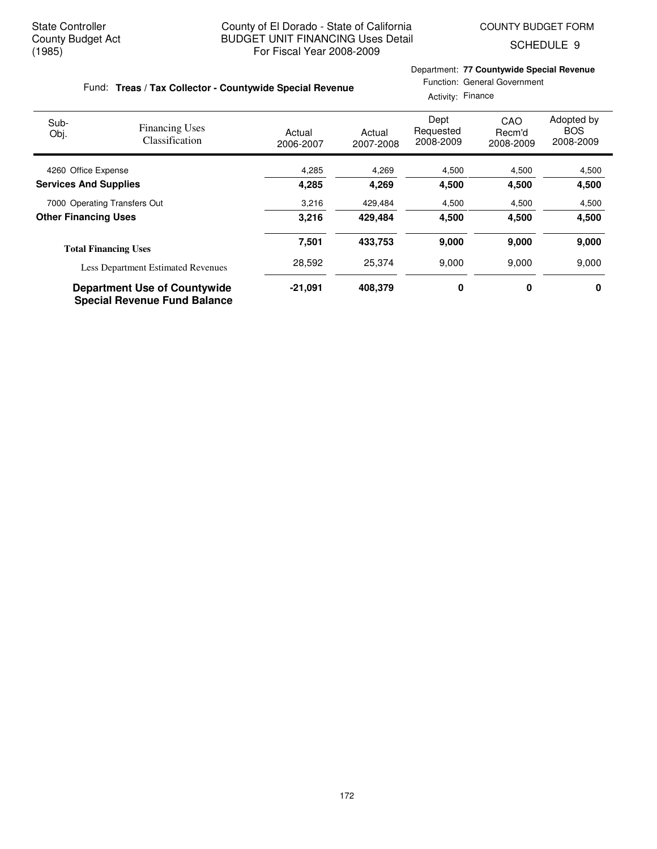Department: **77 Countywide Special Revenue**

Function: General Government

SCHEDULE 9

#### Fund: Treas / Tax Collector - Countywide Special Revenue

|                              |                                                                            |                     | Activity: Finance   |                                |                            |                                       |
|------------------------------|----------------------------------------------------------------------------|---------------------|---------------------|--------------------------------|----------------------------|---------------------------------------|
| Sub-<br>Obj.                 | <b>Financing Uses</b><br><b>Classification</b>                             | Actual<br>2006-2007 | Actual<br>2007-2008 | Dept<br>Requested<br>2008-2009 | CAO<br>Recm'd<br>2008-2009 | Adopted by<br><b>BOS</b><br>2008-2009 |
| 4260 Office Expense          |                                                                            | 4,285               | 4,269               | 4,500                          | 4,500                      | 4,500                                 |
| <b>Services And Supplies</b> |                                                                            | 4,285               | 4,269               | 4,500                          | 4,500                      | 4,500                                 |
| 7000 Operating Transfers Out |                                                                            | 3,216               | 429,484             | 4,500                          | 4,500                      | 4,500                                 |
| <b>Other Financing Uses</b>  |                                                                            | 3.216               | 429.484             | 4,500                          | 4,500                      | 4,500                                 |
|                              | <b>Total Financing Uses</b>                                                | 7,501               | 433,753             | 9,000                          | 9,000                      | 9,000                                 |
|                              | <b>Less Department Estimated Revenues</b>                                  | 28,592              | 25,374              | 9,000                          | 9,000                      | 9,000                                 |
|                              | <b>Department Use of Countywide</b><br><b>Special Revenue Fund Balance</b> | $-21,091$           | 408,379             | 0                              | 0                          | 0                                     |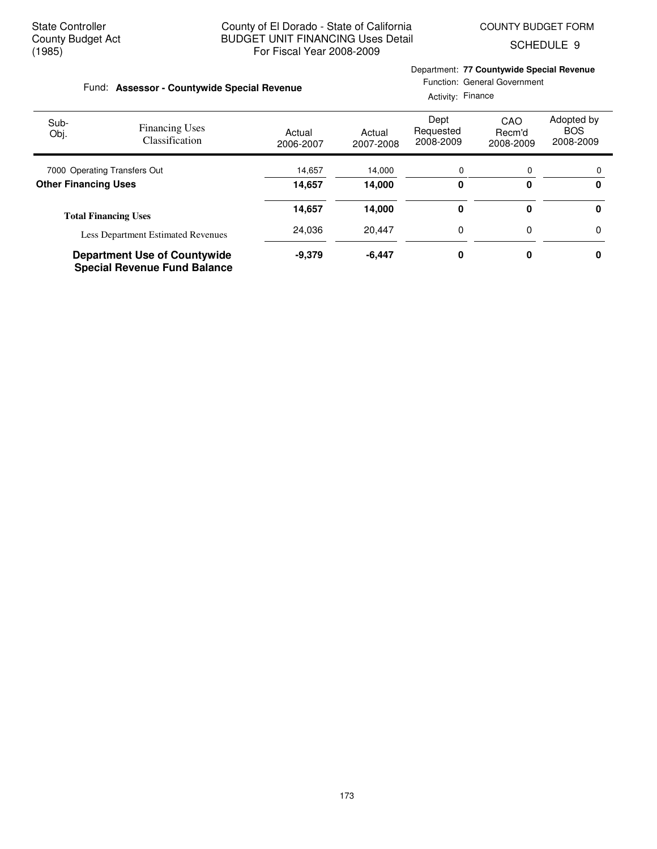Department: **77 Countywide Special Revenue**

SCHEDULE 9

| Fund: Assessor - Countywide Special Revenue                                |                                                |                     |                     | Function: General Government<br>Activity: Finance |                            |                                       |  |
|----------------------------------------------------------------------------|------------------------------------------------|---------------------|---------------------|---------------------------------------------------|----------------------------|---------------------------------------|--|
| Sub-<br>Obj.                                                               | <b>Financing Uses</b><br><b>Classification</b> | Actual<br>2006-2007 | Actual<br>2007-2008 | Dept<br>Requested<br>2008-2009                    | CAO<br>Recm'd<br>2008-2009 | Adopted by<br><b>BOS</b><br>2008-2009 |  |
| 7000 Operating Transfers Out                                               |                                                | 14,657              | 14.000              | 0                                                 | 0                          | 0                                     |  |
|                                                                            | <b>Other Financing Uses</b>                    |                     | 14,000              | 0                                                 | 0                          | 0                                     |  |
|                                                                            | <b>Total Financing Uses</b>                    | 14,657              | 14,000              | 0                                                 | 0                          | 0                                     |  |
|                                                                            | <b>Less Department Estimated Revenues</b>      | 24,036              | 20,447              | 0                                                 | 0                          | 0                                     |  |
| <b>Department Use of Countywide</b><br><b>Special Revenue Fund Balance</b> |                                                | $-9,379$            | $-6,447$            | 0                                                 | 0                          | 0                                     |  |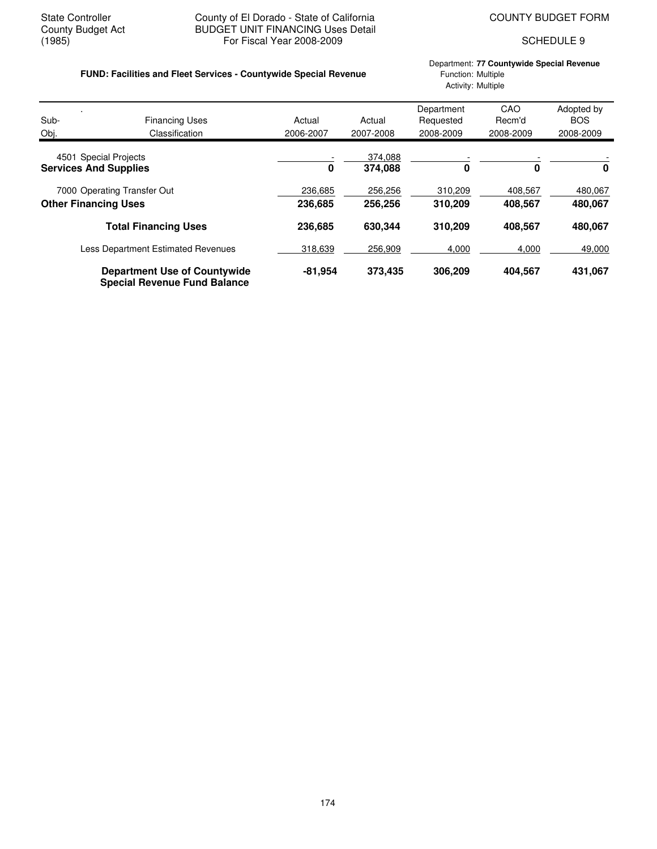# State Controller **County of El Dorado - State of California** COUNTY BUDGET FORM<br>County Budget Act **COUNTY BUDGET UNIT FINANCING** Uses Detail County Budget Act BUDGET UNIT FINANCING Uses Detail<br>(1985) For Fiscal Year 2008-2009 For Fiscal Year 2008-2009 SCHEDULE 9

# **FUND: Facilities and Fleet Services - Countywide Special Revenue** Function: Multiple

Department: **77 Countywide Special Revenue** Activity: Multiple

| Sub-                         | <b>Financing Uses</b>                                                      | Actual    | Actual    | Department<br>Requested | CAO<br>Recm'd | Adopted by<br><b>BOS</b> |
|------------------------------|----------------------------------------------------------------------------|-----------|-----------|-------------------------|---------------|--------------------------|
| Obj.                         | Classification                                                             | 2006-2007 | 2007-2008 | 2008-2009               | 2008-2009     | 2008-2009                |
| 4501 Special Projects        |                                                                            |           | 374,088   |                         |               |                          |
| <b>Services And Supplies</b> |                                                                            | 0         | 374,088   | 0                       | 0             | 0                        |
|                              | 7000 Operating Transfer Out                                                | 236,685   | 256.256   | 310,209                 | 408,567       | 480,067                  |
| <b>Other Financing Uses</b>  |                                                                            | 236,685   | 256,256   | 310,209                 | 408.567       | 480,067                  |
|                              | <b>Total Financing Uses</b>                                                | 236,685   | 630,344   | 310,209                 | 408.567       | 480,067                  |
|                              | <b>Less Department Estimated Revenues</b>                                  | 318,639   | 256,909   | 4,000                   | 4,000         | 49,000                   |
|                              | <b>Department Use of Countywide</b><br><b>Special Revenue Fund Balance</b> | $-81,954$ | 373,435   | 306,209                 | 404,567       | 431,067                  |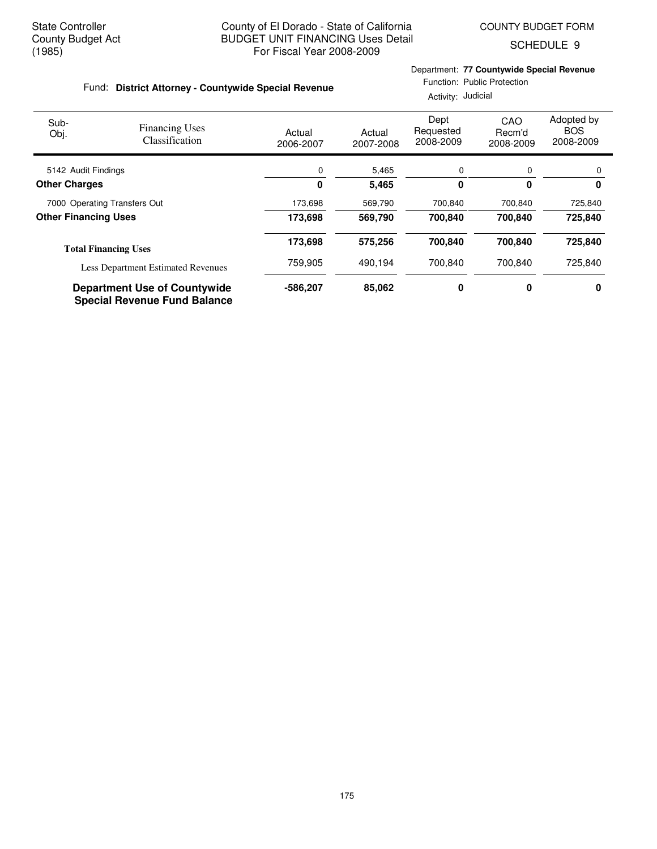SCHEDULE 9

# Department: **77 Countywide Special Revenue**

#### Fund: District Attorney - Countywide Special Revenue

# Function: Public Protection

Activity: Judicial

| Sub-<br>Obj.                 | <b>Financing Uses</b><br>Classification                                    | Actual<br>2006-2007 | Actual<br>2007-2008 | Dept<br>Requested<br>2008-2009 | CAO<br>Recm'd<br>2008-2009 | Adopted by<br><b>BOS</b><br>2008-2009 |
|------------------------------|----------------------------------------------------------------------------|---------------------|---------------------|--------------------------------|----------------------------|---------------------------------------|
| 5142 Audit Findings          |                                                                            | 0                   | 5,465               | 0                              | 0                          | $\Omega$                              |
| <b>Other Charges</b>         |                                                                            | 0                   | 5,465               | 0                              | $\mathbf{0}$               | 0                                     |
| 7000 Operating Transfers Out |                                                                            | 173,698             | 569,790             | 700,840                        | 700,840                    | 725,840                               |
| <b>Other Financing Uses</b>  |                                                                            | 173,698             | 569,790             | 700.840                        | 700,840                    | 725,840                               |
|                              | <b>Total Financing Uses</b>                                                | 173,698             | 575,256             | 700,840                        | 700.840                    | 725,840                               |
|                              | <b>Less Department Estimated Revenues</b>                                  | 759,905             | 490.194             | 700.840                        | 700.840                    | 725,840                               |
|                              | <b>Department Use of Countywide</b><br><b>Special Revenue Fund Balance</b> | -586.207            | 85,062              | 0                              | 0                          | 0                                     |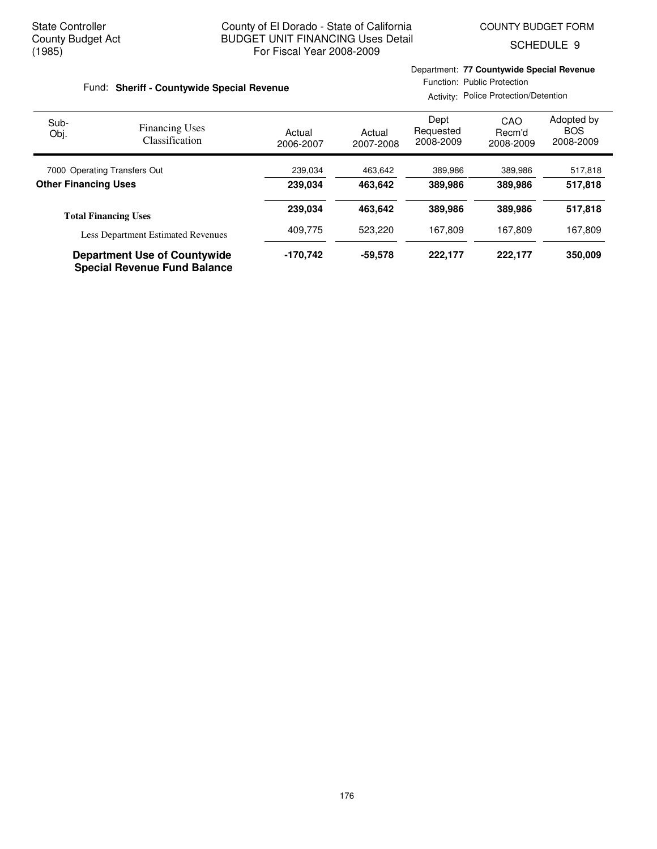Department: **77 Countywide Special Revenue**

SCHEDULE 9

| Fund: Sheriff - Countywide Special Revenue |                                           |                     |                     | Function: Public Protection<br>Activity: Police Protection/Detention |                            |                                       |  |
|--------------------------------------------|-------------------------------------------|---------------------|---------------------|----------------------------------------------------------------------|----------------------------|---------------------------------------|--|
| Sub-<br>Obj.                               | <b>Financing Uses</b><br>Classification   | Actual<br>2006-2007 | Actual<br>2007-2008 | Dept<br>Requested<br>2008-2009                                       | CAO<br>Recm'd<br>2008-2009 | Adopted by<br><b>BOS</b><br>2008-2009 |  |
| 7000 Operating Transfers Out               |                                           | 239,034             | 463,642             | 389,986                                                              | 389,986                    | 517,818                               |  |
| <b>Other Financing Uses</b>                |                                           | 239.034             | 463.642             | 389,986                                                              | 389,986                    | 517,818                               |  |
|                                            | <b>Total Financing Uses</b>               | 239.034             | 463.642             | 389,986                                                              | 389.986                    | 517,818                               |  |
|                                            | <b>Less Department Estimated Revenues</b> | 409.775             | 523,220             | 167,809                                                              | 167,809                    | 167,809                               |  |
| <b>Department Use of Countywide</b>        |                                           | -170.742            | -59.578             | 222,177                                                              | 222.177                    | 350,009                               |  |

**Special Revenue Fund Balance**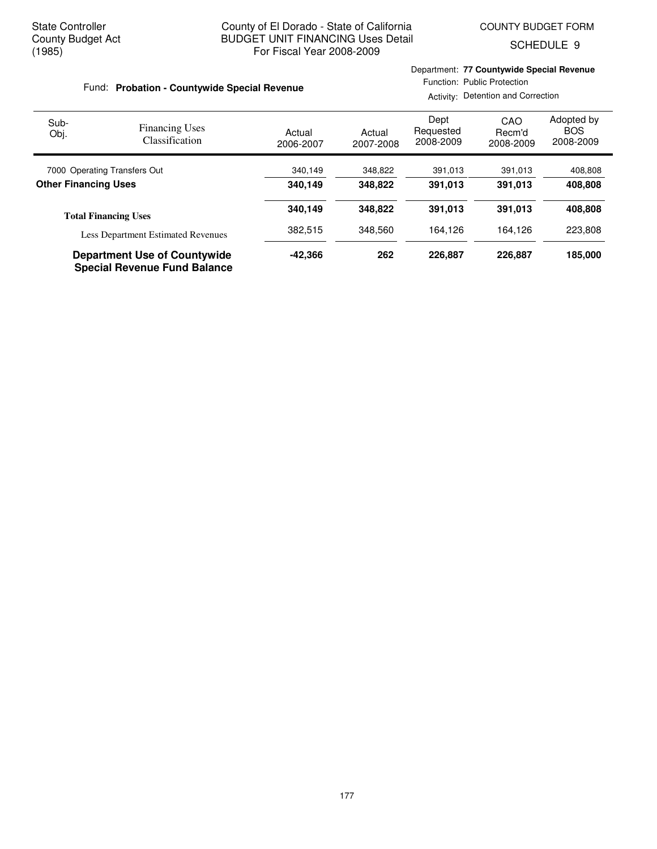Department: **77 Countywide Special Revenue**

SCHEDULE 9

| Fund: Probation - Countywide Special Revenue |                                           |                     |                     | Function: Public Protection<br>Activity: Detention and Correction |                            |                                       |  |
|----------------------------------------------|-------------------------------------------|---------------------|---------------------|-------------------------------------------------------------------|----------------------------|---------------------------------------|--|
| Sub-<br>Obj.                                 | <b>Financing Uses</b><br>Classification   | Actual<br>2006-2007 | Actual<br>2007-2008 | Dept<br>Requested<br>2008-2009                                    | CAO<br>Recm'd<br>2008-2009 | Adopted by<br><b>BOS</b><br>2008-2009 |  |
| 7000 Operating Transfers Out                 |                                           | 340,149             | 348,822             | 391,013                                                           | 391,013                    | 408,808                               |  |
| <b>Other Financing Uses</b>                  |                                           | 340.149             | 348,822             | 391,013                                                           | 391,013                    | 408,808                               |  |
|                                              | <b>Total Financing Uses</b>               | 340.149             | 348.822             | 391.013                                                           | 391,013                    | 408,808                               |  |
|                                              | <b>Less Department Estimated Revenues</b> | 382,515             | 348,560             | 164,126                                                           | 164,126                    | 223,808                               |  |
|                                              | <b>Department Use of Countywide</b>       | -42.366             | 262                 | 226,887                                                           | 226,887                    | 185,000                               |  |

**Special Revenue Fund Balance**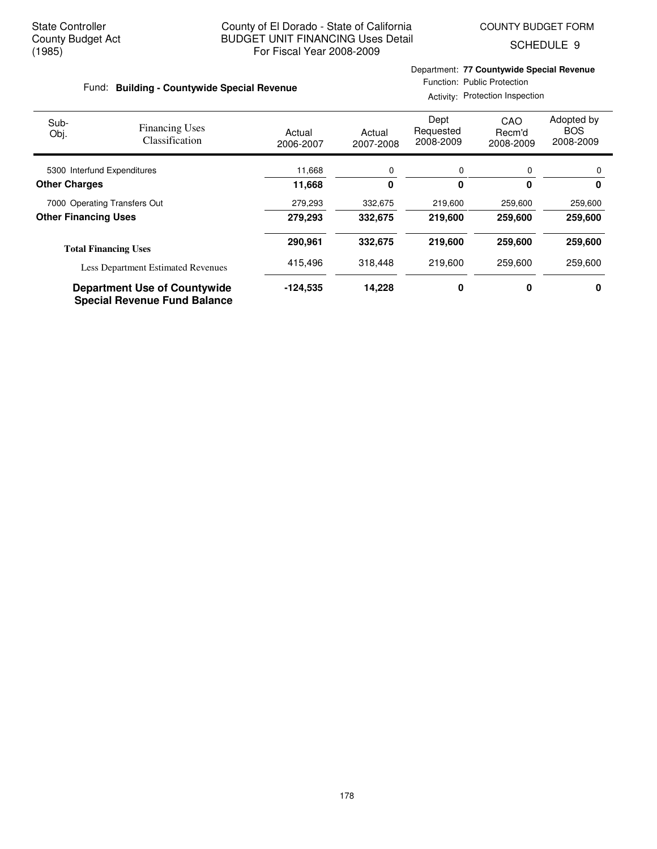SCHEDULE 9

#### Fund: Building - Countywide Special Revenue

Department: **77 Countywide Special Revenue** Function: Public Protection

Activity: Protection Inspection

| Sub-<br>Obj.                 | <b>Financing Uses</b><br>Classification                                    | Actual<br>2006-2007 | Actual<br>2007-2008 | Dept<br>Requested<br>2008-2009 | CAO<br>Recm'd<br>2008-2009 | Adopted by<br><b>BOS</b><br>2008-2009 |
|------------------------------|----------------------------------------------------------------------------|---------------------|---------------------|--------------------------------|----------------------------|---------------------------------------|
| 5300 Interfund Expenditures  |                                                                            | 11,668              | 0                   | 0                              | 0                          | 0                                     |
| <b>Other Charges</b>         |                                                                            | 11,668              | 0                   | 0                              | 0                          | 0                                     |
| 7000 Operating Transfers Out |                                                                            | 279,293             | 332,675             | 219,600                        | 259,600                    | 259,600                               |
| <b>Other Financing Uses</b>  |                                                                            | 279,293             | 332,675             | 219,600                        | 259,600                    | 259,600                               |
|                              | <b>Total Financing Uses</b>                                                | 290.961             | 332,675             | 219,600                        | 259,600                    | 259,600                               |
|                              | <b>Less Department Estimated Revenues</b>                                  | 415,496             | 318,448             | 219,600                        | 259,600                    | 259,600                               |
|                              | <b>Department Use of Countywide</b><br><b>Special Revenue Fund Balance</b> | $-124,535$          | 14,228              | 0                              | 0                          | 0                                     |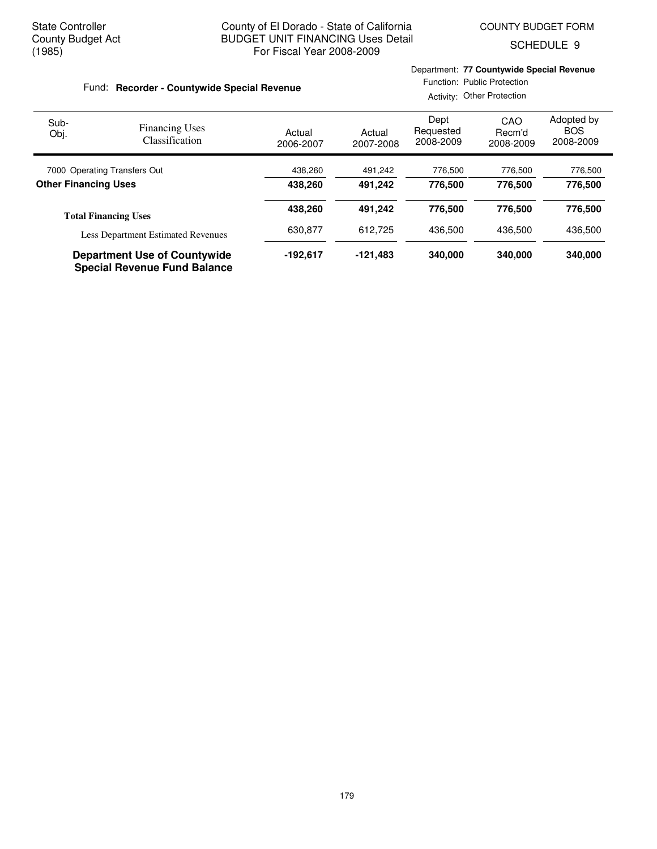Department: **77 Countywide Special Revenue**

SCHEDULE 9

| Fund: Recorder - Countywide Special Revenue |                                           |                     | Function: Public Protection<br>Activity: Other Protection |                                |                            |                                       |
|---------------------------------------------|-------------------------------------------|---------------------|-----------------------------------------------------------|--------------------------------|----------------------------|---------------------------------------|
| Sub-<br>Obj.                                | <b>Financing Uses</b><br>Classification   | Actual<br>2006-2007 | Actual<br>2007-2008                                       | Dept<br>Requested<br>2008-2009 | CAO<br>Recm'd<br>2008-2009 | Adopted by<br><b>BOS</b><br>2008-2009 |
| 7000 Operating Transfers Out                |                                           | 438,260             | 491,242                                                   | 776,500                        | 776,500                    | 776,500                               |
| <b>Other Financing Uses</b>                 |                                           | 438.260             | 491.242                                                   | 776,500                        | 776.500                    | 776,500                               |
|                                             | <b>Total Financing Uses</b>               | 438,260             | 491.242                                                   | 776.500                        | 776,500                    | 776,500                               |
|                                             | <b>Less Department Estimated Revenues</b> | 630.877             | 612.725                                                   | 436,500                        | 436.500                    | 436.500                               |
| <b>Department Use of Countywide</b>         |                                           | $-192.617$          | $-121,483$                                                | 340,000                        | 340,000                    | 340,000                               |

**Special Revenue Fund Balance**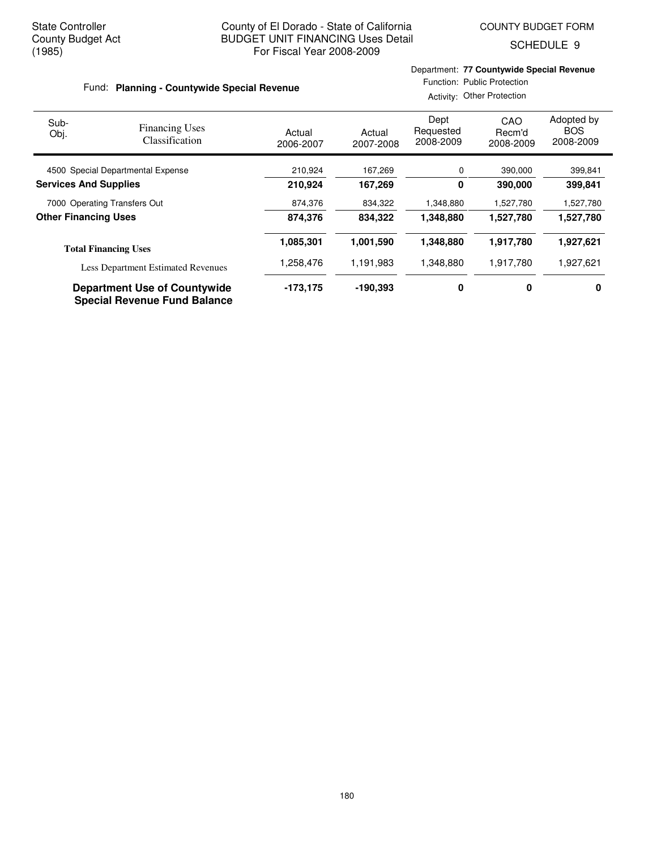SCHEDULE 9

#### Fund: Planning - Countywide Special Revenue

#### Department: **77 Countywide Special Revenue** Function: Public Protection

Activity: Other Protection

| Sub-<br>Obj.                      | <b>Financing Uses</b><br>Classification                                    | Actual<br>2006-2007 | Actual<br>2007-2008 | Dept<br>Requested<br>2008-2009 | CAO<br>Recm'd<br>2008-2009 | Adopted by<br><b>BOS</b><br>2008-2009 |
|-----------------------------------|----------------------------------------------------------------------------|---------------------|---------------------|--------------------------------|----------------------------|---------------------------------------|
| 4500 Special Departmental Expense |                                                                            | 210,924             | 167,269             | 0                              | 390,000                    | 399,841                               |
| <b>Services And Supplies</b>      |                                                                            | 210,924             | 167,269             | 0                              | 390,000                    | 399,841                               |
| 7000 Operating Transfers Out      |                                                                            | 874,376             | 834,322             | 1,348,880                      | 1,527,780                  | 1,527,780                             |
| <b>Other Financing Uses</b>       |                                                                            | 874.376             | 834,322             | 1,348,880                      | 1,527,780                  | 1,527,780                             |
|                                   | <b>Total Financing Uses</b>                                                | 1,085,301           | 1,001,590           | 1,348,880                      | 1,917,780                  | 1,927,621                             |
|                                   | <b>Less Department Estimated Revenues</b>                                  | 1,258,476           | 1,191,983           | 1,348,880                      | 1,917,780                  | 1,927,621                             |
|                                   | <b>Department Use of Countywide</b><br><b>Special Revenue Fund Balance</b> | $-173.175$          | $-190.393$          | 0                              | 0                          | 0                                     |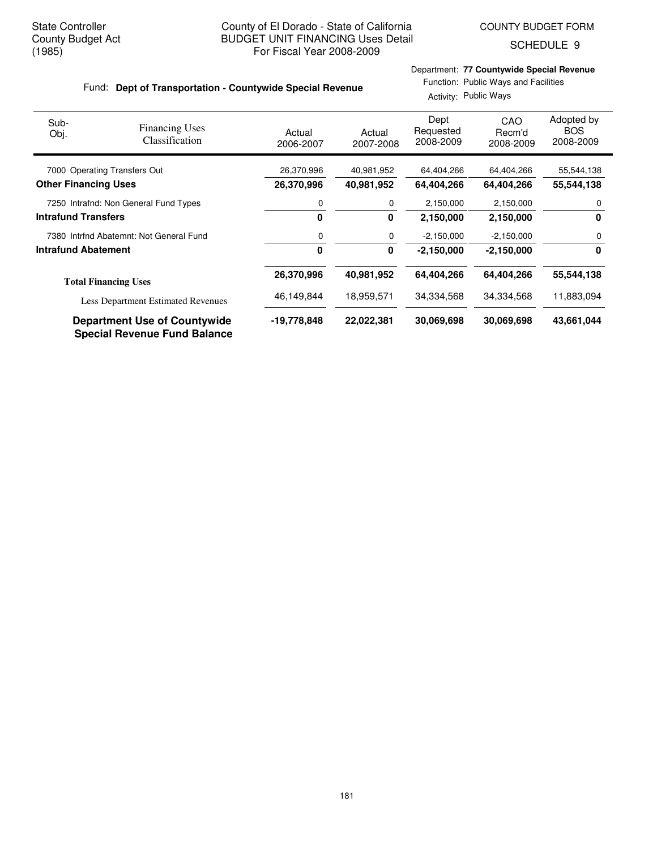SCHEDULE 9

# Fund: Dept of Transportation - Countywide Special Revenue

Department: **77 Countywide Special Revenue** Function: Public Ways and Facilities

Activity: Public Ways

| Sub-<br>Obj.                | <b>Financing Uses</b><br>Classification                                    | Actual<br>2006-2007 | Actual<br>2007-2008 | Dept<br>Requested<br>2008-2009 | <b>CAO</b><br>Recm'd<br>2008-2009 | Adopted by<br><b>BOS</b><br>2008-2009 |
|-----------------------------|----------------------------------------------------------------------------|---------------------|---------------------|--------------------------------|-----------------------------------|---------------------------------------|
|                             | 7000 Operating Transfers Out                                               | 26,370,996          | 40,981,952          | 64,404,266                     | 64,404,266                        | 55,544,138                            |
| <b>Other Financing Uses</b> |                                                                            | 26,370,996          | 40,981,952          | 64,404,266                     | 64,404,266                        | 55,544,138                            |
|                             | 7250 Intrafnd: Non General Fund Types                                      | 0                   | 0                   | 2,150,000                      | 2,150,000                         | 0                                     |
| <b>Intrafund Transfers</b>  |                                                                            | 0                   | 0                   | 2,150,000                      | 2,150,000                         | 0                                     |
|                             | 7380 Intrind Abatemnt: Not General Fund                                    | 0                   | 0                   | $-2,150,000$                   | $-2,150,000$                      | 0                                     |
| <b>Intrafund Abatement</b>  |                                                                            | 0                   | 0                   | $-2,150,000$                   | $-2,150,000$                      | 0                                     |
|                             | <b>Total Financing Uses</b>                                                | 26,370,996          | 40,981,952          | 64,404,266                     | 64,404,266                        | 55,544,138                            |
|                             | <b>Less Department Estimated Revenues</b>                                  | 46,149,844          | 18,959,571          | 34,334,568                     | 34,334,568                        | 11,883,094                            |
|                             | <b>Department Use of Countywide</b><br><b>Special Revenue Fund Balance</b> | -19,778,848         | 22,022,381          | 30,069,698                     | 30.069.698                        | 43,661,044                            |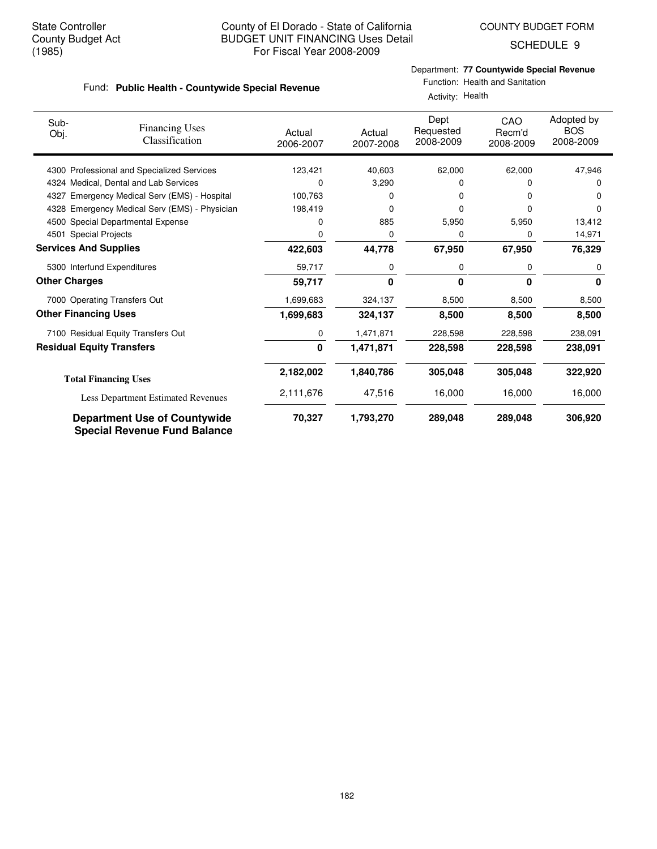SCHEDULE 9

Department: **77 Countywide Special Revenue**

#### **Public Health - Countywide Special Revenue** Fund:

| epartment: 77 Countywide Special Revenue |  |
|------------------------------------------|--|
| Function: Health and Sanitation          |  |

**2,182,002 1,840,786 305,048 322,920 305,048**

|                              | Fund: Public Health - Countywide Special Revenue |                     | Activity: Health    |                                |                            |                                       |  |
|------------------------------|--------------------------------------------------|---------------------|---------------------|--------------------------------|----------------------------|---------------------------------------|--|
| Sub-<br>Obj.                 | <b>Financing Uses</b><br>Classification          | Actual<br>2006-2007 | Actual<br>2007-2008 | Dept<br>Requested<br>2008-2009 | CAO<br>Recm'd<br>2008-2009 | Adopted by<br><b>BOS</b><br>2008-2009 |  |
|                              | 4300 Professional and Specialized Services       | 123,421             | 40,603              | 62,000                         | 62,000                     | 47,946                                |  |
|                              | 4324 Medical, Dental and Lab Services            | 0                   | 3,290               | 0                              | ი                          |                                       |  |
|                              | 4327 Emergency Medical Serv (EMS) - Hospital     | 100,763             | 0                   | 0                              |                            |                                       |  |
|                              | 4328 Emergency Medical Serv (EMS) - Physician    | 198,419             |                     |                                |                            |                                       |  |
|                              | 4500 Special Departmental Expense                | 0                   | 885                 | 5,950                          | 5,950                      | 13,412                                |  |
| 4501 Special Projects        |                                                  | 0                   | 0                   | 0                              | 0                          | 14,971                                |  |
| <b>Services And Supplies</b> |                                                  | 422,603             | 44,778              | 67,950                         | 67,950                     | 76,329                                |  |
|                              | 5300 Interfund Expenditures                      | 59,717              | 0                   | 0                              | 0                          |                                       |  |
| <b>Other Charges</b>         |                                                  | 59,717              | 0                   | $\bf{0}$                       | U                          | 0                                     |  |
|                              | 7000 Operating Transfers Out                     | 1,699,683           | 324,137             | 8,500                          | 8,500                      | 8,500                                 |  |
| <b>Other Financing Uses</b>  |                                                  | 1,699,683           | 324,137             | 8,500                          | 8,500                      | 8,500                                 |  |
|                              | 7100 Residual Equity Transfers Out               | 0                   | 1,471,871           | 228,598                        | 228,598                    | 238,091                               |  |
|                              | <b>Residual Equity Transfers</b>                 | 0                   | 1,471,871           | 228,598                        | 228,598                    | 238,091                               |  |

**Total Financing Uses** Less Department Estimated Revenues 2,111,676 47,516 16,000 16,000 16,000

### **Department Use of Countywide 70,327 1,793,270 289,048 306,920 289,048 Special Revenue Fund Balance**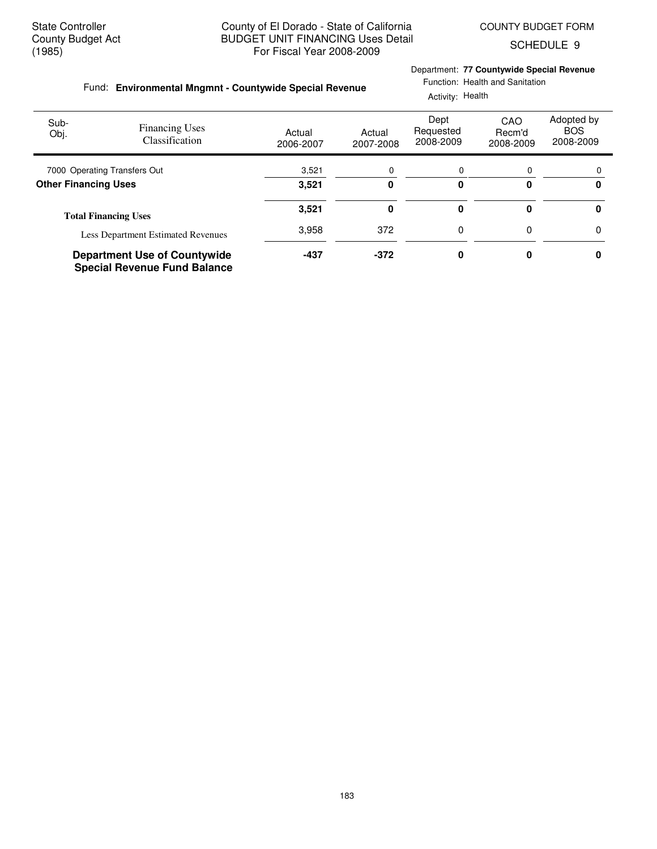Department: **77 Countywide Special Revenue**

Function: Health and Sanitation

SCHEDULE 9

#### **Environmental Mngmnt - Countywide Special Revenue** Fund:

|                              |                                                                            |                     |                     | Activity: Health               |                            |                                       |  |  |  |
|------------------------------|----------------------------------------------------------------------------|---------------------|---------------------|--------------------------------|----------------------------|---------------------------------------|--|--|--|
| Sub-<br>Obj.                 | <b>Financing Uses</b><br>Classification                                    | Actual<br>2006-2007 | Actual<br>2007-2008 | Dept<br>Requested<br>2008-2009 | CAO<br>Recm'd<br>2008-2009 | Adopted by<br><b>BOS</b><br>2008-2009 |  |  |  |
| 7000 Operating Transfers Out |                                                                            | 3,521               | 0                   | 0                              | 0                          | $\Omega$                              |  |  |  |
| <b>Other Financing Uses</b>  |                                                                            | 3.521               | 0                   | 0                              | O                          | 0                                     |  |  |  |
|                              | <b>Total Financing Uses</b>                                                | 3,521               | 0                   | 0                              |                            | 0                                     |  |  |  |
|                              | <b>Less Department Estimated Revenues</b>                                  | 3,958               | 372                 | 0                              | 0                          | 0                                     |  |  |  |
|                              | <b>Department Use of Countywide</b><br><b>Special Revenue Fund Balance</b> | $-437$              | $-372$              | 0                              |                            | 0                                     |  |  |  |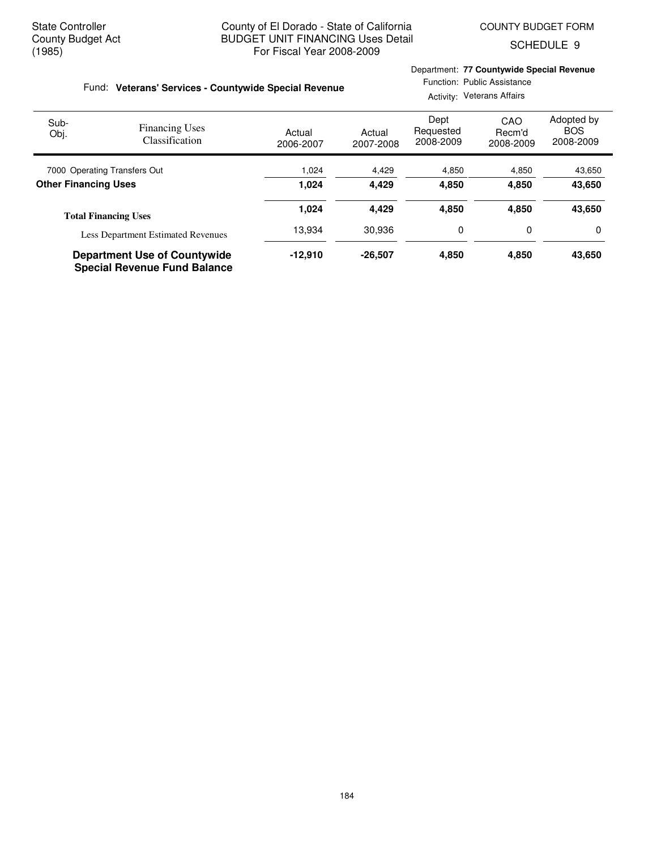SCHEDULE 9

# Fund: Veterans' Services - Countywide Special Revenue

# Department: **77 Countywide Special Revenue**

Function: Public Assistance Activity: Veterans Affairs

| Sub-<br>Obj.                 | <b>Financing Uses</b><br>Classification                                    | Actual<br>2006-2007 | Actual<br>2007-2008 | Dept<br>Requested<br>2008-2009 | CAO<br>Recm'd<br>2008-2009 | Adopted by<br><b>BOS</b><br>2008-2009 |
|------------------------------|----------------------------------------------------------------------------|---------------------|---------------------|--------------------------------|----------------------------|---------------------------------------|
| 7000 Operating Transfers Out |                                                                            | 1,024               | 4,429               | 4,850                          | 4,850                      | 43,650                                |
| <b>Other Financing Uses</b>  |                                                                            | 1.024               | 4.429               | 4.850                          | 4.850                      | 43,650                                |
|                              | <b>Total Financing Uses</b>                                                | 1,024               | 4,429               | 4,850                          | 4.850                      | 43,650                                |
|                              | <b>Less Department Estimated Revenues</b>                                  | 13.934              | 30.936              | 0                              | 0                          | 0                                     |
|                              | <b>Department Use of Countywide</b><br><b>Special Revenue Fund Balance</b> | $-12,910$           | $-26,507$           | 4,850                          | 4,850                      | 43,650                                |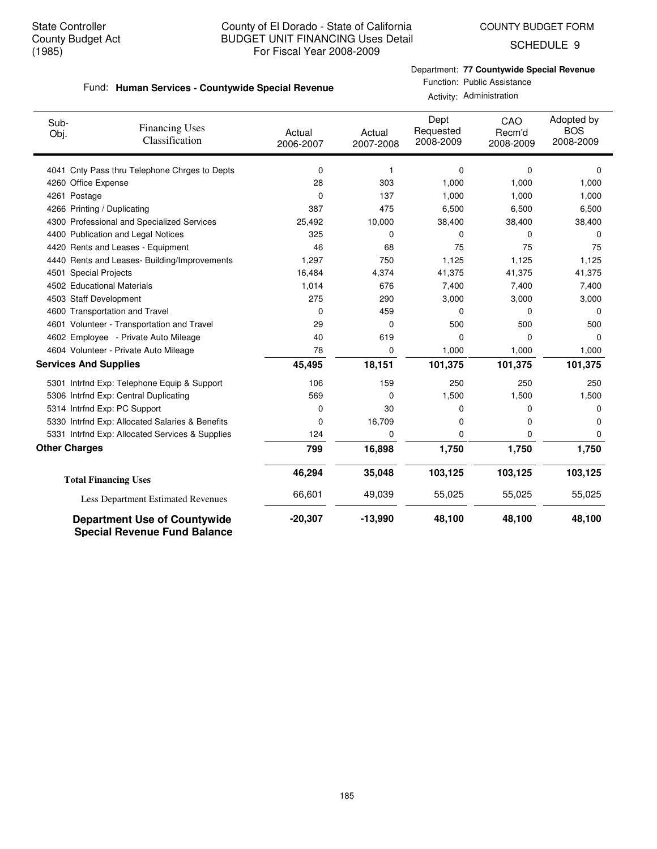COUNTY BUDGET FORM

SCHEDULE 9

Department: **77 Countywide Special Revenue**

#### **Human Services - Countywide Special Revenue** Fund:

Function: Public Assistance Activity: Administration

| Sub-<br>Obj.                 | <b>Financing Uses</b><br>Classification                                    | Actual<br>2006-2007 | Actual<br>2007-2008 | Dept<br>Requested<br>2008-2009 | CAO<br>Recm'd<br>2008-2009 | Adopted by<br><b>BOS</b><br>2008-2009 |
|------------------------------|----------------------------------------------------------------------------|---------------------|---------------------|--------------------------------|----------------------------|---------------------------------------|
|                              | 4041 Cnty Pass thru Telephone Chrges to Depts                              | 0                   | 1                   | 0                              | 0                          | 0                                     |
| 4260 Office Expense          |                                                                            | 28                  | 303                 | 1,000                          | 1,000                      | 1,000                                 |
| 4261 Postage                 |                                                                            | 0                   | 137                 | 1,000                          | 1,000                      | 1,000                                 |
|                              | 4266 Printing / Duplicating                                                | 387                 | 475                 | 6,500                          | 6,500                      | 6,500                                 |
|                              | 4300 Professional and Specialized Services                                 | 25,492              | 10,000              | 38,400                         | 38,400                     | 38,400                                |
|                              | 4400 Publication and Legal Notices                                         | 325                 | 0                   | 0                              | 0                          | 0                                     |
|                              | 4420 Rents and Leases - Equipment                                          | 46                  | 68                  | 75                             | 75                         | 75                                    |
|                              | 4440 Rents and Leases- Building/Improvements                               | 1,297               | 750                 | 1,125                          | 1,125                      | 1,125                                 |
| 4501 Special Projects        |                                                                            | 16,484              | 4,374               | 41,375                         | 41,375                     | 41,375                                |
|                              | 4502 Educational Materials                                                 | 1,014               | 676                 | 7.400                          | 7,400                      | 7,400                                 |
| 4503 Staff Development       |                                                                            | 275                 | 290                 | 3,000                          | 3,000                      | 3,000                                 |
|                              | 4600 Transportation and Travel                                             | 0                   | 459                 | 0                              | 0                          | 0                                     |
|                              | 4601 Volunteer - Transportation and Travel                                 | 29                  | 0                   | 500                            | 500                        | 500                                   |
|                              | 4602 Employee - Private Auto Mileage                                       | 40                  | 619                 | 0                              | 0                          | $\mathbf 0$                           |
|                              | 4604 Volunteer - Private Auto Mileage                                      | 78                  | 0                   | 1,000                          | 1,000                      | 1,000                                 |
| <b>Services And Supplies</b> |                                                                            | 45,495              | 18,151              | 101,375                        | 101,375                    | 101,375                               |
|                              | 5301 Intrfnd Exp: Telephone Equip & Support                                | 106                 | 159                 | 250                            | 250                        | 250                                   |
|                              | 5306 Intrfnd Exp: Central Duplicating                                      | 569                 | 0                   | 1,500                          | 1,500                      | 1,500                                 |
|                              | 5314 Intrfnd Exp: PC Support                                               | 0                   | 30                  | 0                              | 0                          | $\Omega$                              |
|                              | 5330 Intrfnd Exp: Allocated Salaries & Benefits                            | 0                   | 16,709              | 0                              | 0                          | 0                                     |
|                              | 5331 Intrfnd Exp: Allocated Services & Supplies                            | 124                 | 0                   | 0                              | 0                          | 0                                     |
| <b>Other Charges</b>         |                                                                            | 799                 | 16,898              | 1,750                          | 1,750                      | 1,750                                 |
|                              | <b>Total Financing Uses</b>                                                | 46,294              | 35,048              | 103,125                        | 103,125                    | 103,125                               |
|                              | Less Department Estimated Revenues                                         | 66,601              | 49,039              | 55,025                         | 55,025                     | 55,025                                |
|                              | <b>Department Use of Countywide</b><br><b>Special Revenue Fund Balance</b> | $-20,307$           | $-13,990$           | 48,100                         | 48,100                     | 48,100                                |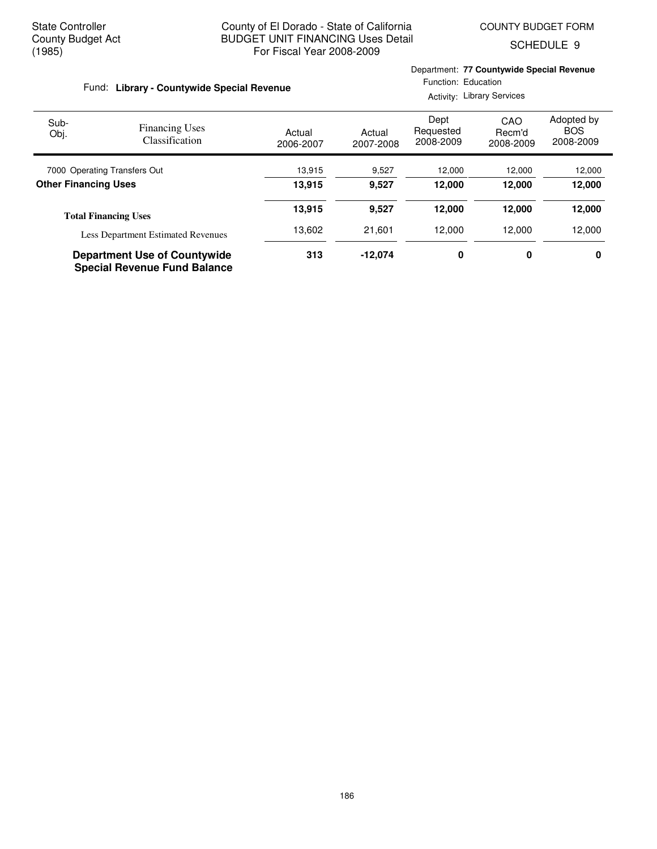Department: **77 Countywide Special Revenue**

SCHEDULE 9

| Fund: Library - Countywide Special Revenue |                                                                            |                     | Function: Education<br><b>Activity: Library Services</b> |                                |                            |                                       |  |
|--------------------------------------------|----------------------------------------------------------------------------|---------------------|----------------------------------------------------------|--------------------------------|----------------------------|---------------------------------------|--|
| Sub-<br>Obj.                               | <b>Financing Uses</b><br>Classification                                    | Actual<br>2006-2007 | Actual<br>2007-2008                                      | Dept<br>Requested<br>2008-2009 | CAO<br>Recm'd<br>2008-2009 | Adopted by<br><b>BOS</b><br>2008-2009 |  |
|                                            | 7000 Operating Transfers Out                                               |                     | 9,527                                                    | 12,000                         | 12,000                     | 12,000                                |  |
| <b>Other Financing Uses</b>                |                                                                            | 13.915              | 9,527                                                    | 12.000                         | 12.000                     | 12,000                                |  |
|                                            | <b>Total Financing Uses</b>                                                | 13,915              | 9,527                                                    | 12,000                         | 12,000                     | 12,000                                |  |
|                                            | <b>Less Department Estimated Revenues</b>                                  | 13,602              | 21,601                                                   | 12.000                         | 12.000                     | 12,000                                |  |
|                                            | <b>Department Use of Countywide</b><br><b>Special Revenue Fund Balance</b> | 313                 | $-12.074$                                                | 0                              | 0                          | 0                                     |  |

186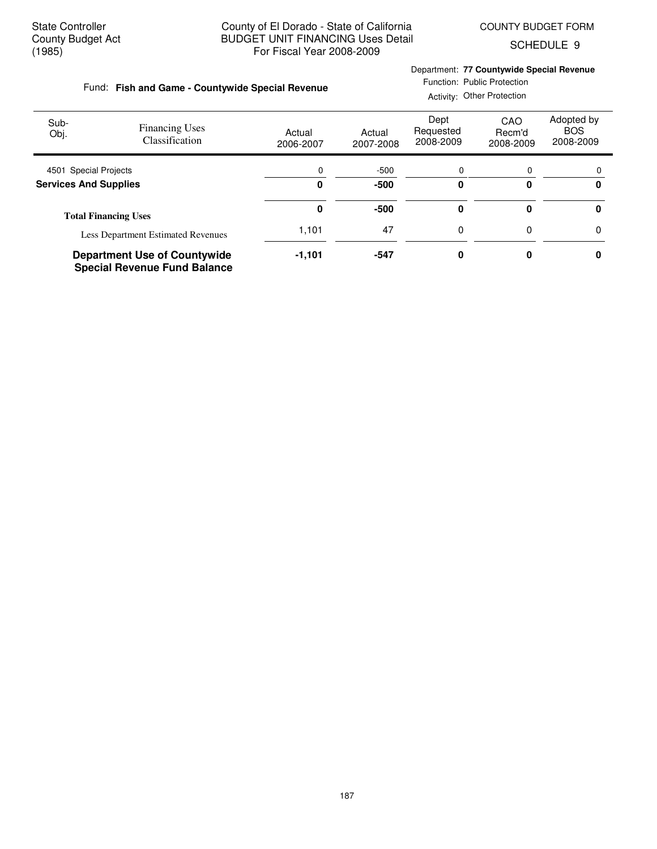**Fish and Game - Countywide Special Revenue** Fund:

SCHEDULE 9

# Department: **77 Countywide Special Revenue**

|  |  | Function: Public Protection |
|--|--|-----------------------------|
|  |  |                             |

|                              |                                                                            | Activity: Other Protection |                     |                                |                            |                                       |  |
|------------------------------|----------------------------------------------------------------------------|----------------------------|---------------------|--------------------------------|----------------------------|---------------------------------------|--|
| Sub-<br>Obj.                 | <b>Financing Uses</b><br><b>Classification</b>                             | Actual<br>2006-2007        | Actual<br>2007-2008 | Dept<br>Requested<br>2008-2009 | CAO<br>Recm'd<br>2008-2009 | Adopted by<br><b>BOS</b><br>2008-2009 |  |
| 4501 Special Projects        |                                                                            | 0                          | $-500$              | 0                              | 0                          | $\Omega$                              |  |
| <b>Services And Supplies</b> |                                                                            | 0                          | $-500$              | 0                              | ŋ                          | 0                                     |  |
|                              | <b>Total Financing Uses</b>                                                | 0                          | $-500$              | 0                              |                            | 0                                     |  |
|                              | <b>Less Department Estimated Revenues</b>                                  | 1,101                      | 47                  | 0                              | 0                          | 0                                     |  |
|                              | <b>Department Use of Countywide</b><br><b>Special Revenue Fund Balance</b> | $-1,101$                   | $-547$              | 0                              |                            | 0                                     |  |

187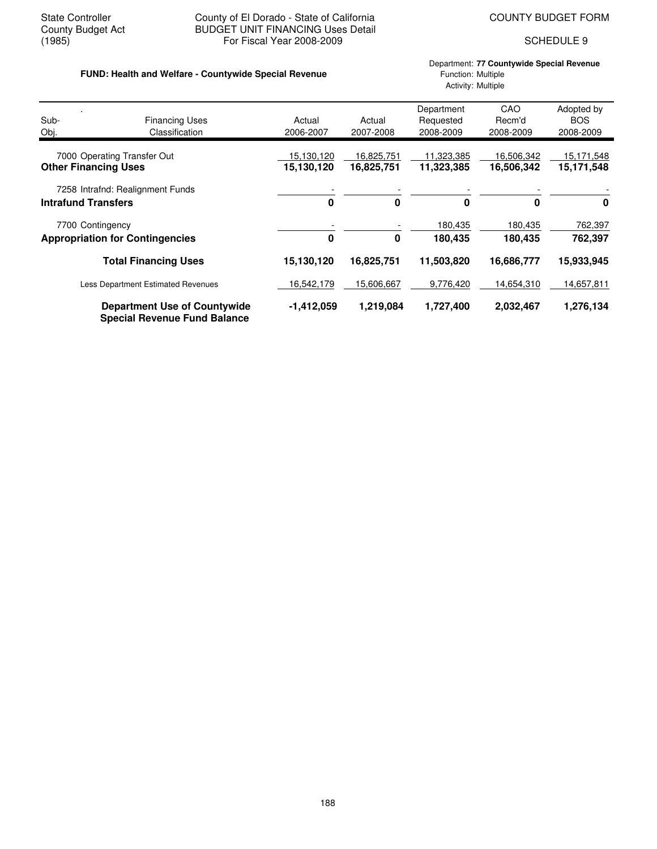# State Controller **County of El Dorado - State of California** COUNTY BUDGET FORM<br>County Budget Act **COUNTY BUDGET UNIT FINANCING** Uses Detail County Budget Act BUDGET UNIT FINANCING Uses Detail<br>(1985) For Fiscal Year 2008-2009 For Fiscal Year 2008-2009 SCHEDULE 9

# FUND: Health and Welfare - Countywide Special Revenue **Function: Aultiple** Function: Multiple

# Department: **77 Countywide Special Revenue** Activity: Multiple

| Sub-<br>Obj. | <b>Financing Uses</b><br>Classification                                    | Actual<br>2006-2007      | Actual<br>2007-2008      | Department<br>Requested<br>2008-2009 | CAO<br>Recm'd<br>2008-2009 | Adopted by<br><b>BOS</b><br>2008-2009 |
|--------------|----------------------------------------------------------------------------|--------------------------|--------------------------|--------------------------------------|----------------------------|---------------------------------------|
|              | 7000 Operating Transfer Out<br><b>Other Financing Uses</b>                 | 15,130,120<br>15,130,120 | 16,825,751<br>16,825,751 | 11,323,385<br>11,323,385             | 16,506,342<br>16,506,342   | 15,171,548<br>15,171,548              |
|              | 7258 Intrafnd: Realignment Funds<br><b>Intrafund Transfers</b>             | $\bf{0}$                 | 0                        | $\bf{0}$                             | 0                          | 0                                     |
|              | 7700 Contingency<br><b>Appropriation for Contingencies</b>                 | $\bf{0}$                 | 0                        | 180,435<br>180,435                   | 180,435<br>180,435         | 762,397<br>762,397                    |
|              | <b>Total Financing Uses</b>                                                | 15,130,120               | 16,825,751               | 11,503,820                           | 16,686,777                 | 15,933,945                            |
|              | <b>Less Department Estimated Revenues</b>                                  | 16,542,179               | 15,606,667               | 9,776,420                            | 14,654,310                 | 14,657,811                            |
|              | <b>Department Use of Countywide</b><br><b>Special Revenue Fund Balance</b> | $-1,412,059$             | 1,219,084                | 1,727,400                            | 2,032,467                  | 1,276,134                             |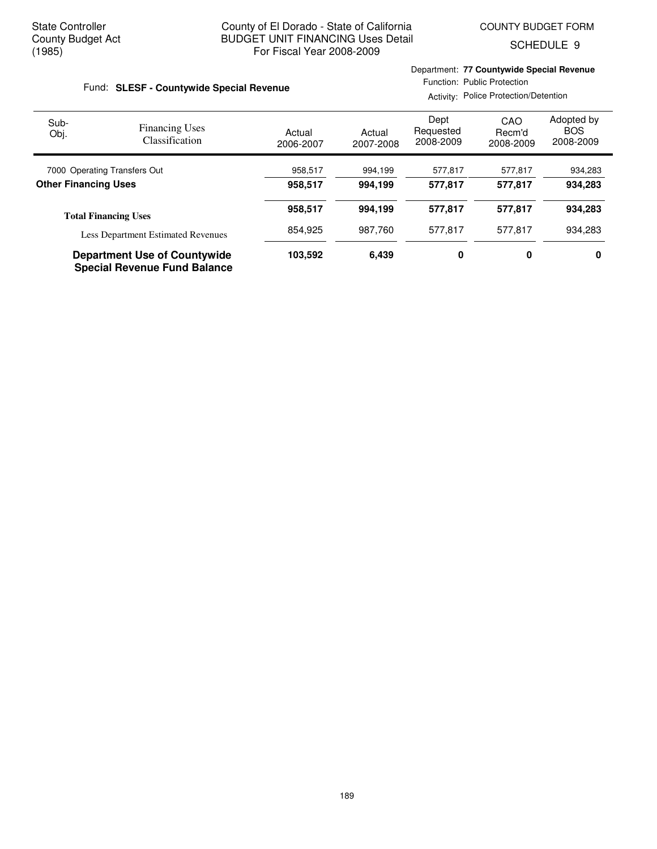Department: **77 Countywide Special Revenue**

SCHEDULE 9

| Fund: SLESF - Countywide Special Revenue |                                                                            |                     | Function: Public Protection<br>Activity: Police Protection/Detention |                                |                            |                                       |  |
|------------------------------------------|----------------------------------------------------------------------------|---------------------|----------------------------------------------------------------------|--------------------------------|----------------------------|---------------------------------------|--|
| Sub-<br>Obj.                             | <b>Financing Uses</b><br>Classification                                    | Actual<br>2006-2007 | Actual<br>2007-2008                                                  | Dept<br>Requested<br>2008-2009 | CAO<br>Recm'd<br>2008-2009 | Adopted by<br><b>BOS</b><br>2008-2009 |  |
| 7000 Operating Transfers Out             |                                                                            | 958,517             | 994,199                                                              | 577,817                        | 577,817                    | 934,283                               |  |
| <b>Other Financing Uses</b>              |                                                                            | 958,517             | 994,199                                                              | 577.817                        | 577,817                    | 934,283                               |  |
|                                          | <b>Total Financing Uses</b>                                                | 958,517             | 994,199                                                              | 577.817                        | 577,817                    | 934,283                               |  |
|                                          | <b>Less Department Estimated Revenues</b>                                  | 854.925             | 987.760                                                              | 577.817                        | 577,817                    | 934.283                               |  |
|                                          | <b>Department Use of Countywide</b><br><b>Special Revenue Fund Balance</b> | 103,592             | 6.439                                                                | 0                              | 0                          | 0                                     |  |